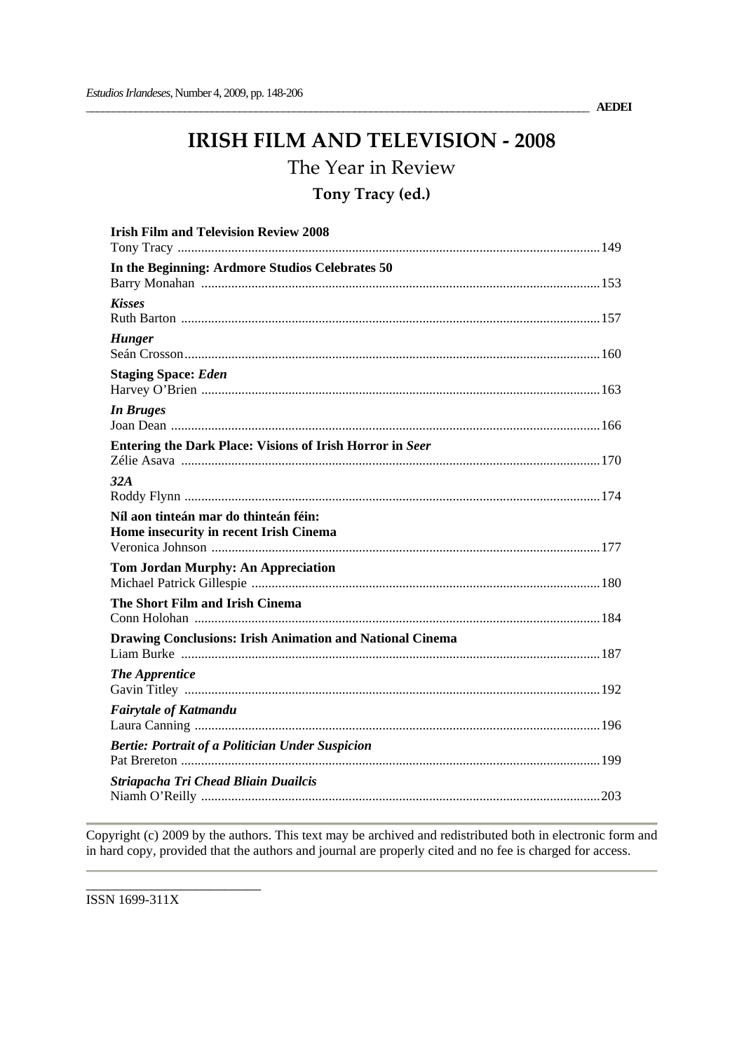\_\_\_\_\_\_\_\_\_\_\_\_\_\_\_\_\_\_\_\_\_\_\_\_\_\_\_\_\_\_\_\_\_\_\_\_\_\_\_\_\_\_\_\_\_\_\_\_\_\_\_\_\_\_\_\_\_\_\_\_\_\_\_\_\_\_\_\_\_\_\_\_\_\_\_\_\_\_\_\_\_\_\_\_\_\_\_\_\_\_\_\_ **AEDEI**

# **IRISH FILM AND TELEVISION ‐ 2008**

The Year in Review

# **Tony Tracy (ed.)**

| <b>Irish Film and Television Review 2008</b>                                    |
|---------------------------------------------------------------------------------|
| In the Beginning: Ardmore Studios Celebrates 50                                 |
| <b>Kisses</b>                                                                   |
| <b>Hunger</b>                                                                   |
| <b>Staging Space: Eden</b>                                                      |
| <b>In Bruges</b>                                                                |
| Entering the Dark Place: Visions of Irish Horror in Seer                        |
| 32A                                                                             |
| Níl aon tinteán mar do thinteán féin:<br>Home insecurity in recent Irish Cinema |
| <b>Tom Jordan Murphy: An Appreciation</b>                                       |
| The Short Film and Irish Cinema                                                 |
| <b>Drawing Conclusions: Irish Animation and National Cinema</b>                 |
| <b>The Apprentice</b>                                                           |
| <b>Fairytale of Katmandu</b>                                                    |
| <b>Bertie: Portrait of a Politician Under Suspicion</b>                         |
| Striapacha Tri Chead Bliain Duailcis                                            |

Copyright (c) 2009 by the authors. This text may be archived and redistributed both in electronic form and in hard copy, provided that the authors and journal are properly cited and no fee is charged for access.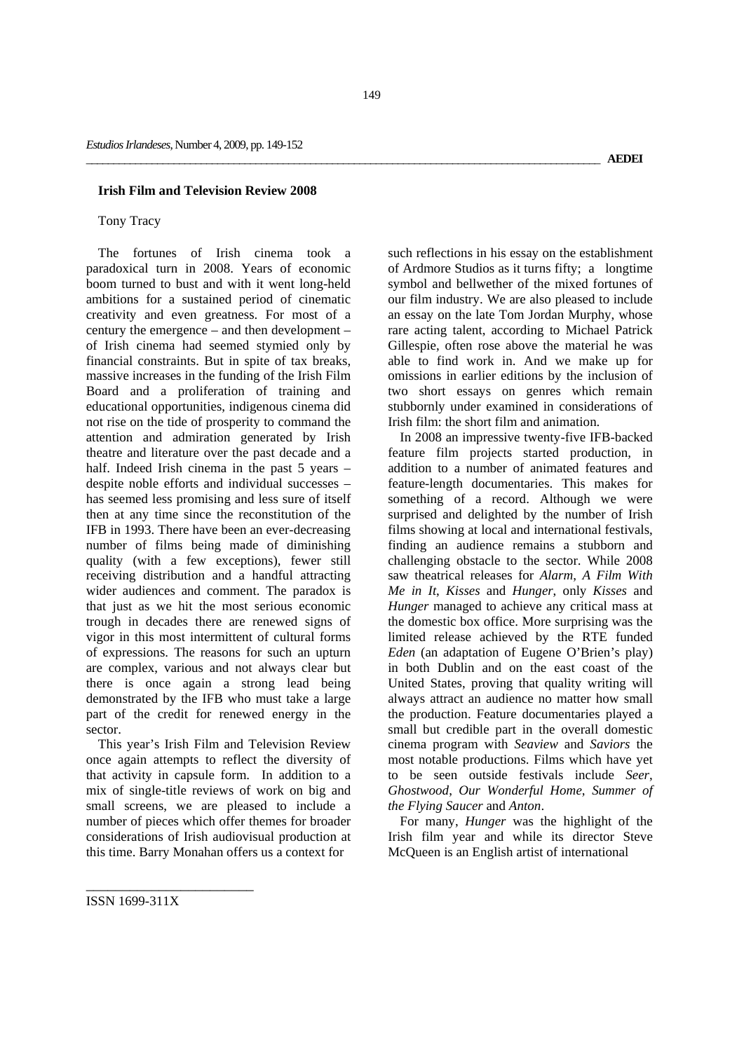#### **Irish Film and Television Review 2008**

### Tony Tracy

The fortunes of Irish cinema took a paradoxical turn in 2008. Years of economic boom turned to bust and with it went long-held ambitions for a sustained period of cinematic creativity and even greatness. For most of a century the emergence – and then development – of Irish cinema had seemed stymied only by financial constraints. But in spite of tax breaks, massive increases in the funding of the Irish Film Board and a proliferation of training and educational opportunities, indigenous cinema did not rise on the tide of prosperity to command the attention and admiration generated by Irish theatre and literature over the past decade and a half. Indeed Irish cinema in the past 5 years – despite noble efforts and individual successes – has seemed less promising and less sure of itself then at any time since the reconstitution of the IFB in 1993. There have been an ever-decreasing number of films being made of diminishing quality (with a few exceptions), fewer still receiving distribution and a handful attracting wider audiences and comment. The paradox is that just as we hit the most serious economic trough in decades there are renewed signs of vigor in this most intermittent of cultural forms of expressions. The reasons for such an upturn are complex, various and not always clear but there is once again a strong lead being demonstrated by the IFB who must take a large part of the credit for renewed energy in the sector.

This year's Irish Film and Television Review once again attempts to reflect the diversity of that activity in capsule form. In addition to a mix of single-title reviews of work on big and small screens, we are pleased to include a number of pieces which offer themes for broader considerations of Irish audiovisual production at this time. Barry Monahan offers us a context for

such reflections in his essay on the establishment of Ardmore Studios as it turns fifty; a longtime symbol and bellwether of the mixed fortunes of our film industry. We are also pleased to include an essay on the late Tom Jordan Murphy, whose rare acting talent, according to Michael Patrick Gillespie, often rose above the material he was able to find work in. And we make up for omissions in earlier editions by the inclusion of two short essays on genres which remain stubbornly under examined in considerations of Irish film: the short film and animation.

In 2008 an impressive twenty-five IFB-backed feature film projects started production, in addition to a number of animated features and feature-length documentaries. This makes for something of a record. Although we were surprised and delighted by the number of Irish films showing at local and international festivals, finding an audience remains a stubborn and challenging obstacle to the sector. While 2008 saw theatrical releases for *Alarm*, *A Film With Me in It*, *Kisses* and *Hunger*, only *Kisses* and *Hunger* managed to achieve any critical mass at the domestic box office. More surprising was the limited release achieved by the RTE funded *Eden* (an adaptation of Eugene O'Brien's play) in both Dublin and on the east coast of the United States, proving that quality writing will always attract an audience no matter how small the production. Feature documentaries played a small but credible part in the overall domestic cinema program with *Seaview* and *Saviors* the most notable productions. Films which have yet to be seen outside festivals include *Seer*, *Ghostwood*, *Our Wonderful Home*, *Summer of the Flying Saucer* and *Anton*.

For many, *Hunger* was the highlight of the Irish film year and while its director Steve McQueen is an English artist of international

ISSN 1699-311X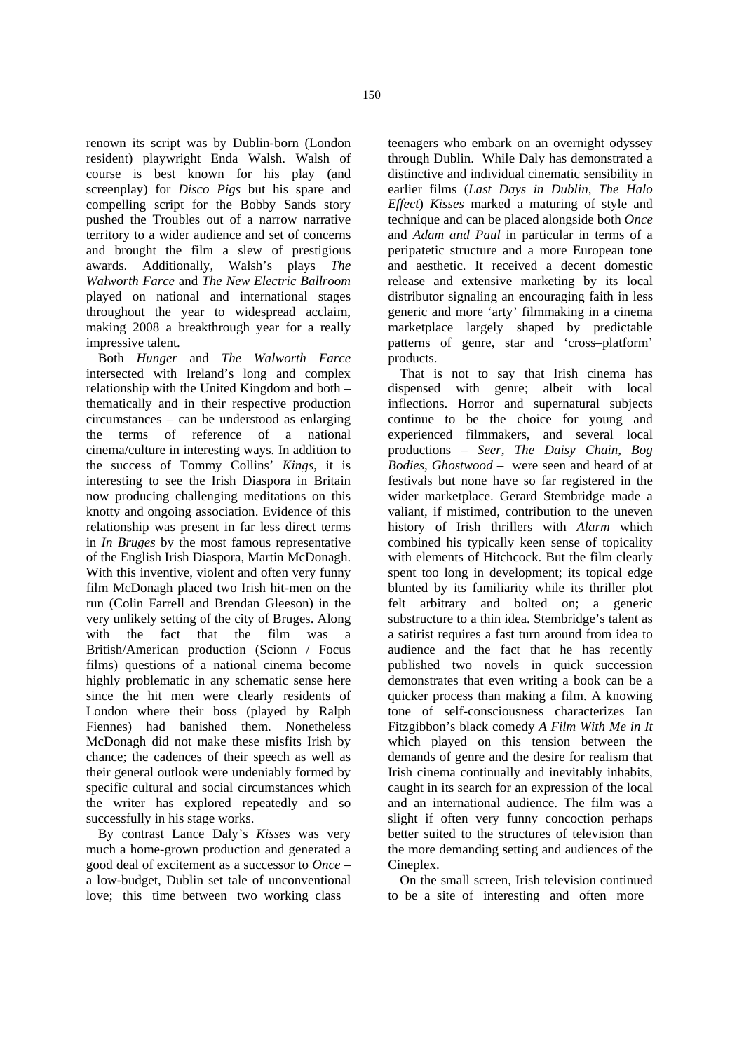renown its script was by Dublin-born (London resident) playwright Enda Walsh. Walsh of course is best known for his play (and screenplay) for *Disco Pigs* but his spare and compelling script for the Bobby Sands story pushed the Troubles out of a narrow narrative territory to a wider audience and set of concerns and brought the film a slew of prestigious awards. Additionally, Walsh's plays *The Walworth Farce* and *The New Electric Ballroom* played on national and international stages throughout the year to widespread acclaim, making 2008 a breakthrough year for a really impressive talent.

Both *Hunger* and *The Walworth Farce* intersected with Ireland's long and complex relationship with the United Kingdom and both – thematically and in their respective production circumstances – can be understood as enlarging the terms of reference of a national cinema/culture in interesting ways. In addition to the success of Tommy Collins' *Kings*, it is interesting to see the Irish Diaspora in Britain now producing challenging meditations on this knotty and ongoing association. Evidence of this relationship was present in far less direct terms in *In Bruges* by the most famous representative of the English Irish Diaspora, Martin McDonagh. With this inventive, violent and often very funny film McDonagh placed two Irish hit-men on the run (Colin Farrell and Brendan Gleeson) in the very unlikely setting of the city of Bruges. Along with the fact that the film was a British/American production (Scionn / Focus films) questions of a national cinema become highly problematic in any schematic sense here since the hit men were clearly residents of London where their boss (played by Ralph Fiennes) had banished them. Nonetheless McDonagh did not make these misfits Irish by chance; the cadences of their speech as well as their general outlook were undeniably formed by specific cultural and social circumstances which the writer has explored repeatedly and so successfully in his stage works.

By contrast Lance Daly's *Kisses* was very much a home-grown production and generated a good deal of excitement as a successor to *Once* – a low-budget, Dublin set tale of unconventional love; this time between two working class

teenagers who embark on an overnight odyssey through Dublin. While Daly has demonstrated a distinctive and individual cinematic sensibility in earlier films (*Last Days in Dublin, The Halo Effect*) *Kisses* marked a maturing of style and technique and can be placed alongside both *Once* and *Adam and Paul* in particular in terms of a peripatetic structure and a more European tone and aesthetic. It received a decent domestic release and extensive marketing by its local distributor signaling an encouraging faith in less generic and more 'arty' filmmaking in a cinema marketplace largely shaped by predictable patterns of genre, star and 'cross–platform' products.

That is not to say that Irish cinema has dispensed with genre; albeit with local inflections. Horror and supernatural subjects continue to be the choice for young and experienced filmmakers, and several local productions – *Seer*, *The Daisy Chain*, *Bog Bodies*, *Ghostwood* – were seen and heard of at festivals but none have so far registered in the wider marketplace. Gerard Stembridge made a valiant, if mistimed, contribution to the uneven history of Irish thrillers with *Alarm* which combined his typically keen sense of topicality with elements of Hitchcock. But the film clearly spent too long in development; its topical edge blunted by its familiarity while its thriller plot felt arbitrary and bolted on; a generic substructure to a thin idea. Stembridge's talent as a satirist requires a fast turn around from idea to audience and the fact that he has recently published two novels in quick succession demonstrates that even writing a book can be a quicker process than making a film. A knowing tone of self-consciousness characterizes Ian Fitzgibbon's black comedy *A Film With Me in It* which played on this tension between the demands of genre and the desire for realism that Irish cinema continually and inevitably inhabits, caught in its search for an expression of the local and an international audience. The film was a slight if often very funny concoction perhaps better suited to the structures of television than the more demanding setting and audiences of the Cineplex.

On the small screen, Irish television continued to be a site of interesting and often more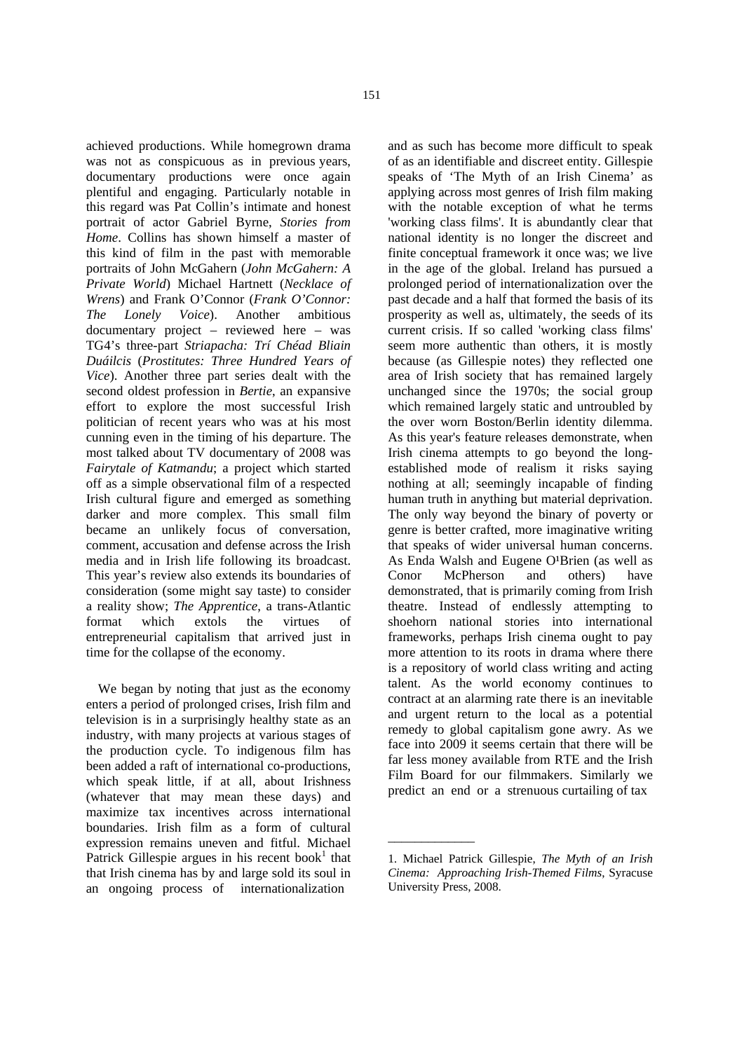achieved productions. While homegrown drama

was not as conspicuous as in previous years, documentary productions were once again plentiful and engaging. Particularly notable in this regard was Pat Collin's intimate and honest portrait of actor Gabriel Byrne, *Stories from Home*. Collins has shown himself a master of this kind of film in the past with memorable portraits of John McGahern (*John McGahern: A Private World*) Michael Hartnett (*Necklace of Wrens*) and Frank O'Connor (*Frank O'Connor: The Lonely Voice*). Another ambitious documentary project – reviewed here – was TG4's three-part *Striapacha: Trí Chéad Bliain Duáilcis* (*Prostitutes: Three Hundred Years of Vice*). Another three part series dealt with the second oldest profession in *Bertie*, an expansive effort to explore the most successful Irish politician of recent years who was at his most cunning even in the timing of his departure. The most talked about TV documentary of 2008 was *Fairytale of Katmandu*; a project which started off as a simple observational film of a respected Irish cultural figure and emerged as something darker and more complex. This small film became an unlikely focus of conversation, comment, accusation and defense across the Irish media and in Irish life following its broadcast. This year's review also extends its boundaries of consideration (some might say taste) to consider a reality show; *The Apprentice*, a trans-Atlantic format which extols the virtues of entrepreneurial capitalism that arrived just in time for the collapse of the economy.

We began by noting that just as the economy enters a period of prolonged crises, Irish film and television is in a surprisingly healthy state as an industry, with many projects at various stages of the production cycle. To indigenous film has been added a raft of international co-productions, which speak little, if at all, about Irishness (whatever that may mean these days) and maximize tax incentives across international boundaries. Irish film as a form of cultural expression remains uneven and fitful. Michael Patrick Gillespie argues in his recent book<sup>1</sup> that that Irish cinema has by and large sold its soul in an ongoing process of internationalization

and as such has become more difficult to speak of as an identifiable and discreet entity. Gillespie speaks of 'The Myth of an Irish Cinema' as applying across most genres of Irish film making with the notable exception of what he terms 'working class films'. It is abundantly clear that national identity is no longer the discreet and finite conceptual framework it once was; we live in the age of the global. Ireland has pursued a prolonged period of internationalization over the past decade and a half that formed the basis of its prosperity as well as, ultimately, the seeds of its current crisis. If so called 'working class films' seem more authentic than others, it is mostly because (as Gillespie notes) they reflected one area of Irish society that has remained largely unchanged since the 1970s; the social group which remained largely static and untroubled by the over worn Boston/Berlin identity dilemma. As this year's feature releases demonstrate, when Irish cinema attempts to go beyond the longestablished mode of realism it risks saying nothing at all; seemingly incapable of finding human truth in anything but material deprivation. The only way beyond the binary of poverty or genre is better crafted, more imaginative writing that speaks of wider universal human concerns. As Enda Walsh and Eugene O<sup>1</sup>Brien (as well as Conor McPherson and others) have demonstrated, that is primarily coming from Irish theatre. Instead of endlessly attempting to shoehorn national stories into international frameworks, perhaps Irish cinema ought to pay more attention to its roots in drama where there is a repository of world class writing and acting talent. As the world economy continues to contract at an alarming rate there is an inevitable and urgent return to the local as a potential remedy to global capitalism gone awry. As we face into 2009 it seems certain that there will be far less money available from RTE and the Irish Film Board for our filmmakers. Similarly we predict an end or a strenuous curtailing of tax

\_\_\_\_\_\_\_\_\_\_\_\_\_

<sup>1.</sup> Michael Patrick Gillespie, *The Myth of an Irish Cinema: Approaching Irish-Themed Films*, Syracuse University Press, 2008.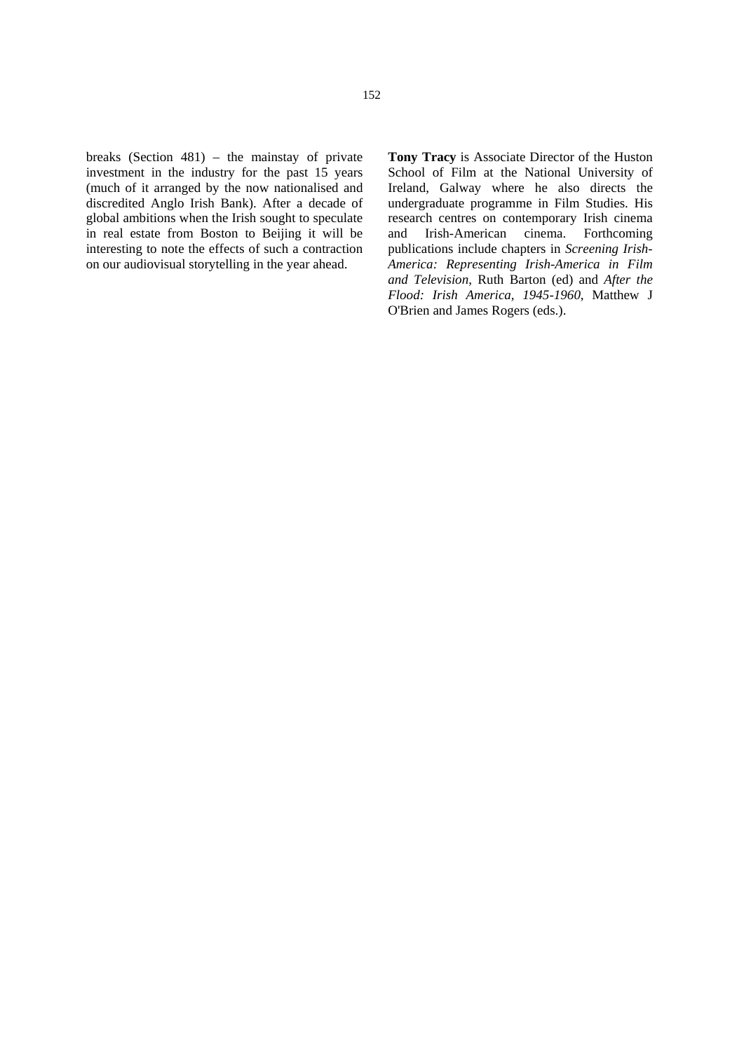breaks (Section 481) – the mainstay of private investment in the industry for the past 15 years (much of it arranged by the now nationalised and discredited Anglo Irish Bank). After a decade of global ambitions when the Irish sought to speculate in real estate from Boston to Beijing it will be interesting to note the effects of such a contraction on our audiovisual storytelling in the year ahead.

**Tony Tracy** is Associate Director of the Huston School of Film at the National University of Ireland, Galway where he also directs the undergraduate programme in Film Studies. His research centres on contemporary Irish cinema and Irish-American cinema. Forthcoming publications include chapters in *Screening Irish-America: Representing Irish-America in Film and Television*, Ruth Barton (ed) and *After the Flood: Irish America, 1945-1960*, Matthew J O'Brien and James Rogers (eds.).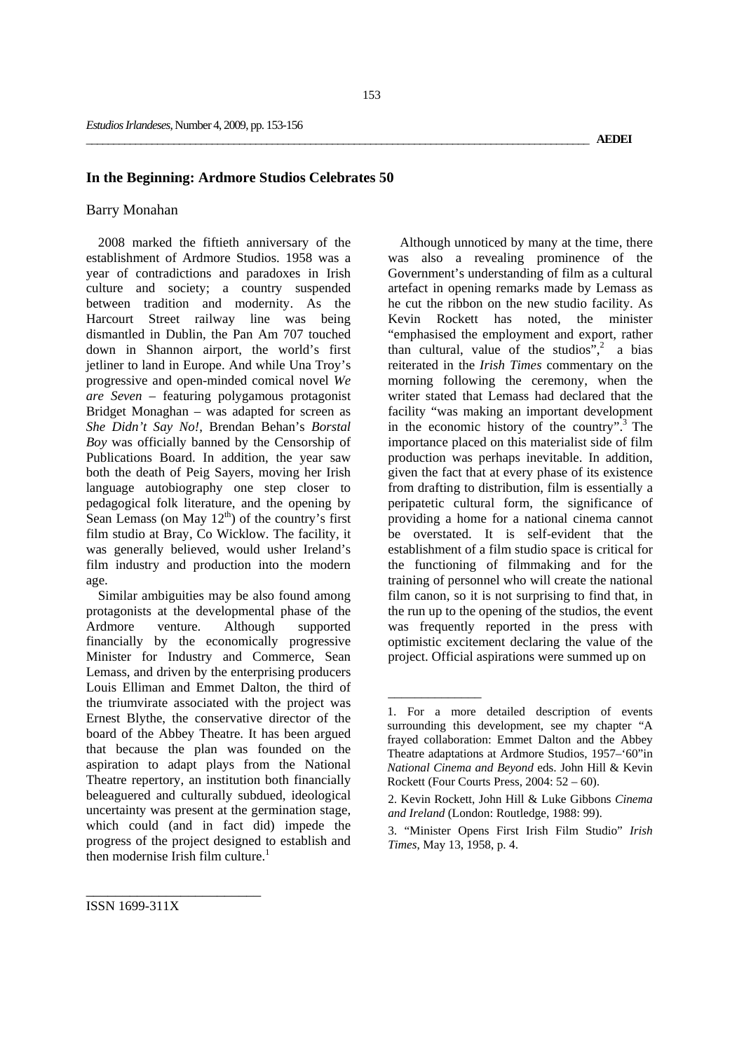#### **In the Beginning: Ardmore Studios Celebrates 50**

# Barry Monahan

2008 marked the fiftieth anniversary of the establishment of Ardmore Studios. 1958 was a year of contradictions and paradoxes in Irish culture and society; a country suspended between tradition and modernity. As the Harcourt Street railway line was being dismantled in Dublin, the Pan Am 707 touched down in Shannon airport, the world's first jetliner to land in Europe. And while Una Troy's progressive and open-minded comical novel *We are Seven* – featuring polygamous protagonist Bridget Monaghan – was adapted for screen as *She Didn't Say No!*, Brendan Behan's *Borstal Boy* was officially banned by the Censorship of Publications Board. In addition, the year saw both the death of Peig Sayers, moving her Irish language autobiography one step closer to pedagogical folk literature, and the opening by Sean Lemass (on May  $12<sup>th</sup>$ ) of the country's first film studio at Bray, Co Wicklow. The facility, it was generally believed, would usher Ireland's film industry and production into the modern age.

Similar ambiguities may be also found among protagonists at the developmental phase of the Ardmore venture. Although supported financially by the economically progressive Minister for Industry and Commerce, Sean Lemass, and driven by the enterprising producers Louis Elliman and Emmet Dalton, the third of the triumvirate associated with the project was Ernest Blythe, the conservative director of the board of the Abbey Theatre. It has been argued that because the plan was founded on the aspiration to adapt plays from the National Theatre repertory, an institution both financially beleaguered and culturally subdued, ideological uncertainty was present at the germination stage, which could (and in fact did) impede the progress of the project designed to establish and then modernise Irish film culture.<sup>1</sup>

Although unnoticed by many at the time, there was also a revealing prominence of the Government's understanding of film as a cultural artefact in opening remarks made by Lemass as he cut the ribbon on the new studio facility. As Kevin Rockett has noted, the minister "emphasised the employment and export, rather than cultural, value of the studios",<sup>2</sup> a bias reiterated in the *Irish Times* commentary on the morning following the ceremony, when the writer stated that Lemass had declared that the facility "was making an important development in the economic history of the country".3 The importance placed on this materialist side of film production was perhaps inevitable. In addition, given the fact that at every phase of its existence from drafting to distribution, film is essentially a peripatetic cultural form, the significance of providing a home for a national cinema cannot be overstated. It is self-evident that the establishment of a film studio space is critical for the functioning of filmmaking and for the training of personnel who will create the national film canon, so it is not surprising to find that, in the run up to the opening of the studios, the event was frequently reported in the press with optimistic excitement declaring the value of the project. Official aspirations were summed up on

\_\_\_\_\_\_\_\_\_\_\_\_\_\_

ISSN 1699-311X

<sup>1.</sup> For a more detailed description of events surrounding this development, see my chapter "A frayed collaboration: Emmet Dalton and the Abbey Theatre adaptations at Ardmore Studios, 1957–'60"in *National Cinema and Beyond* eds. John Hill & Kevin Rockett (Four Courts Press, 2004: 52 – 60).

<sup>2.</sup> Kevin Rockett, John Hill & Luke Gibbons *Cinema and Ireland* (London: Routledge, 1988: 99).

<sup>3. &</sup>quot;Minister Opens First Irish Film Studio" *Irish Times*, May 13, 1958, p. 4.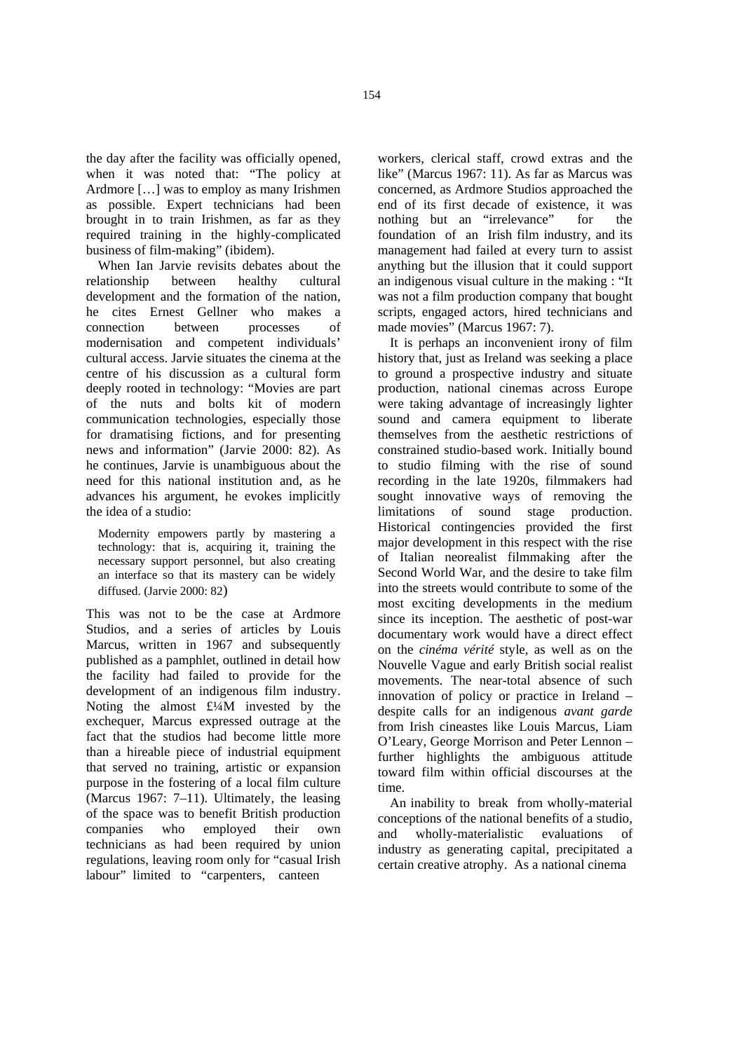the day after the facility was officially opened, when it was noted that: "The policy at Ardmore […] was to employ as many Irishmen as possible. Expert technicians had been brought in to train Irishmen, as far as they required training in the highly-complicated business of film-making" (ibidem).

When Ian Jarvie revisits debates about the relationship between healthy cultural development and the formation of the nation, he cites Ernest Gellner who makes a connection between processes of modernisation and competent individuals' cultural access. Jarvie situates the cinema at the centre of his discussion as a cultural form deeply rooted in technology: "Movies are part of the nuts and bolts kit of modern communication technologies, especially those for dramatising fictions, and for presenting news and information" (Jarvie 2000: 82). As he continues, Jarvie is unambiguous about the need for this national institution and, as he advances his argument, he evokes implicitly the idea of a studio:

Modernity empowers partly by mastering a technology: that is, acquiring it, training the necessary support personnel, but also creating an interface so that its mastery can be widely diffused. (Jarvie 2000: 82)

This was not to be the case at Ardmore Studios, and a series of articles by Louis Marcus, written in 1967 and subsequently published as a pamphlet, outlined in detail how the facility had failed to provide for the development of an indigenous film industry. Noting the almost  $\text{£}4\text{M}$  invested by the exchequer, Marcus expressed outrage at the fact that the studios had become little more than a hireable piece of industrial equipment that served no training, artistic or expansion purpose in the fostering of a local film culture (Marcus 1967: 7–11). Ultimately, the leasing of the space was to benefit British production companies who employed their own technicians as had been required by union regulations, leaving room only for "casual Irish labour" limited to "carpenters, canteen

workers, clerical staff, crowd extras and the like" (Marcus 1967: 11). As far as Marcus was concerned, as Ardmore Studios approached the end of its first decade of existence, it was nothing but an "irrelevance" for the foundation of an Irish film industry, and its management had failed at every turn to assist anything but the illusion that it could support an indigenous visual culture in the making : "It was not a film production company that bought scripts, engaged actors, hired technicians and made movies" (Marcus 1967: 7).

It is perhaps an inconvenient irony of film history that, just as Ireland was seeking a place to ground a prospective industry and situate production, national cinemas across Europe were taking advantage of increasingly lighter sound and camera equipment to liberate themselves from the aesthetic restrictions of constrained studio-based work. Initially bound to studio filming with the rise of sound recording in the late 1920s, filmmakers had sought innovative ways of removing the limitations of sound stage production. Historical contingencies provided the first major development in this respect with the rise of Italian neorealist filmmaking after the Second World War, and the desire to take film into the streets would contribute to some of the most exciting developments in the medium since its inception. The aesthetic of post-war documentary work would have a direct effect on the *cinéma vérité* style, as well as on the Nouvelle Vague and early British social realist movements. The near-total absence of such innovation of policy or practice in Ireland – despite calls for an indigenous *avant garde* from Irish cineastes like Louis Marcus, Liam O'Leary, George Morrison and Peter Lennon – further highlights the ambiguous attitude toward film within official discourses at the time.

An inability to break from wholly-material conceptions of the national benefits of a studio, and wholly-materialistic evaluations of industry as generating capital, precipitated a certain creative atrophy. As a national cinema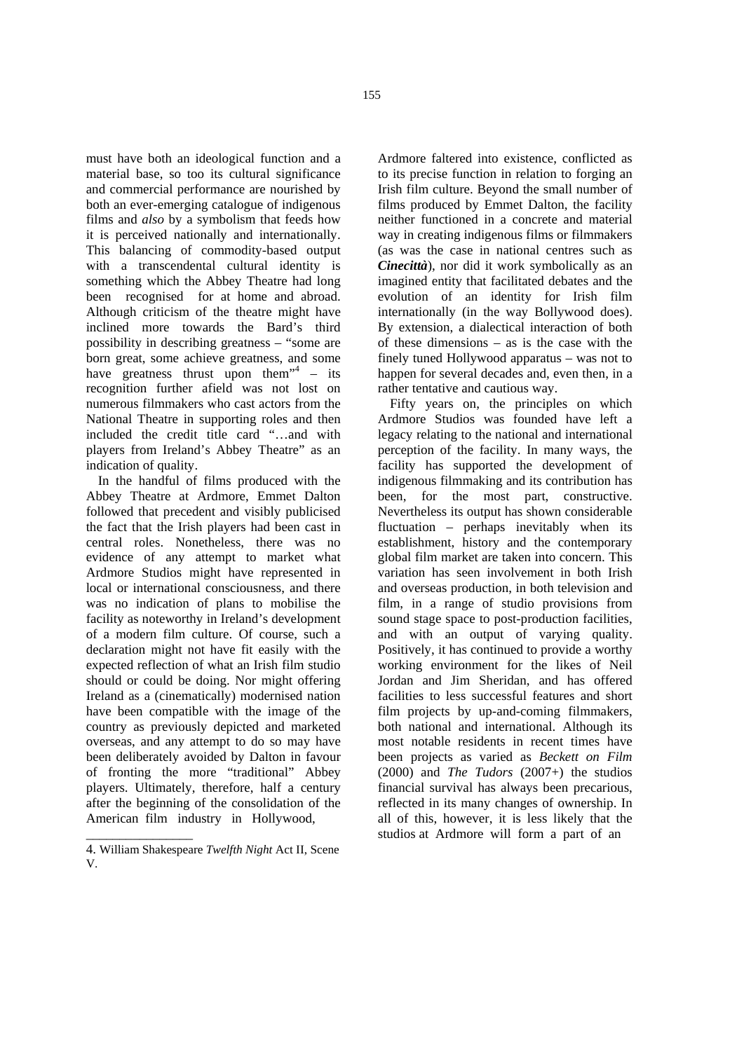must have both an ideological function and a material base, so too its cultural significance and commercial performance are nourished by both an ever-emerging catalogue of indigenous films and *also* by a symbolism that feeds how it is perceived nationally and internationally. This balancing of commodity-based output with a transcendental cultural identity is something which the Abbey Theatre had long been recognised for at home and abroad. Although criticism of the theatre might have inclined more towards the Bard's third possibility in describing greatness – "some are born great, some achieve greatness, and some have greatness thrust upon them<sup>"4</sup>  $-$  its recognition further afield was not lost on numerous filmmakers who cast actors from the National Theatre in supporting roles and then included the credit title card "…and with players from Ireland's Abbey Theatre" as an indication of quality.

In the handful of films produced with the Abbey Theatre at Ardmore, Emmet Dalton followed that precedent and visibly publicised the fact that the Irish players had been cast in central roles. Nonetheless, there was no evidence of any attempt to market what Ardmore Studios might have represented in local or international consciousness, and there was no indication of plans to mobilise the facility as noteworthy in Ireland's development of a modern film culture. Of course, such a declaration might not have fit easily with the expected reflection of what an Irish film studio should or could be doing. Nor might offering Ireland as a (cinematically) modernised nation have been compatible with the image of the country as previously depicted and marketed overseas, and any attempt to do so may have been deliberately avoided by Dalton in favour of fronting the more "traditional" Abbey players. Ultimately, therefore, half a century after the beginning of the consolidation of the American film industry in Hollywood,

\_\_\_\_\_\_\_\_\_\_\_\_\_\_\_\_

Ardmore faltered into existence, conflicted as to its precise function in relation to forging an Irish film culture. Beyond the small number of films produced by Emmet Dalton, the facility neither functioned in a concrete and material way in creating indigenous films or filmmakers (as was the case in national centres such as *Cinecittà*), nor did it work symbolically as an imagined entity that facilitated debates and the evolution of an identity for Irish film internationally (in the way Bollywood does). By extension, a dialectical interaction of both of these dimensions – as is the case with the finely tuned Hollywood apparatus – was not to happen for several decades and, even then, in a rather tentative and cautious way.

Fifty years on, the principles on which Ardmore Studios was founded have left a legacy relating to the national and international perception of the facility. In many ways, the facility has supported the development of indigenous filmmaking and its contribution has been, for the most part, constructive. Nevertheless its output has shown considerable fluctuation – perhaps inevitably when its establishment, history and the contemporary global film market are taken into concern. This variation has seen involvement in both Irish and overseas production, in both television and film, in a range of studio provisions from sound stage space to post-production facilities, and with an output of varying quality. Positively, it has continued to provide a worthy working environment for the likes of Neil Jordan and Jim Sheridan, and has offered facilities to less successful features and short film projects by up-and-coming filmmakers, both national and international. Although its most notable residents in recent times have been projects as varied as *Beckett on Film* (2000) and *The Tudors* (2007+) the studios financial survival has always been precarious, reflected in its many changes of ownership. In all of this, however, it is less likely that the studios at Ardmore will form a part of an

<sup>4.</sup> William Shakespeare *Twelfth Night* Act II, Scene V.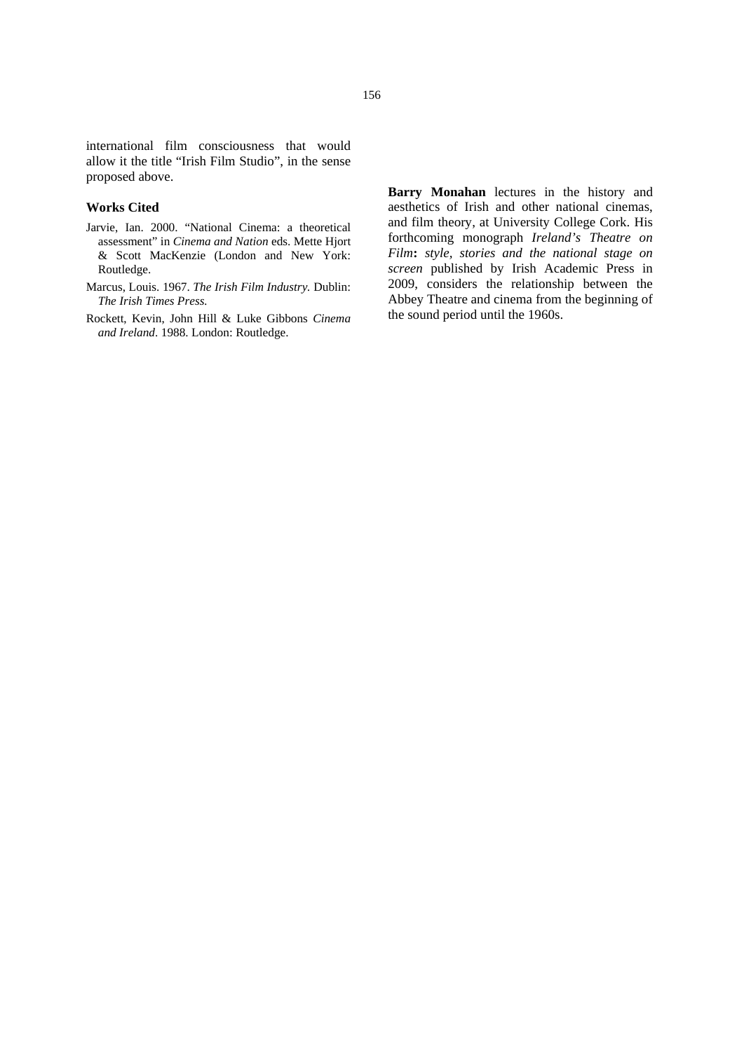international film consciousness that would allow it the title "Irish Film Studio", in the sense proposed above.

### **Works Cited**

- Jarvie, Ian. 2000. "National Cinema: a theoretical assessment" in *Cinema and Nation* eds. Mette Hjort & Scott MacKenzie (London and New York: Routledge.
- Marcus, Louis. 1967. *The Irish Film Industry.* Dublin: *The Irish Times Press.*
- Rockett, Kevin, John Hill & Luke Gibbons *Cinema and Ireland*. 1988. London: Routledge.

**Barry Monahan** lectures in the history and aesthetics of Irish and other national cinemas, and film theory, at University College Cork. His forthcoming monograph *Ireland's Theatre on Film***:** *style, stories and the national stage on screen* published by Irish Academic Press in 2009, considers the relationship between the Abbey Theatre and cinema from the beginning of the sound period until the 1960s.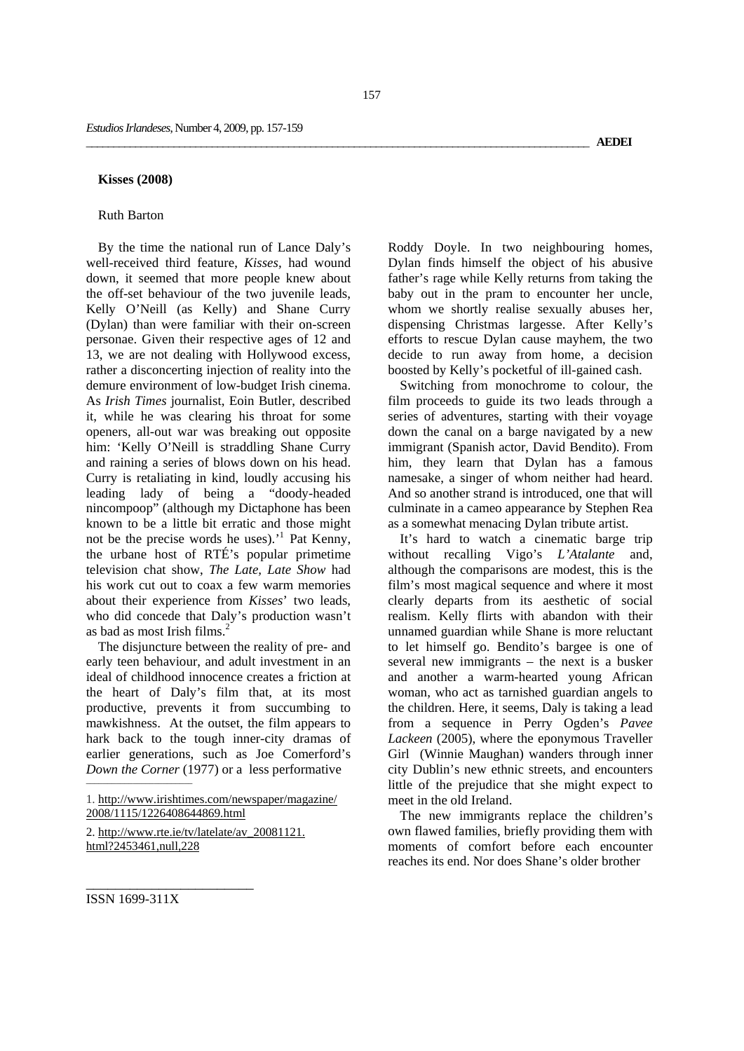#### **Kisses (2008)**

### Ruth Barton

By the time the national run of Lance Daly's well-received third feature, *Kisses,* had wound down, it seemed that more people knew about the off-set behaviour of the two juvenile leads, Kelly O'Neill (as Kelly) and Shane Curry (Dylan) than were familiar with their on-screen personae. Given their respective ages of 12 and 13, we are not dealing with Hollywood excess, rather a disconcerting injection of reality into the demure environment of low-budget Irish cinema. As *Irish Times* journalist, Eoin Butler, described it, while he was clearing his throat for some openers, all-out war was breaking out opposite him: 'Kelly O'Neill is straddling Shane Curry and raining a series of blows down on his head. Curry is retaliating in kind, loudly accusing his leading lady of being a "doody-headed nincompoop" (although my Dictaphone has been known to be a little bit erratic and those might not be the precise words he uses).<sup>1</sup> Pat Kenny, the urbane host of RTÉ's popular primetime television chat show, *The Late, Late Show* had his work cut out to coax a few warm memories about their experience from *Kisses*' two leads, who did concede that Daly's production wasn't as bad as most Irish films.<sup>2</sup>

The disjuncture between the reality of pre- and early teen behaviour, and adult investment in an ideal of childhood innocence creates a friction at the heart of Daly's film that, at its most productive, prevents it from succumbing to mawkishness. At the outset, the film appears to hark back to the tough inner-city dramas of earlier generations, such as Joe Comerford's *Down the Corner* (1977) or a less performative

2. http://www.rte.ie/tv/latelate/av\_20081121. html?2453461,null,228

\_\_\_\_\_\_\_\_\_\_\_\_\_\_\_\_\_\_\_\_\_\_\_

Roddy Doyle. In two neighbouring homes, Dylan finds himself the object of his abusive father's rage while Kelly returns from taking the baby out in the pram to encounter her uncle, whom we shortly realise sexually abuses her, dispensing Christmas largesse. After Kelly's efforts to rescue Dylan cause mayhem, the two decide to run away from home, a decision boosted by Kelly's pocketful of ill-gained cash.

Switching from monochrome to colour, the film proceeds to guide its two leads through a series of adventures, starting with their voyage down the canal on a barge navigated by a new immigrant (Spanish actor, David Bendito). From him, they learn that Dylan has a famous namesake, a singer of whom neither had heard. And so another strand is introduced, one that will culminate in a cameo appearance by Stephen Rea as a somewhat menacing Dylan tribute artist.

It's hard to watch a cinematic barge trip without recalling Vigo's *L'Atalante* and, although the comparisons are modest, this is the film's most magical sequence and where it most clearly departs from its aesthetic of social realism. Kelly flirts with abandon with their unnamed guardian while Shane is more reluctant to let himself go. Bendito's bargee is one of several new immigrants – the next is a busker and another a warm-hearted young African woman, who act as tarnished guardian angels to the children. Here, it seems, Daly is taking a lead from a sequence in Perry Ogden's *Pavee Lackeen* (2005), where the eponymous Traveller Girl (Winnie Maughan) wanders through inner city Dublin's new ethnic streets, and encounters little of the prejudice that she might expect to meet in the old Ireland.

The new immigrants replace the children's own flawed families, briefly providing them with moments of comfort before each encounter reaches its end. Nor does Shane's older brother

ISSN 1699-311X

\_\_\_\_\_\_\_\_\_\_\_\_\_\_\_\_\_\_\_\_\_\_\_\_\_\_\_\_\_\_\_\_\_\_\_\_\_\_\_\_\_\_\_\_\_\_\_\_\_\_\_\_\_\_\_\_\_\_\_\_\_\_\_\_\_\_\_\_\_\_\_\_\_\_\_\_\_\_\_\_\_\_\_\_\_\_\_\_\_\_\_\_ **AEDEI**

<sup>1.</sup> http://www.irishtimes.com/newspaper/magazine/ 2008/1115/1226408644869.html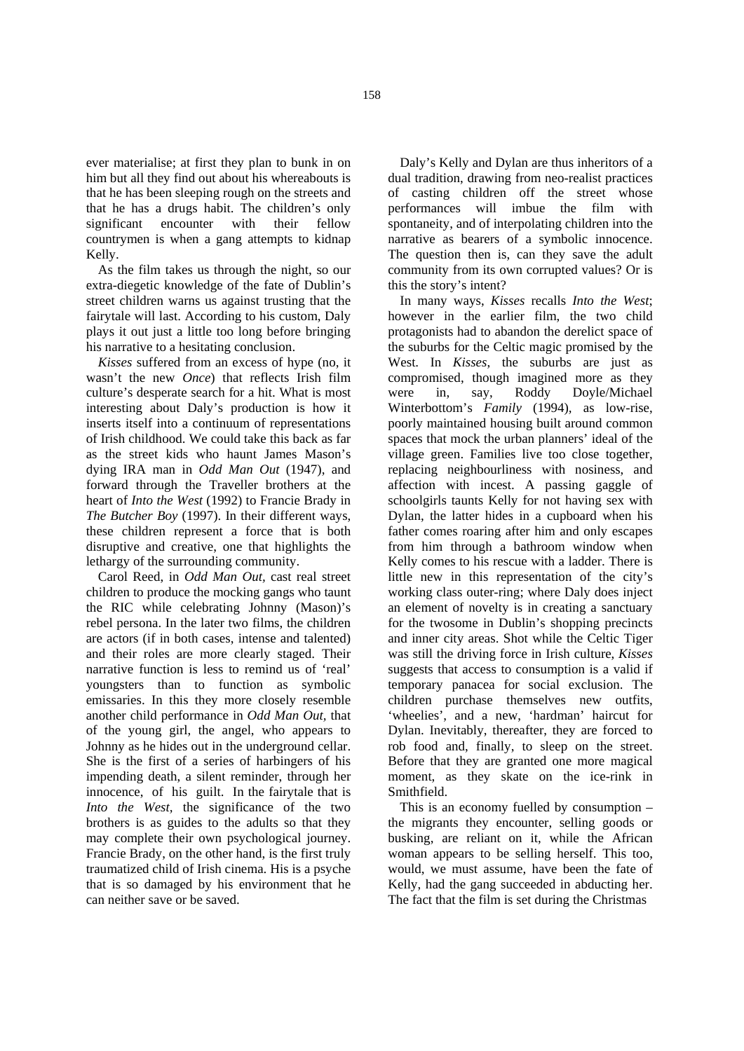ever materialise; at first they plan to bunk in on him but all they find out about his whereabouts is that he has been sleeping rough on the streets and that he has a drugs habit. The children's only significant encounter with their fellow countrymen is when a gang attempts to kidnap Kelly.

As the film takes us through the night, so our extra-diegetic knowledge of the fate of Dublin's street children warns us against trusting that the fairytale will last. According to his custom, Daly plays it out just a little too long before bringing his narrative to a hesitating conclusion.

*Kisses* suffered from an excess of hype (no, it wasn't the new *Once*) that reflects Irish film culture's desperate search for a hit. What is most interesting about Daly's production is how it inserts itself into a continuum of representations of Irish childhood. We could take this back as far as the street kids who haunt James Mason's dying IRA man in *Odd Man Out* (1947), and forward through the Traveller brothers at the heart of *Into the West* (1992) to Francie Brady in *The Butcher Boy* (1997). In their different ways, these children represent a force that is both disruptive and creative, one that highlights the lethargy of the surrounding community.

Carol Reed, in *Odd Man Out,* cast real street children to produce the mocking gangs who taunt the RIC while celebrating Johnny (Mason)'s rebel persona. In the later two films, the children are actors (if in both cases, intense and talented) and their roles are more clearly staged. Their narrative function is less to remind us of 'real' youngsters than to function as symbolic emissaries. In this they more closely resemble another child performance in *Odd Man Out,* that of the young girl, the angel, who appears to Johnny as he hides out in the underground cellar. She is the first of a series of harbingers of his impending death, a silent reminder, through her innocence, of his guilt. In the fairytale that is *Into the West,* the significance of the two brothers is as guides to the adults so that they may complete their own psychological journey. Francie Brady, on the other hand, is the first truly traumatized child of Irish cinema. His is a psyche that is so damaged by his environment that he can neither save or be saved.

Daly's Kelly and Dylan are thus inheritors of a dual tradition, drawing from neo-realist practices of casting children off the street whose performances will imbue the film with spontaneity, and of interpolating children into the narrative as bearers of a symbolic innocence. The question then is, can they save the adult community from its own corrupted values? Or is this the story's intent?

In many ways, *Kisses* recalls *Into the West*; however in the earlier film, the two child protagonists had to abandon the derelict space of the suburbs for the Celtic magic promised by the West. In *Kisses*, the suburbs are just as compromised, though imagined more as they were in, say, Roddy Doyle/Michael Winterbottom's *Family* (1994)*,* as low-rise, poorly maintained housing built around common spaces that mock the urban planners' ideal of the village green. Families live too close together, replacing neighbourliness with nosiness, and affection with incest. A passing gaggle of schoolgirls taunts Kelly for not having sex with Dylan, the latter hides in a cupboard when his father comes roaring after him and only escapes from him through a bathroom window when Kelly comes to his rescue with a ladder. There is little new in this representation of the city's working class outer-ring; where Daly does inject an element of novelty is in creating a sanctuary for the twosome in Dublin's shopping precincts and inner city areas. Shot while the Celtic Tiger was still the driving force in Irish culture, *Kisses*  suggests that access to consumption is a valid if temporary panacea for social exclusion. The children purchase themselves new outfits, 'wheelies', and a new, 'hardman' haircut for Dylan. Inevitably, thereafter, they are forced to rob food and, finally, to sleep on the street. Before that they are granted one more magical moment, as they skate on the ice-rink in Smithfield.

This is an economy fuelled by consumption – the migrants they encounter, selling goods or busking, are reliant on it, while the African woman appears to be selling herself. This too, would, we must assume, have been the fate of Kelly, had the gang succeeded in abducting her. The fact that the film is set during the Christmas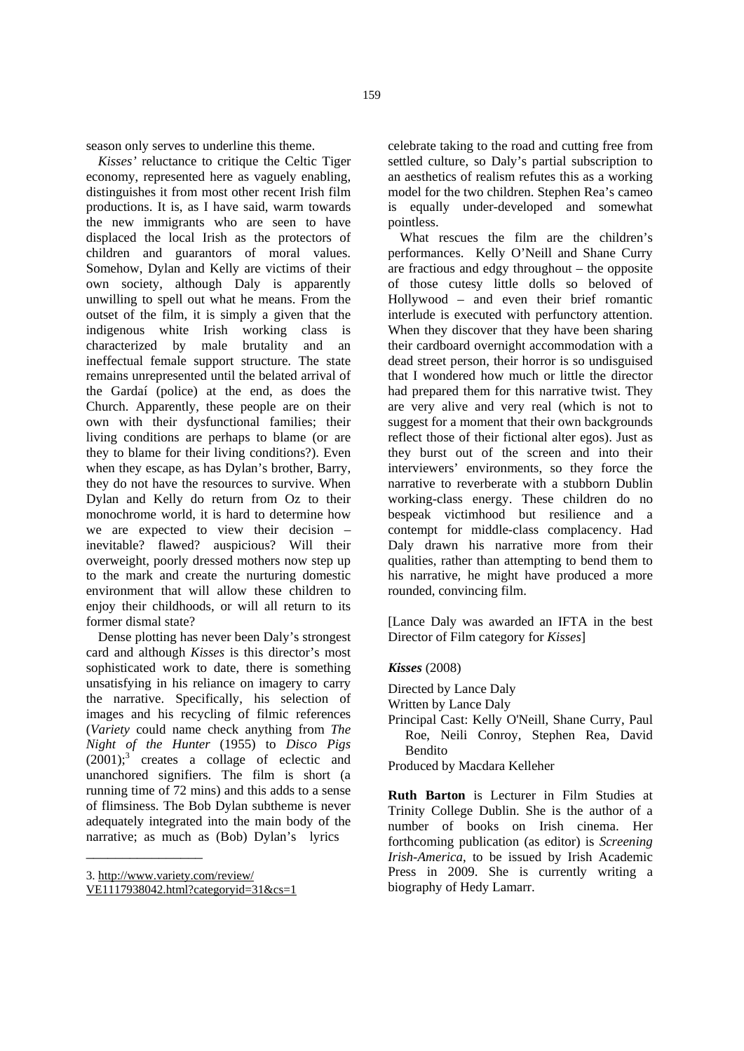season only serves to underline this theme.

*Kisses'* reluctance to critique the Celtic Tiger economy, represented here as vaguely enabling, distinguishes it from most other recent Irish film productions. It is, as I have said, warm towards the new immigrants who are seen to have displaced the local Irish as the protectors of children and guarantors of moral values. Somehow, Dylan and Kelly are victims of their own society, although Daly is apparently unwilling to spell out what he means. From the outset of the film, it is simply a given that the indigenous white Irish working class is characterized by male brutality and an ineffectual female support structure. The state remains unrepresented until the belated arrival of the Gardaí (police) at the end, as does the Church. Apparently, these people are on their own with their dysfunctional families; their living conditions are perhaps to blame (or are they to blame for their living conditions?). Even when they escape, as has Dylan's brother, Barry, they do not have the resources to survive. When Dylan and Kelly do return from Oz to their monochrome world, it is hard to determine how we are expected to view their decision – inevitable? flawed? auspicious? Will their overweight, poorly dressed mothers now step up to the mark and create the nurturing domestic environment that will allow these children to enjoy their childhoods, or will all return to its former dismal state?

Dense plotting has never been Daly's strongest card and although *Kisses* is this director's most sophisticated work to date, there is something unsatisfying in his reliance on imagery to carry the narrative. Specifically, his selection of images and his recycling of filmic references (*Variety* could name check anything from *The Night of the Hunter* (1955) to *Disco Pigs*  $(2001)$ ;<sup>3</sup> creates a collage of eclectic and unanchored signifiers. The film is short (a running time of 72 mins) and this adds to a sense of flimsiness. The Bob Dylan subtheme is never adequately integrated into the main body of the narrative; as much as (Bob) Dylan's lyrics

\_\_\_\_\_\_\_\_\_\_\_\_\_\_\_\_

celebrate taking to the road and cutting free from settled culture, so Daly's partial subscription to an aesthetics of realism refutes this as a working model for the two children. Stephen Rea's cameo is equally under-developed and somewhat pointless.

What rescues the film are the children's performances. Kelly O'Neill and Shane Curry are fractious and edgy throughout – the opposite of those cutesy little dolls so beloved of Hollywood – and even their brief romantic interlude is executed with perfunctory attention. When they discover that they have been sharing their cardboard overnight accommodation with a dead street person, their horror is so undisguised that I wondered how much or little the director had prepared them for this narrative twist. They are very alive and very real (which is not to suggest for a moment that their own backgrounds reflect those of their fictional alter egos). Just as they burst out of the screen and into their interviewers' environments, so they force the narrative to reverberate with a stubborn Dublin working-class energy. These children do no bespeak victimhood but resilience and a contempt for middle-class complacency. Had Daly drawn his narrative more from their qualities, rather than attempting to bend them to his narrative, he might have produced a more rounded, convincing film.

[Lance Daly was awarded an IFTA in the best Director of Film category for *Kisses*]

## *Kisses* (2008)

- Directed by Lance Daly
- Written by Lance Daly
- Principal Cast: Kelly O'Neill, Shane Curry, Paul Roe, Neili Conroy, Stephen Rea, David Bendito

Produced by Macdara Kelleher

**Ruth Barton** is Lecturer in Film Studies at Trinity College Dublin. She is the author of a number of books on Irish cinema. Her forthcoming publication (as editor) is *Screening Irish-America*, to be issued by Irish Academic Press in 2009. She is currently writing a biography of Hedy Lamarr.

<sup>3.</sup> http://www.variety.com/review/

VE1117938042.html?categoryid=31&cs=1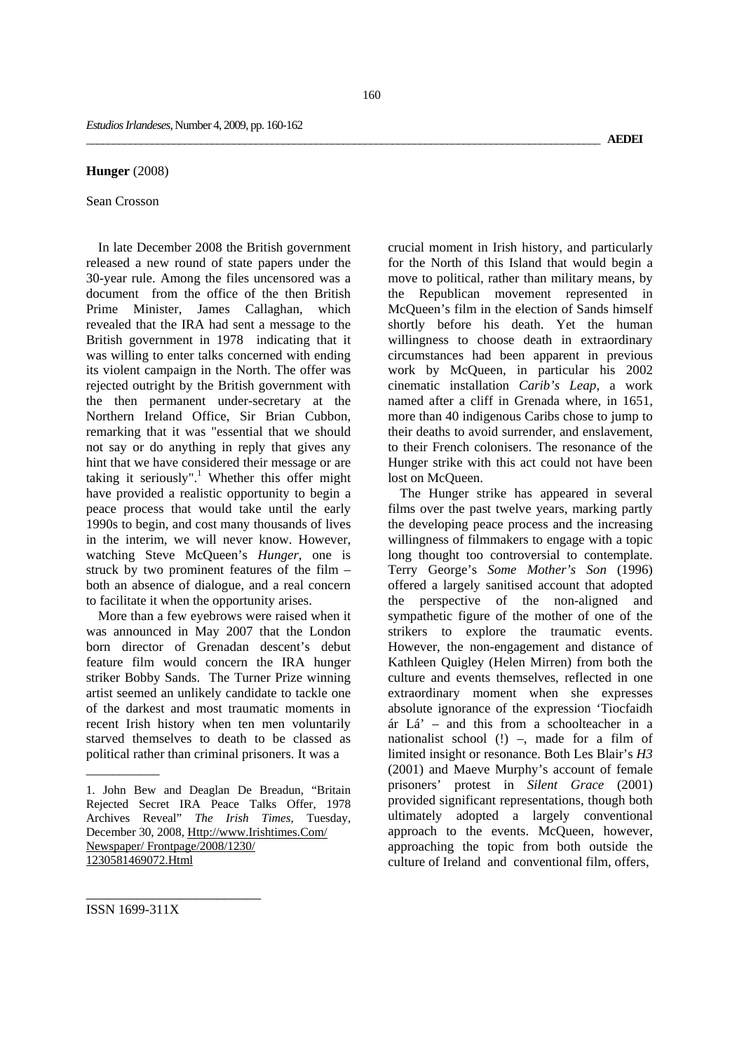#### **Hunger** (2008)

### Sean Crosson

In late December 2008 the British government released a new round of state papers under the 30-year rule. Among the files uncensored was a document from the office of the then British Prime Minister, James Callaghan, which revealed that the IRA had sent a message to the British government in 1978 indicating that it was willing to enter talks concerned with ending its violent campaign in the North. The offer was rejected outright by the British government with the then permanent under-secretary at the Northern Ireland Office, Sir Brian Cubbon, remarking that it was "essential that we should not say or do anything in reply that gives any hint that we have considered their message or are taking it seriously".<sup>1</sup> Whether this offer might have provided a realistic opportunity to begin a peace process that would take until the early 1990s to begin, and cost many thousands of lives in the interim, we will never know. However, watching Steve McQueen's *Hunger*, one is struck by two prominent features of the film – both an absence of dialogue, and a real concern to facilitate it when the opportunity arises.

More than a few eyebrows were raised when it was announced in May 2007 that the London born director of Grenadan descent's debut feature film would concern the IRA hunger striker Bobby Sands. The Turner Prize winning artist seemed an unlikely candidate to tackle one of the darkest and most traumatic moments in recent Irish history when ten men voluntarily starved themselves to death to be classed as political rather than criminal prisoners. It was a

crucial moment in Irish history, and particularly for the North of this Island that would begin a move to political, rather than military means, by the Republican movement represented in McQueen's film in the election of Sands himself shortly before his death. Yet the human willingness to choose death in extraordinary circumstances had been apparent in previous work by McQueen, in particular his 2002 cinematic installation *Carib's Leap*, a work named after a cliff in Grenada where, in 1651, more than 40 indigenous Caribs chose to jump to their deaths to avoid surrender, and enslavement, to their French colonisers. The resonance of the Hunger strike with this act could not have been lost on McOueen.

The Hunger strike has appeared in several films over the past twelve years, marking partly the developing peace process and the increasing willingness of filmmakers to engage with a topic long thought too controversial to contemplate. Terry George's *Some Mother's Son* (1996) offered a largely sanitised account that adopted the perspective of the non-aligned and sympathetic figure of the mother of one of the strikers to explore the traumatic events. However, the non-engagement and distance of Kathleen Quigley (Helen Mirren) from both the culture and events themselves, reflected in one extraordinary moment when she expresses absolute ignorance of the expression 'Tiocfaidh ár Lá' – and this from a schoolteacher in a nationalist school (!) –, made for a film of limited insight or resonance. Both Les Blair's *H3* (2001) and Maeve Murphy's account of female prisoners' protest in *Silent Grace* (2001) provided significant representations, though both ultimately adopted a largely conventional approach to the events. McQueen, however, approaching the topic from both outside the culture of Ireland and conventional film, offers,

ISSN 1699-311X

\_\_\_\_\_\_\_\_\_\_\_\_\_\_\_\_\_\_\_\_\_\_\_\_

\_\_\_\_\_\_\_\_\_\_\_

<sup>1.</sup> John Bew and Deaglan De Breadun, "Britain Rejected Secret IRA Peace Talks Offer, 1978 Archives Reveal" *The Irish Times*, Tuesday, December 30, 2008, Http://www.Irishtimes.Com/ Newspaper/ Frontpage/2008/1230/ 1230581469072.Html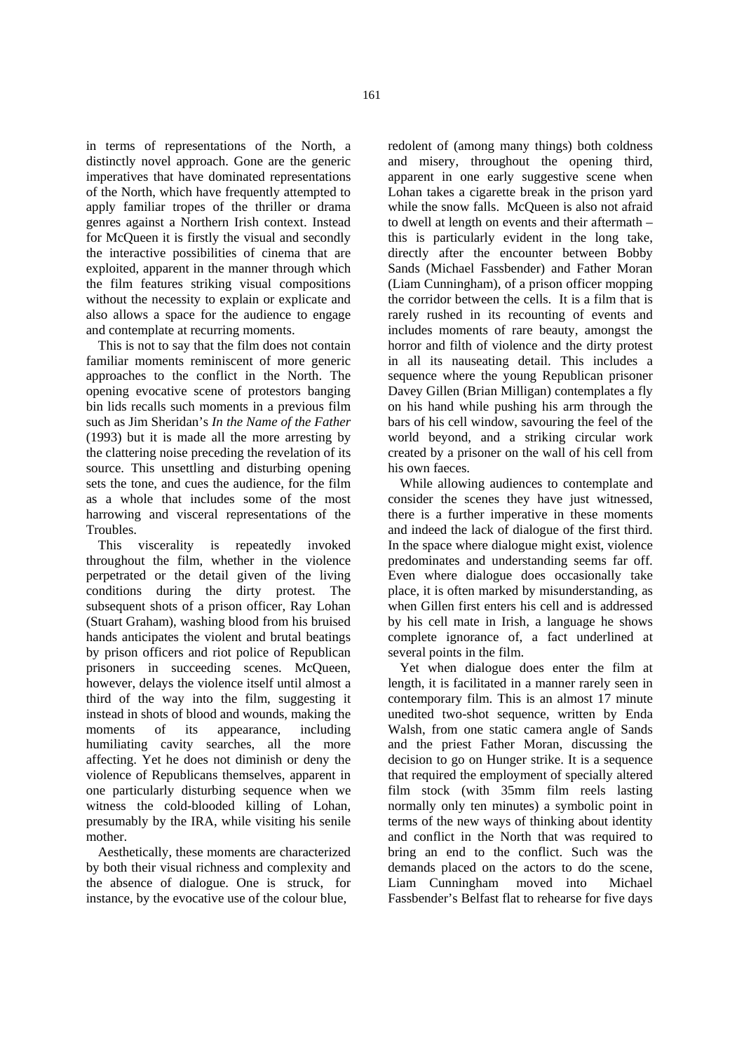in terms of representations of the North, a distinctly novel approach. Gone are the generic imperatives that have dominated representations of the North, which have frequently attempted to apply familiar tropes of the thriller or drama genres against a Northern Irish context. Instead for McQueen it is firstly the visual and secondly the interactive possibilities of cinema that are exploited, apparent in the manner through which the film features striking visual compositions without the necessity to explain or explicate and also allows a space for the audience to engage and contemplate at recurring moments.

This is not to say that the film does not contain familiar moments reminiscent of more generic approaches to the conflict in the North. The opening evocative scene of protestors banging bin lids recalls such moments in a previous film such as Jim Sheridan's *In the Name of the Father* (1993) but it is made all the more arresting by the clattering noise preceding the revelation of its source. This unsettling and disturbing opening sets the tone, and cues the audience, for the film as a whole that includes some of the most harrowing and visceral representations of the Troubles.

This viscerality is repeatedly invoked throughout the film, whether in the violence perpetrated or the detail given of the living conditions during the dirty protest. The subsequent shots of a prison officer, Ray Lohan (Stuart Graham), washing blood from his bruised hands anticipates the violent and brutal beatings by prison officers and riot police of Republican prisoners in succeeding scenes. McQueen, however, delays the violence itself until almost a third of the way into the film, suggesting it instead in shots of blood and wounds, making the moments of its appearance, including humiliating cavity searches, all the more affecting. Yet he does not diminish or deny the violence of Republicans themselves, apparent in one particularly disturbing sequence when we witness the cold-blooded killing of Lohan, presumably by the IRA, while visiting his senile mother.

Aesthetically, these moments are characterized by both their visual richness and complexity and the absence of dialogue. One is struck, for instance, by the evocative use of the colour blue,

redolent of (among many things) both coldness and misery, throughout the opening third, apparent in one early suggestive scene when Lohan takes a cigarette break in the prison yard while the snow falls. McQueen is also not afraid to dwell at length on events and their aftermath – this is particularly evident in the long take, directly after the encounter between Bobby Sands (Michael Fassbender) and Father Moran (Liam Cunningham), of a prison officer mopping the corridor between the cells. It is a film that is rarely rushed in its recounting of events and includes moments of rare beauty, amongst the horror and filth of violence and the dirty protest in all its nauseating detail. This includes a sequence where the young Republican prisoner Davey Gillen (Brian Milligan) contemplates a fly on his hand while pushing his arm through the bars of his cell window, savouring the feel of the world beyond, and a striking circular work created by a prisoner on the wall of his cell from his own faeces.

While allowing audiences to contemplate and consider the scenes they have just witnessed, there is a further imperative in these moments and indeed the lack of dialogue of the first third. In the space where dialogue might exist, violence predominates and understanding seems far off. Even where dialogue does occasionally take place, it is often marked by misunderstanding, as when Gillen first enters his cell and is addressed by his cell mate in Irish, a language he shows complete ignorance of, a fact underlined at several points in the film.

Yet when dialogue does enter the film at length, it is facilitated in a manner rarely seen in contemporary film. This is an almost 17 minute unedited two-shot sequence, written by Enda Walsh, from one static camera angle of Sands and the priest Father Moran, discussing the decision to go on Hunger strike. It is a sequence that required the employment of specially altered film stock (with 35mm film reels lasting normally only ten minutes) a symbolic point in terms of the new ways of thinking about identity and conflict in the North that was required to bring an end to the conflict. Such was the demands placed on the actors to do the scene, Liam Cunningham moved into Michael Fassbender's Belfast flat to rehearse for five days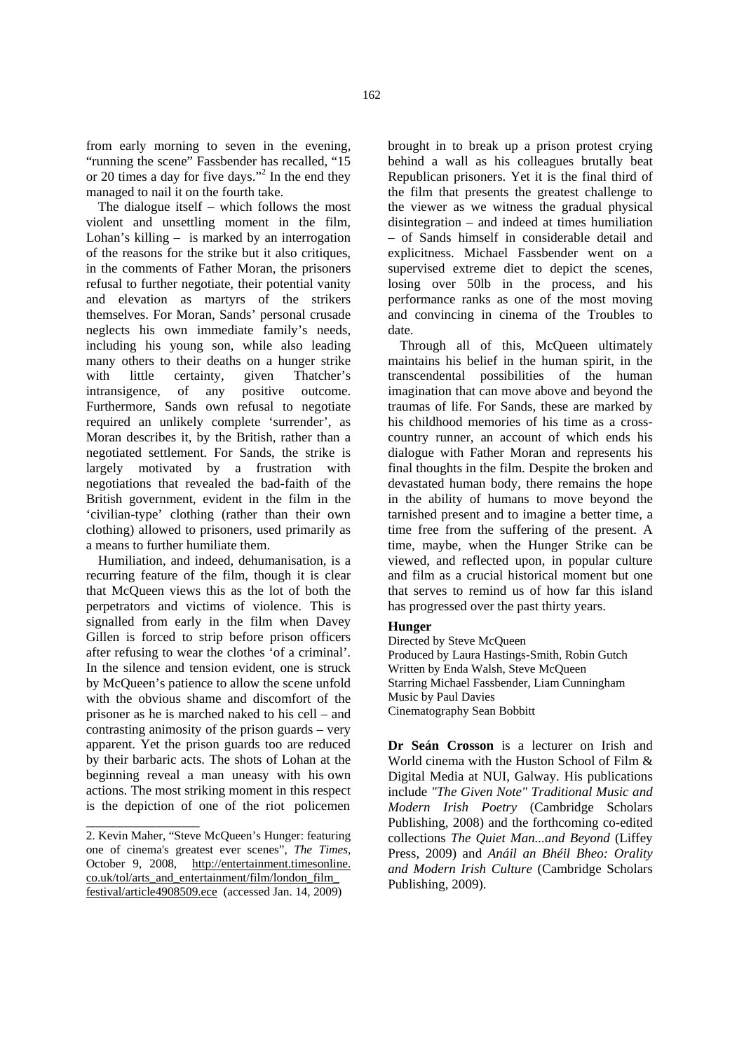from early morning to seven in the evening, "running the scene" Fassbender has recalled, "15 or 20 times a day for five days."<sup>2</sup> In the end they managed to nail it on the fourth take.

The dialogue itself – which follows the most violent and unsettling moment in the film, Lohan's killing – is marked by an interrogation of the reasons for the strike but it also critiques, in the comments of Father Moran, the prisoners refusal to further negotiate, their potential vanity and elevation as martyrs of the strikers themselves. For Moran, Sands' personal crusade neglects his own immediate family's needs, including his young son, while also leading many others to their deaths on a hunger strike with little certainty, given Thatcher's<br>intransigence, of any positive outcome.  $intransigence,$  of any Furthermore, Sands own refusal to negotiate required an unlikely complete 'surrender', as Moran describes it, by the British, rather than a negotiated settlement. For Sands, the strike is largely motivated by a frustration with negotiations that revealed the bad-faith of the British government, evident in the film in the 'civilian-type' clothing (rather than their own clothing) allowed to prisoners, used primarily as a means to further humiliate them.

Humiliation, and indeed, dehumanisation, is a recurring feature of the film, though it is clear that McQueen views this as the lot of both the perpetrators and victims of violence. This is signalled from early in the film when Davey Gillen is forced to strip before prison officers after refusing to wear the clothes 'of a criminal'. In the silence and tension evident, one is struck by McQueen's patience to allow the scene unfold with the obvious shame and discomfort of the prisoner as he is marched naked to his cell – and contrasting animosity of the prison guards – very apparent. Yet the prison guards too are reduced by their barbaric acts. The shots of Lohan at the beginning reveal a man uneasy with his own actions. The most striking moment in this respect is the depiction of one of the riot policemen

\_\_\_\_\_\_\_\_\_\_\_\_\_\_\_\_\_

brought in to break up a prison protest crying behind a wall as his colleagues brutally beat Republican prisoners. Yet it is the final third of the film that presents the greatest challenge to the viewer as we witness the gradual physical disintegration – and indeed at times humiliation – of Sands himself in considerable detail and explicitness. Michael Fassbender went on a supervised extreme diet to depict the scenes, losing over 50lb in the process, and his performance ranks as one of the most moving and convincing in cinema of the Troubles to date.

Through all of this, McQueen ultimately maintains his belief in the human spirit, in the transcendental possibilities of the human imagination that can move above and beyond the traumas of life. For Sands, these are marked by his childhood memories of his time as a crosscountry runner, an account of which ends his dialogue with Father Moran and represents his final thoughts in the film. Despite the broken and devastated human body, there remains the hope in the ability of humans to move beyond the tarnished present and to imagine a better time, a time free from the suffering of the present. A time, maybe, when the Hunger Strike can be viewed, and reflected upon, in popular culture and film as a crucial historical moment but one that serves to remind us of how far this island has progressed over the past thirty years.

# **Hunger**

Directed by Steve McQueen Produced by Laura Hastings-Smith, Robin Gutch Written by Enda Walsh, Steve McQueen Starring Michael Fassbender, Liam Cunningham Music by Paul Davies Cinematography Sean Bobbitt

**Dr Seán Crosson** is a lecturer on Irish and World cinema with the Huston School of Film & Digital Media at NUI, Galway. His publications include *"The Given Note" Traditional Music and Modern Irish Poetry* (Cambridge Scholars Publishing, 2008) and the forthcoming co-edited collections *The Quiet Man...and Beyond* (Liffey Press, 2009) and *Anáil an Bhéil Bheo: Orality and Modern Irish Culture* (Cambridge Scholars Publishing, 2009).

<sup>2.</sup> Kevin Maher, "Steve McQueen's Hunger: featuring one of cinema's greatest ever scenes", *The Times*, October 9, 2008, http://entertainment.timesonline. co.uk/tol/arts\_and\_entertainment/film/london\_film\_ festival/article4908509.ece (accessed Jan. 14, 2009)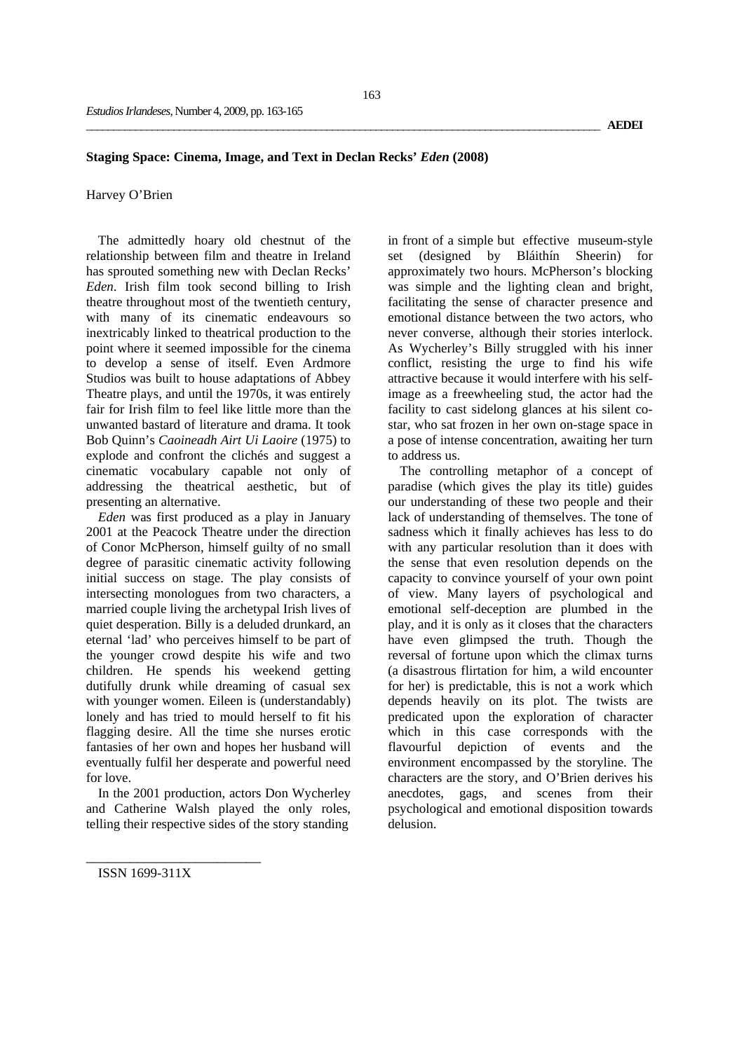## **Staging Space: Cinema, Image, and Text in Declan Recks'** *Eden* **(2008)**

# Harvey O'Brien

The admittedly hoary old chestnut of the relationship between film and theatre in Ireland has sprouted something new with Declan Recks' *Eden*. Irish film took second billing to Irish theatre throughout most of the twentieth century, with many of its cinematic endeavours so inextricably linked to theatrical production to the point where it seemed impossible for the cinema to develop a sense of itself. Even Ardmore Studios was built to house adaptations of Abbey Theatre plays, and until the 1970s, it was entirely fair for Irish film to feel like little more than the unwanted bastard of literature and drama. It took Bob Quinn's *Caoineadh Airt Ui Laoire* (1975) to explode and confront the clichés and suggest a cinematic vocabulary capable not only of addressing the theatrical aesthetic, but of presenting an alternative.

*Eden* was first produced as a play in January 2001 at the Peacock Theatre under the direction of Conor McPherson, himself guilty of no small degree of parasitic cinematic activity following initial success on stage. The play consists of intersecting monologues from two characters, a married couple living the archetypal Irish lives of quiet desperation. Billy is a deluded drunkard, an eternal 'lad' who perceives himself to be part of the younger crowd despite his wife and two children. He spends his weekend getting dutifully drunk while dreaming of casual sex with younger women. Eileen is (understandably) lonely and has tried to mould herself to fit his flagging desire. All the time she nurses erotic fantasies of her own and hopes her husband will eventually fulfil her desperate and powerful need for love.

In the 2001 production, actors Don Wycherley and Catherine Walsh played the only roles, telling their respective sides of the story standing

in front of a simple but effective museum-style set (designed by Bláithín Sheerin) for approximately two hours. McPherson's blocking was simple and the lighting clean and bright, facilitating the sense of character presence and emotional distance between the two actors, who never converse, although their stories interlock. As Wycherley's Billy struggled with his inner conflict, resisting the urge to find his wife attractive because it would interfere with his selfimage as a freewheeling stud, the actor had the facility to cast sidelong glances at his silent costar, who sat frozen in her own on-stage space in a pose of intense concentration, awaiting her turn to address us.

The controlling metaphor of a concept of paradise (which gives the play its title) guides our understanding of these two people and their lack of understanding of themselves. The tone of sadness which it finally achieves has less to do with any particular resolution than it does with the sense that even resolution depends on the capacity to convince yourself of your own point of view. Many layers of psychological and emotional self-deception are plumbed in the play, and it is only as it closes that the characters have even glimpsed the truth. Though the reversal of fortune upon which the climax turns (a disastrous flirtation for him, a wild encounter for her) is predictable, this is not a work which depends heavily on its plot. The twists are predicated upon the exploration of character which in this case corresponds with the flavourful depiction of events and the environment encompassed by the storyline. The characters are the story, and O'Brien derives his anecdotes, gags, and scenes from their psychological and emotional disposition towards delusion.

ISSN 1699-311X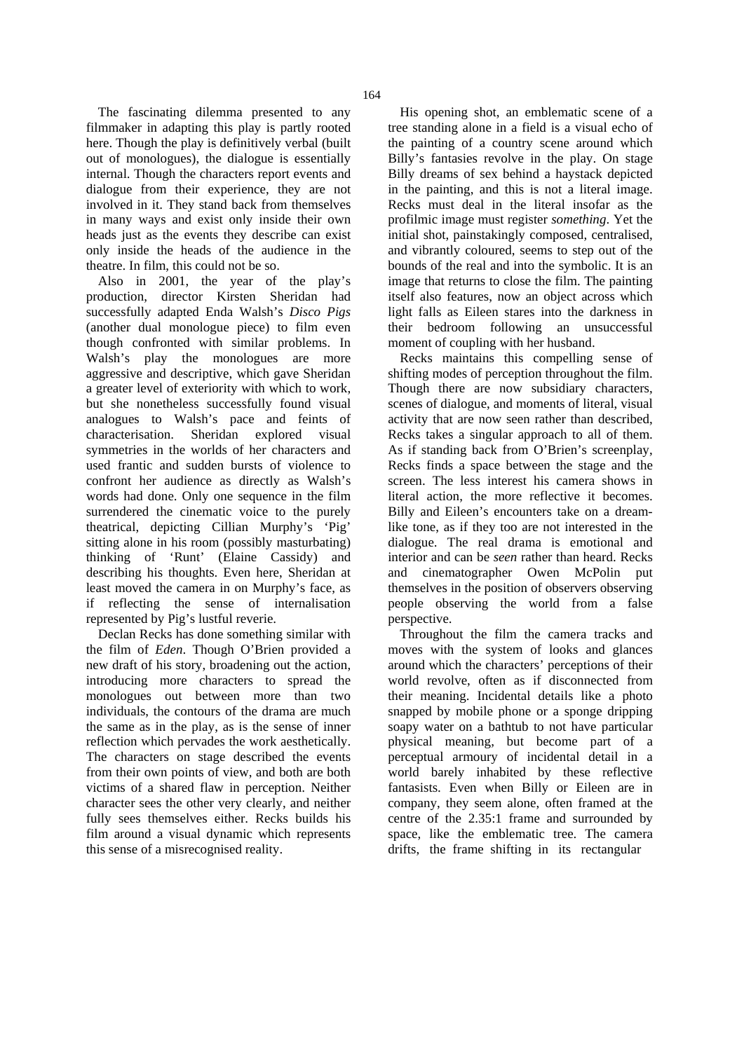The fascinating dilemma presented to any filmmaker in adapting this play is partly rooted here. Though the play is definitively verbal (built out of monologues), the dialogue is essentially internal. Though the characters report events and dialogue from their experience, they are not involved in it. They stand back from themselves in many ways and exist only inside their own heads just as the events they describe can exist only inside the heads of the audience in the theatre. In film, this could not be so.

Also in 2001, the year of the play's production, director Kirsten Sheridan had successfully adapted Enda Walsh's *Disco Pigs* (another dual monologue piece) to film even though confronted with similar problems. In Walsh's play the monologues are more aggressive and descriptive, which gave Sheridan a greater level of exteriority with which to work, but she nonetheless successfully found visual analogues to Walsh's pace and feints of characterisation. Sheridan explored visual symmetries in the worlds of her characters and used frantic and sudden bursts of violence to confront her audience as directly as Walsh's words had done. Only one sequence in the film surrendered the cinematic voice to the purely theatrical, depicting Cillian Murphy's 'Pig' sitting alone in his room (possibly masturbating) thinking of 'Runt' (Elaine Cassidy) and describing his thoughts. Even here, Sheridan at least moved the camera in on Murphy's face, as if reflecting the sense of internalisation represented by Pig's lustful reverie.

Declan Recks has done something similar with the film of *Eden*. Though O'Brien provided a new draft of his story, broadening out the action, introducing more characters to spread the monologues out between more than two individuals, the contours of the drama are much the same as in the play, as is the sense of inner reflection which pervades the work aesthetically. The characters on stage described the events from their own points of view, and both are both victims of a shared flaw in perception. Neither character sees the other very clearly, and neither fully sees themselves either. Recks builds his film around a visual dynamic which represents this sense of a misrecognised reality.

His opening shot, an emblematic scene of a tree standing alone in a field is a visual echo of the painting of a country scene around which Billy's fantasies revolve in the play. On stage Billy dreams of sex behind a haystack depicted in the painting, and this is not a literal image. Recks must deal in the literal insofar as the profilmic image must register *something*. Yet the initial shot, painstakingly composed, centralised, and vibrantly coloured, seems to step out of the bounds of the real and into the symbolic. It is an image that returns to close the film. The painting itself also features, now an object across which light falls as Eileen stares into the darkness in their bedroom following an unsuccessful moment of coupling with her husband.

Recks maintains this compelling sense of shifting modes of perception throughout the film. Though there are now subsidiary characters, scenes of dialogue, and moments of literal, visual activity that are now seen rather than described, Recks takes a singular approach to all of them. As if standing back from O'Brien's screenplay, Recks finds a space between the stage and the screen. The less interest his camera shows in literal action, the more reflective it becomes. Billy and Eileen's encounters take on a dreamlike tone, as if they too are not interested in the dialogue. The real drama is emotional and interior and can be *seen* rather than heard. Recks and cinematographer Owen McPolin put themselves in the position of observers observing people observing the world from a false perspective.

Throughout the film the camera tracks and moves with the system of looks and glances around which the characters' perceptions of their world revolve, often as if disconnected from their meaning. Incidental details like a photo snapped by mobile phone or a sponge dripping soapy water on a bathtub to not have particular physical meaning, but become part of a perceptual armoury of incidental detail in a world barely inhabited by these reflective fantasists. Even when Billy or Eileen are in company, they seem alone, often framed at the centre of the 2.35:1 frame and surrounded by space, like the emblematic tree. The camera drifts, the frame shifting in its rectangular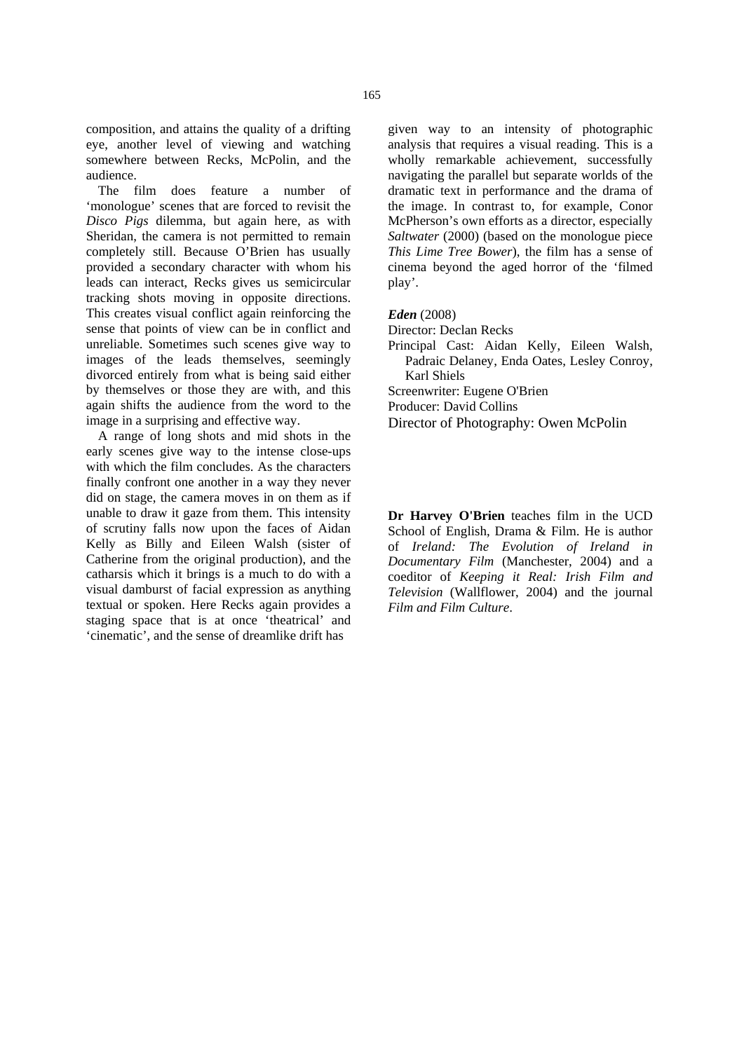composition, and attains the quality of a drifting eye, another level of viewing and watching somewhere between Recks, McPolin, and the audience.

The film does feature a number of 'monologue' scenes that are forced to revisit the *Disco Pigs* dilemma, but again here, as with Sheridan, the camera is not permitted to remain completely still. Because O'Brien has usually provided a secondary character with whom his leads can interact, Recks gives us semicircular tracking shots moving in opposite directions. This creates visual conflict again reinforcing the sense that points of view can be in conflict and unreliable. Sometimes such scenes give way to images of the leads themselves, seemingly divorced entirely from what is being said either by themselves or those they are with, and this again shifts the audience from the word to the image in a surprising and effective way.

A range of long shots and mid shots in the early scenes give way to the intense close-ups with which the film concludes. As the characters finally confront one another in a way they never did on stage, the camera moves in on them as if unable to draw it gaze from them. This intensity of scrutiny falls now upon the faces of Aidan Kelly as Billy and Eileen Walsh (sister of Catherine from the original production), and the catharsis which it brings is a much to do with a visual damburst of facial expression as anything textual or spoken. Here Recks again provides a staging space that is at once 'theatrical' and 'cinematic', and the sense of dreamlike drift has

given way to an intensity of photographic analysis that requires a visual reading. This is a wholly remarkable achievement, successfully navigating the parallel but separate worlds of the dramatic text in performance and the drama of the image. In contrast to, for example, Conor McPherson's own efforts as a director, especially *Saltwater* (2000) (based on the monologue piece *This Lime Tree Bower*), the film has a sense of cinema beyond the aged horror of the 'filmed play'.

#### *Eden* (2008)

Director: Declan Recks

Principal Cast: Aidan Kelly, Eileen Walsh, Padraic Delaney, Enda Oates, Lesley Conroy, Karl Shiels

Screenwriter: Eugene O'Brien

Producer: David Collins

Director of Photography: Owen McPolin

**Dr Harvey O'Brien** teaches film in the UCD School of English, Drama & Film. He is author of *Ireland: The Evolution of Ireland in Documentary Film* (Manchester, 2004) and a coeditor of *Keeping it Real: Irish Film and Television* (Wallflower, 2004) and the journal *Film and Film Culture*.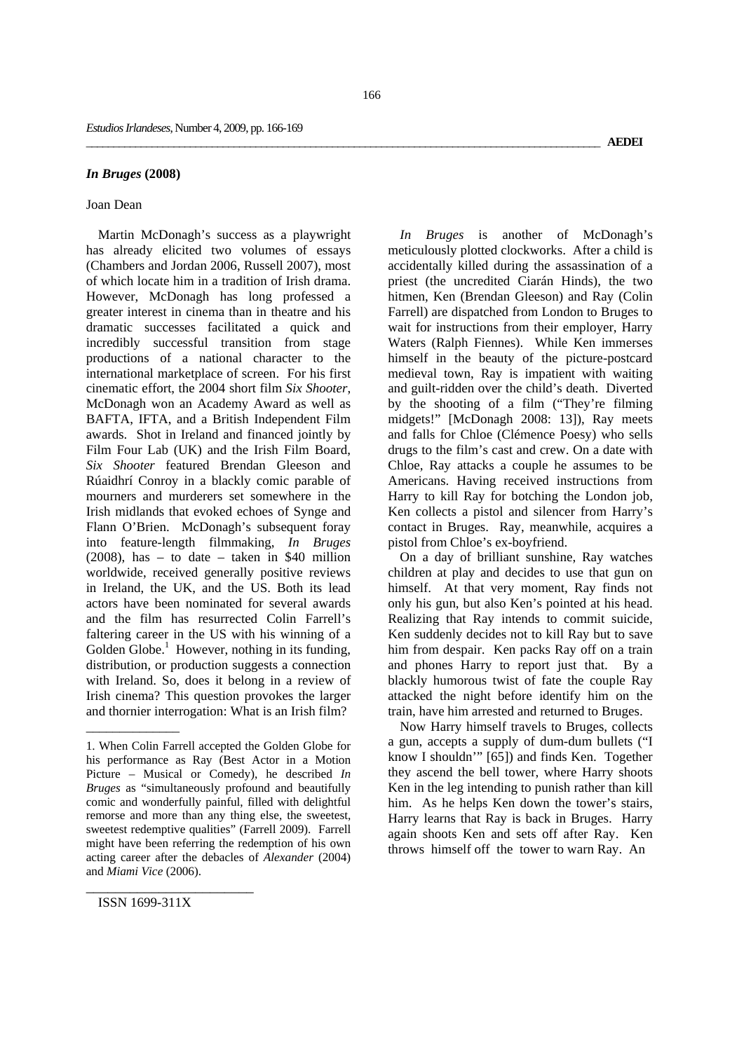### *In Bruges* **(2008)**

## Joan Dean

Martin McDonagh's success as a playwright has already elicited two volumes of essays (Chambers and Jordan 2006, Russell 2007), most of which locate him in a tradition of Irish drama. However, McDonagh has long professed a greater interest in cinema than in theatre and his dramatic successes facilitated a quick and incredibly successful transition from stage productions of a national character to the international marketplace of screen. For his first cinematic effort, the 2004 short film *Six Shooter*, McDonagh won an Academy Award as well as BAFTA, IFTA, and a British Independent Film awards. Shot in Ireland and financed jointly by Film Four Lab (UK) and the Irish Film Board, *Six Shooter* featured Brendan Gleeson and Rúaidhrí Conroy in a blackly comic parable of mourners and murderers set somewhere in the Irish midlands that evoked echoes of Synge and Flann O'Brien. McDonagh's subsequent foray into feature-length filmmaking, *In Bruges*  $(2008)$ , has – to date – taken in \$40 million worldwide, received generally positive reviews in Ireland, the UK, and the US. Both its lead actors have been nominated for several awards and the film has resurrected Colin Farrell's faltering career in the US with his winning of a Golden Globe.<sup>1</sup> However, nothing in its funding, distribution, or production suggests a connection with Ireland. So, does it belong in a review of Irish cinema? This question provokes the larger and thornier interrogation: What is an Irish film?

*In Bruges* is another of McDonagh's meticulously plotted clockworks. After a child is accidentally killed during the assassination of a priest (the uncredited Ciarán Hinds), the two hitmen, Ken (Brendan Gleeson) and Ray (Colin Farrell) are dispatched from London to Bruges to wait for instructions from their employer, Harry Waters (Ralph Fiennes). While Ken immerses himself in the beauty of the picture-postcard medieval town, Ray is impatient with waiting and guilt-ridden over the child's death. Diverted by the shooting of a film ("They're filming midgets!" [McDonagh 2008: 13]), Ray meets and falls for Chloe (Clémence Poesy) who sells drugs to the film's cast and crew. On a date with Chloe, Ray attacks a couple he assumes to be Americans. Having received instructions from Harry to kill Ray for botching the London job, Ken collects a pistol and silencer from Harry's contact in Bruges. Ray, meanwhile, acquires a pistol from Chloe's ex-boyfriend.

On a day of brilliant sunshine, Ray watches children at play and decides to use that gun on himself. At that very moment, Ray finds not only his gun, but also Ken's pointed at his head. Realizing that Ray intends to commit suicide, Ken suddenly decides not to kill Ray but to save him from despair. Ken packs Ray off on a train and phones Harry to report just that. By a blackly humorous twist of fate the couple Ray attacked the night before identify him on the train, have him arrested and returned to Bruges.

Now Harry himself travels to Bruges, collects a gun, accepts a supply of dum-dum bullets ("I know I shouldn'" [65]) and finds Ken. Together they ascend the bell tower, where Harry shoots Ken in the leg intending to punish rather than kill him. As he helps Ken down the tower's stairs, Harry learns that Ray is back in Bruges. Harry again shoots Ken and sets off after Ray. Ken throws himself off the tower to warn Ray. An

\_\_\_\_\_\_\_\_\_\_\_\_\_\_\_\_\_\_\_\_\_\_\_

\_\_\_\_\_\_\_\_\_\_\_\_\_\_

<sup>1.</sup> When Colin Farrell accepted the Golden Globe for his performance as Ray (Best Actor in a Motion Picture – Musical or Comedy), he described *In Bruges* as "simultaneously profound and beautifully comic and wonderfully painful, filled with delightful remorse and more than any thing else, the sweetest, sweetest redemptive qualities" (Farrell 2009). Farrell might have been referring the redemption of his own acting career after the debacles of *Alexander* (2004) and *Miami Vice* (2006).

ISSN 1699-311X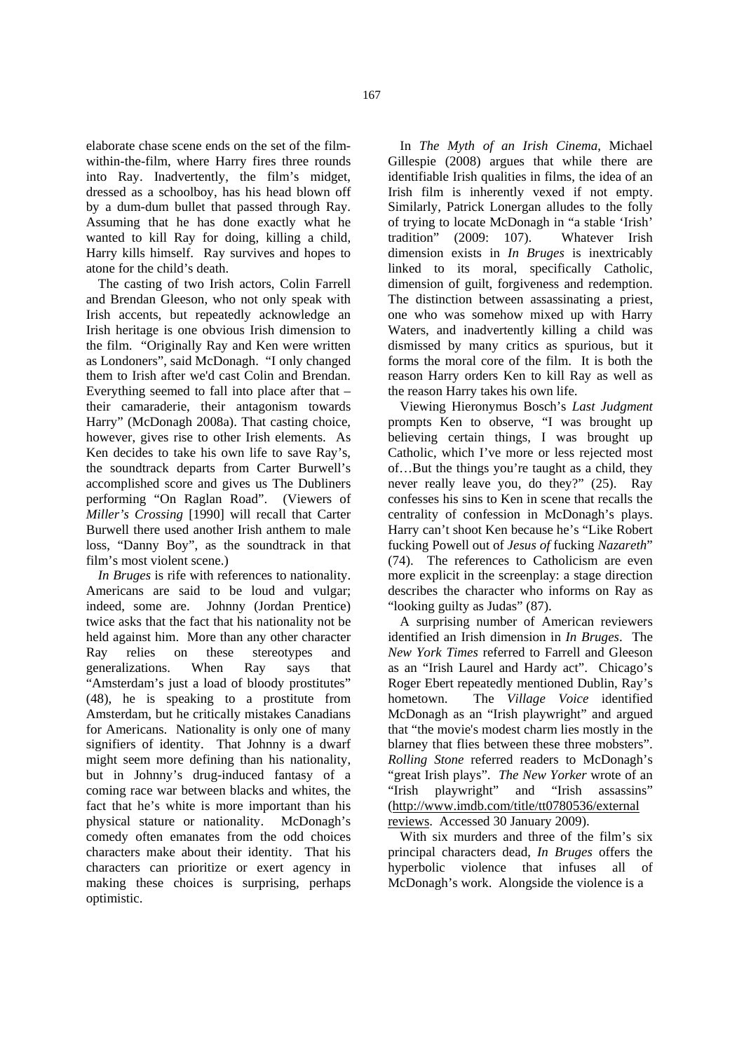elaborate chase scene ends on the set of the filmwithin-the-film, where Harry fires three rounds into Ray. Inadvertently, the film's midget, dressed as a schoolboy, has his head blown off by a dum-dum bullet that passed through Ray. Assuming that he has done exactly what he wanted to kill Ray for doing, killing a child, Harry kills himself. Ray survives and hopes to atone for the child's death.

The casting of two Irish actors, Colin Farrell and Brendan Gleeson, who not only speak with Irish accents, but repeatedly acknowledge an Irish heritage is one obvious Irish dimension to the film. "Originally Ray and Ken were written as Londoners", said McDonagh. "I only changed them to Irish after we'd cast Colin and Brendan. Everything seemed to fall into place after that – their camaraderie, their antagonism towards Harry" (McDonagh 2008a). That casting choice, however, gives rise to other Irish elements. As Ken decides to take his own life to save Ray's, the soundtrack departs from Carter Burwell's accomplished score and gives us The Dubliners performing "On Raglan Road". (Viewers of *Miller's Crossing* [1990] will recall that Carter Burwell there used another Irish anthem to male loss, "Danny Boy", as the soundtrack in that film's most violent scene.)

*In Bruges* is rife with references to nationality. Americans are said to be loud and vulgar; indeed, some are. Johnny (Jordan Prentice) twice asks that the fact that his nationality not be held against him. More than any other character Ray relies on these stereotypes and generalizations. When Ray says that "Amsterdam's just a load of bloody prostitutes" (48), he is speaking to a prostitute from Amsterdam, but he critically mistakes Canadians for Americans. Nationality is only one of many signifiers of identity. That Johnny is a dwarf might seem more defining than his nationality, but in Johnny's drug-induced fantasy of a coming race war between blacks and whites, the fact that he's white is more important than his physical stature or nationality. McDonagh's comedy often emanates from the odd choices characters make about their identity. That his characters can prioritize or exert agency in making these choices is surprising, perhaps optimistic.

In *The Myth of an Irish Cinema*, Michael Gillespie (2008) argues that while there are identifiable Irish qualities in films, the idea of an Irish film is inherently vexed if not empty. Similarly, Patrick Lonergan alludes to the folly of trying to locate McDonagh in "a stable 'Irish' tradition" (2009: 107). Whatever Irish dimension exists in *In Bruges* is inextricably linked to its moral, specifically Catholic, dimension of guilt, forgiveness and redemption. The distinction between assassinating a priest, one who was somehow mixed up with Harry Waters, and inadvertently killing a child was dismissed by many critics as spurious, but it forms the moral core of the film. It is both the reason Harry orders Ken to kill Ray as well as the reason Harry takes his own life.

Viewing Hieronymus Bosch's *Last Judgment* prompts Ken to observe, "I was brought up believing certain things, I was brought up Catholic, which I've more or less rejected most of…But the things you're taught as a child, they never really leave you, do they?" (25). Ray confesses his sins to Ken in scene that recalls the centrality of confession in McDonagh's plays. Harry can't shoot Ken because he's "Like Robert fucking Powell out of *Jesus of* fucking *Nazareth*" (74). The references to Catholicism are even more explicit in the screenplay: a stage direction describes the character who informs on Ray as "looking guilty as Judas" (87).

A surprising number of American reviewers identified an Irish dimension in *In Bruges*. The *New York Times* referred to Farrell and Gleeson as an "Irish Laurel and Hardy act". Chicago's Roger Ebert repeatedly mentioned Dublin, Ray's hometown. The *Village Voice* identified McDonagh as an "Irish playwright" and argued that "the movie's modest charm lies mostly in the blarney that flies between these three mobsters". *Rolling Stone* referred readers to McDonagh's "great Irish plays". *The New Yorker* wrote of an "Irish playwright" and "Irish assassins" (http://www.imdb.com/title/tt0780536/external reviews. Accessed 30 January 2009).

With six murders and three of the film's six principal characters dead, *In Bruges* offers the hyperbolic violence that infuses all of McDonagh's work. Alongside the violence is a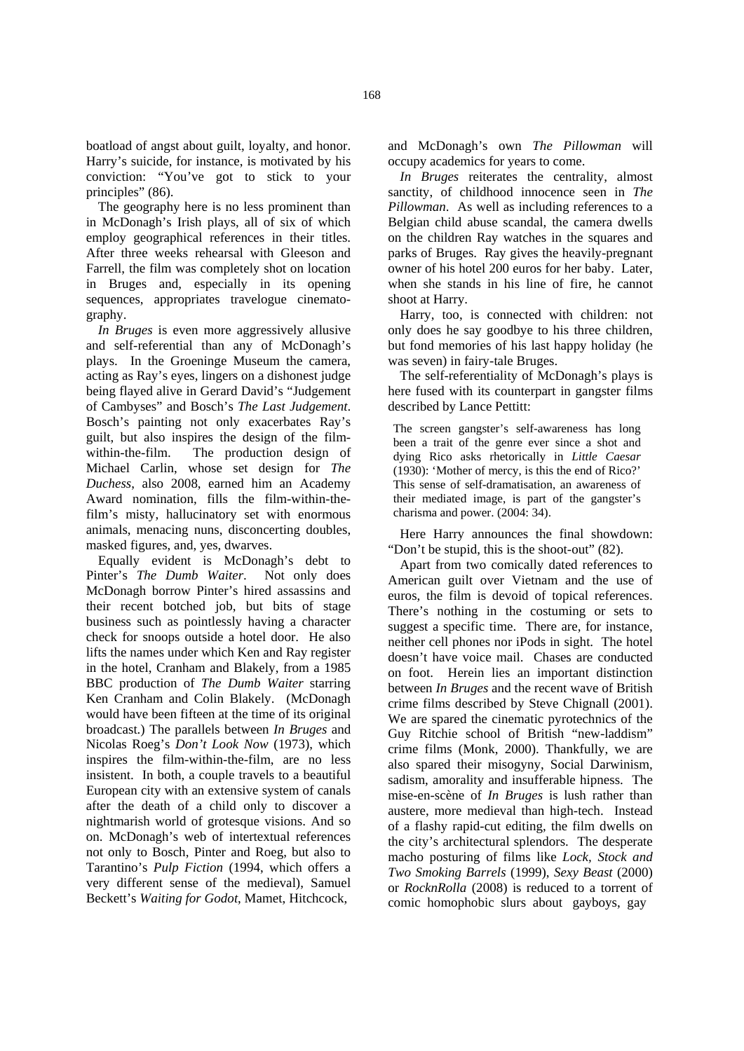boatload of angst about guilt, loyalty, and honor. Harry's suicide, for instance, is motivated by his conviction: "You've got to stick to your principles" (86).

The geography here is no less prominent than in McDonagh's Irish plays, all of six of which employ geographical references in their titles. After three weeks rehearsal with Gleeson and Farrell, the film was completely shot on location in Bruges and, especially in its opening sequences, appropriates travelogue cinematography.

*In Bruges* is even more aggressively allusive and self-referential than any of McDonagh's plays. In the Groeninge Museum the camera, acting as Ray's eyes, lingers on a dishonest judge being flayed alive in Gerard David's "Judgement of Cambyses" and Bosch's *The Last Judgement*. Bosch's painting not only exacerbates Ray's guilt, but also inspires the design of the filmwithin-the-film. The production design of Michael Carlin, whose set design for *The Duchess*, also 2008, earned him an Academy Award nomination, fills the film-within-thefilm's misty, hallucinatory set with enormous animals, menacing nuns, disconcerting doubles, masked figures, and, yes, dwarves.

Equally evident is McDonagh's debt to Pinter's *The Dumb Waiter*. Not only does McDonagh borrow Pinter's hired assassins and their recent botched job, but bits of stage business such as pointlessly having a character check for snoops outside a hotel door. He also lifts the names under which Ken and Ray register in the hotel, Cranham and Blakely, from a 1985 BBC production of *The Dumb Waiter* starring Ken Cranham and Colin Blakely. (McDonagh would have been fifteen at the time of its original broadcast.) The parallels between *In Bruges* and Nicolas Roeg's *Don't Look Now* (1973), which inspires the film-within-the-film, are no less insistent. In both, a couple travels to a beautiful European city with an extensive system of canals after the death of a child only to discover a nightmarish world of grotesque visions. And so on. McDonagh's web of intertextual references not only to Bosch, Pinter and Roeg, but also to Tarantino's *Pulp Fiction* (1994, which offers a very different sense of the medieval), Samuel Beckett's *Waiting for Godot*, Mamet, Hitchcock,

and McDonagh's own *The Pillowman* will occupy academics for years to come.

*In Bruges* reiterates the centrality, almost sanctity, of childhood innocence seen in *The Pillowman*. As well as including references to a Belgian child abuse scandal, the camera dwells on the children Ray watches in the squares and parks of Bruges. Ray gives the heavily-pregnant owner of his hotel 200 euros for her baby. Later, when she stands in his line of fire, he cannot shoot at Harry.

Harry, too, is connected with children: not only does he say goodbye to his three children, but fond memories of his last happy holiday (he was seven) in fairy-tale Bruges.

The self-referentiality of McDonagh's plays is here fused with its counterpart in gangster films described by Lance Pettitt:

The screen gangster's self-awareness has long been a trait of the genre ever since a shot and dying Rico asks rhetorically in *Little Caesar* (1930): 'Mother of mercy, is this the end of Rico?' This sense of self-dramatisation, an awareness of their mediated image, is part of the gangster's charisma and power. (2004: 34).

Here Harry announces the final showdown: "Don't be stupid, this is the shoot-out" (82).

Apart from two comically dated references to American guilt over Vietnam and the use of euros, the film is devoid of topical references. There's nothing in the costuming or sets to suggest a specific time. There are, for instance, neither cell phones nor iPods in sight. The hotel doesn't have voice mail. Chases are conducted on foot. Herein lies an important distinction between *In Bruges* and the recent wave of British crime films described by Steve Chignall (2001). We are spared the cinematic pyrotechnics of the Guy Ritchie school of British "new-laddism" crime films (Monk, 2000). Thankfully, we are also spared their misogyny, Social Darwinism, sadism, amorality and insufferable hipness. The mise-en-scène of *In Bruges* is lush rather than austere, more medieval than high-tech. Instead of a flashy rapid-cut editing, the film dwells on the city's architectural splendors. The desperate macho posturing of films like *Lock, Stock and Two Smoking Barrels* (1999), *Sexy Beast* (2000) or *RocknRolla* (2008) is reduced to a torrent of comic homophobic slurs about gayboys, gay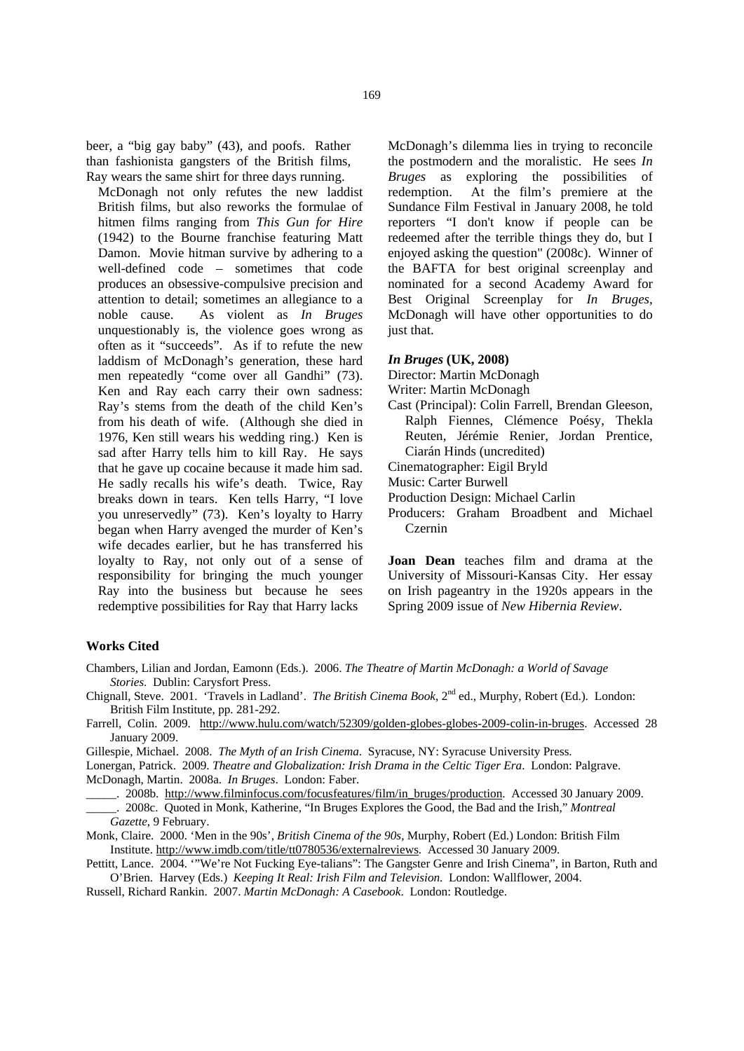beer, a "big gay baby" (43), and poofs. Rather than fashionista gangsters of the British films, Ray wears the same shirt for three days running.

McDonagh not only refutes the new laddist British films, but also reworks the formulae of hitmen films ranging from *This Gun for Hire*  (1942) to the Bourne franchise featuring Matt Damon. Movie hitman survive by adhering to a well-defined code – sometimes that code produces an obsessive-compulsive precision and attention to detail; sometimes an allegiance to a noble cause. As violent as *In Bruges*  unquestionably is, the violence goes wrong as often as it "succeeds". As if to refute the new laddism of McDonagh's generation, these hard men repeatedly "come over all Gandhi" (73). Ken and Ray each carry their own sadness: Ray's stems from the death of the child Ken's from his death of wife. (Although she died in 1976, Ken still wears his wedding ring.) Ken is sad after Harry tells him to kill Ray. He says that he gave up cocaine because it made him sad. He sadly recalls his wife's death. Twice, Ray breaks down in tears. Ken tells Harry, "I love you unreservedly" (73). Ken's loyalty to Harry began when Harry avenged the murder of Ken's wife decades earlier, but he has transferred his loyalty to Ray, not only out of a sense of responsibility for bringing the much younger Ray into the business but because he sees redemptive possibilities for Ray that Harry lacks

McDonagh's dilemma lies in trying to reconcile the postmodern and the moralistic. He sees *In Bruges* as exploring the possibilities of redemption. At the film's premiere at the Sundance Film Festival in January 2008, he told reporters "I don't know if people can be redeemed after the terrible things they do, but I enjoyed asking the question" (2008c). Winner of the BAFTA for best original screenplay and nominated for a second Academy Award for Best Original Screenplay for *In Bruges*, McDonagh will have other opportunities to do just that.

#### *In Bruges* **(UK, 2008)**

Director: Martin McDonagh

Writer: Martin McDonagh

Cast (Principal): Colin Farrell, Brendan Gleeson, Ralph Fiennes, Clémence Poésy, Thekla Reuten, Jérémie Renier, Jordan Prentice, Ciarán Hinds (uncredited)

Cinematographer: Eigil Bryld

- Music: Carter Burwell
- Production Design: Michael Carlin
- Producers: Graham Broadbent and Michael Czernin

**Joan Dean** teaches film and drama at the University of Missouri-Kansas City. Her essay on Irish pageantry in the 1920s appears in the Spring 2009 issue of *New Hibernia Review*.

#### **Works Cited**

- Chambers, Lilian and Jordan, Eamonn (Eds.). 2006. *The Theatre of Martin McDonagh: a World of Savage Stories*. Dublin: Carysfort Press.
- Chignall, Steve. 2001. 'Travels in Ladland'. *The British Cinema Book*, 2nd ed., Murphy, Robert (Ed.). London: British Film Institute, pp. 281-292.
- Farrell, Colin. 2009. http://www.hulu.com/watch/52309/golden-globes-globes-2009-colin-in-bruges. Accessed 28 January 2009.
- Gillespie, Michael. 2008. *The Myth of an Irish Cinema*. Syracuse, NY: Syracuse University Press.

Lonergan, Patrick. 2009. *Theatre and Globalization: Irish Drama in the Celtic Tiger Era*. London: Palgrave. McDonagh, Martin. 2008a. *In Bruges*. London: Faber.

\_\_\_\_\_. 2008b. http://www.filminfocus.com/focusfeatures/film/in\_bruges/production. Accessed 30 January 2009.

- \_\_\_\_\_. 2008c. Quoted in Monk, Katherine, "In Bruges Explores the Good, the Bad and the Irish," *Montreal Gazette*, 9 February.
- Monk, Claire. 2000. 'Men in the 90s', *British Cinema of the 90s*, Murphy, Robert (Ed.) London: British Film Institute. http://www.imdb.com/title/tt0780536/externalreviews. Accessed 30 January 2009.

Pettitt, Lance. 2004. '"We're Not Fucking Eye-talians": The Gangster Genre and Irish Cinema", in Barton, Ruth and O'Brien. Harvey (Eds.) *Keeping It Real: Irish Film and Television*. London: Wallflower, 2004.

Russell, Richard Rankin. 2007. *Martin McDonagh: A Casebook*. London: Routledge.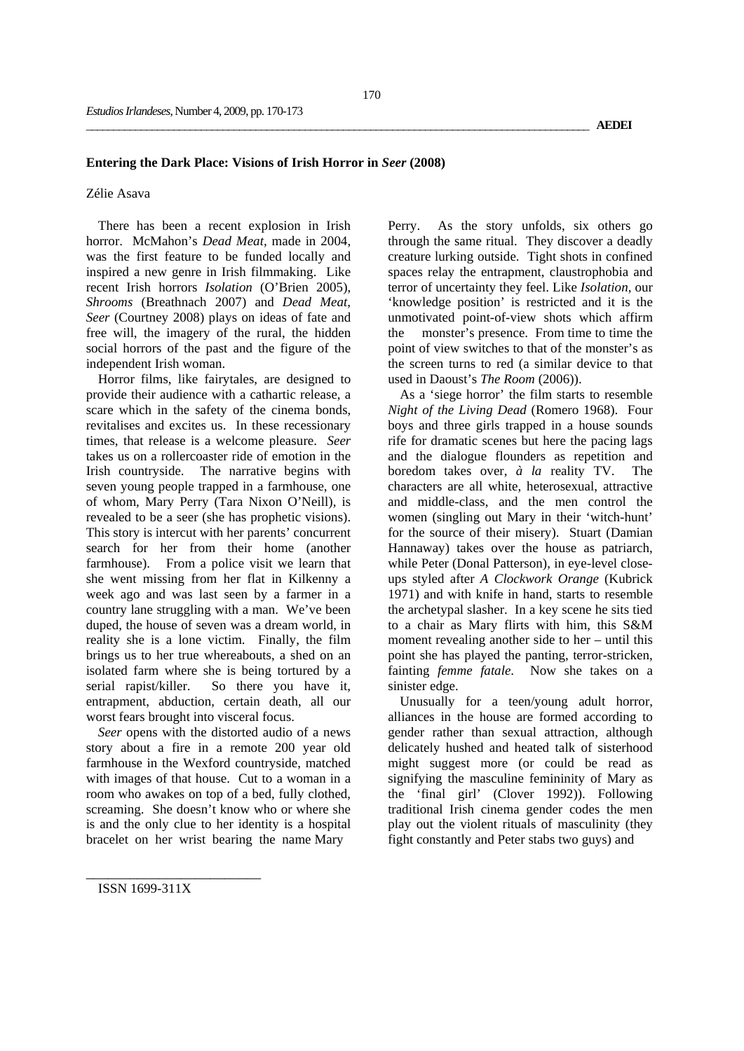# **Entering the Dark Place: Visions of Irish Horror in** *Seer* **(2008)**

## Zélie Asava

There has been a recent explosion in Irish horror. McMahon's *Dead Meat,* made in 2004, was the first feature to be funded locally and inspired a new genre in Irish filmmaking. Like recent Irish horrors *Isolation* (O'Brien 2005), *Shrooms* (Breathnach 2007) and *Dead Meat*, *Seer* (Courtney 2008) plays on ideas of fate and free will, the imagery of the rural, the hidden social horrors of the past and the figure of the independent Irish woman.

Horror films, like fairytales, are designed to provide their audience with a cathartic release, a scare which in the safety of the cinema bonds, revitalises and excites us. In these recessionary times, that release is a welcome pleasure. *Seer* takes us on a rollercoaster ride of emotion in the Irish countryside. The narrative begins with seven young people trapped in a farmhouse, one of whom, Mary Perry (Tara Nixon O'Neill), is revealed to be a seer (she has prophetic visions). This story is intercut with her parents' concurrent search for her from their home (another farmhouse). From a police visit we learn that she went missing from her flat in Kilkenny a week ago and was last seen by a farmer in a country lane struggling with a man. We've been duped, the house of seven was a dream world, in reality she is a lone victim. Finally, the film brings us to her true whereabouts, a shed on an isolated farm where she is being tortured by a serial rapist/killer. So there you have it, entrapment, abduction, certain death, all our worst fears brought into visceral focus.

*Seer* opens with the distorted audio of a news story about a fire in a remote 200 year old farmhouse in the Wexford countryside, matched with images of that house. Cut to a woman in a room who awakes on top of a bed, fully clothed, screaming. She doesn't know who or where she is and the only clue to her identity is a hospital bracelet on her wrist bearing the name Mary

Perry. As the story unfolds, six others go through the same ritual. They discover a deadly creature lurking outside. Tight shots in confined spaces relay the entrapment, claustrophobia and terror of uncertainty they feel. Like *Isolation*, our 'knowledge position' is restricted and it is the unmotivated point-of-view shots which affirm the monster's presence. From time to time the point of view switches to that of the monster's as the screen turns to red (a similar device to that used in Daoust's *The Room* (2006)).

As a 'siege horror' the film starts to resemble *Night of the Living Dead* (Romero 1968). Four boys and three girls trapped in a house sounds rife for dramatic scenes but here the pacing lags and the dialogue flounders as repetition and boredom takes over, *à la* reality TV. The characters are all white, heterosexual, attractive and middle-class, and the men control the women (singling out Mary in their 'witch-hunt' for the source of their misery). Stuart (Damian Hannaway) takes over the house as patriarch, while Peter (Donal Patterson), in eye-level closeups styled after *A Clockwork Orange* (Kubrick 1971) and with knife in hand, starts to resemble the archetypal slasher. In a key scene he sits tied to a chair as Mary flirts with him, this S&M moment revealing another side to her – until this point she has played the panting, terror-stricken, fainting *femme fatale*. Now she takes on a sinister edge.

Unusually for a teen/young adult horror, alliances in the house are formed according to gender rather than sexual attraction, although delicately hushed and heated talk of sisterhood might suggest more (or could be read as signifying the masculine femininity of Mary as the 'final girl' (Clover 1992)). Following traditional Irish cinema gender codes the men play out the violent rituals of masculinity (they fight constantly and Peter stabs two guys) and

ISSN 1699-311X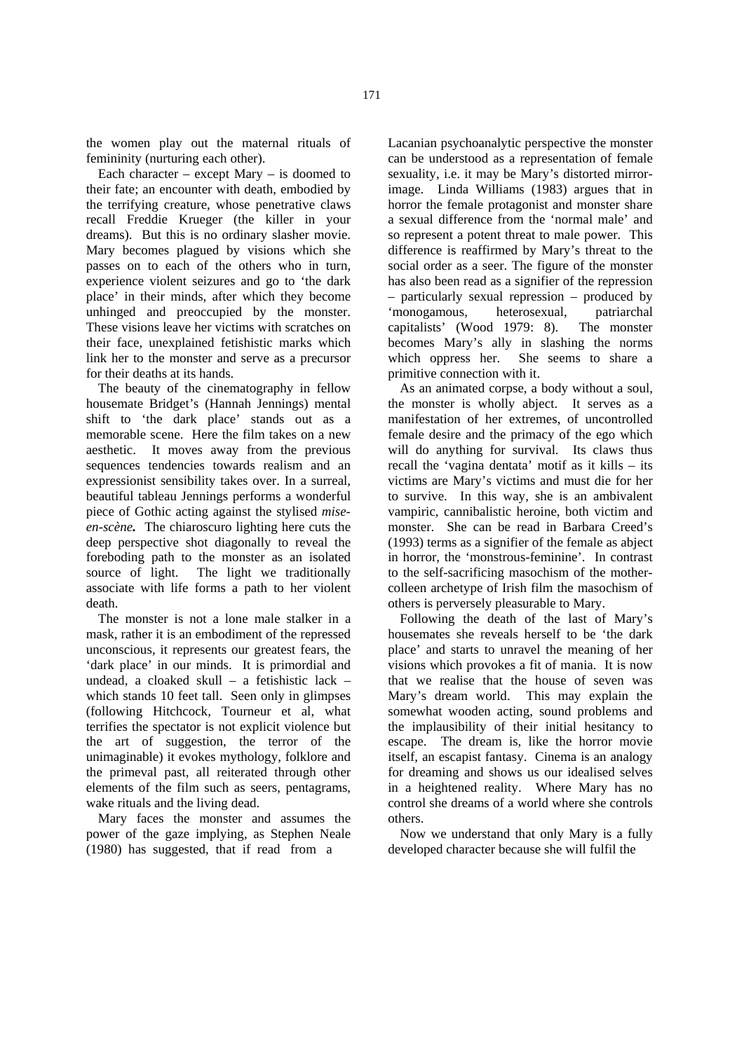the women play out the maternal rituals of femininity (nurturing each other).

Each character – except Mary – is doomed to their fate; an encounter with death, embodied by the terrifying creature, whose penetrative claws recall Freddie Krueger (the killer in your dreams). But this is no ordinary slasher movie. Mary becomes plagued by visions which she passes on to each of the others who in turn, experience violent seizures and go to 'the dark place' in their minds, after which they become unhinged and preoccupied by the monster. These visions leave her victims with scratches on their face, unexplained fetishistic marks which link her to the monster and serve as a precursor for their deaths at its hands.

The beauty of the cinematography in fellow housemate Bridget's (Hannah Jennings) mental shift to 'the dark place' stands out as a memorable scene. Here the film takes on a new aesthetic. It moves away from the previous sequences tendencies towards realism and an expressionist sensibility takes over. In a surreal, beautiful tableau Jennings performs a wonderful piece of Gothic acting against the stylised *miseen-scène.* The chiaroscuro lighting here cuts the deep perspective shot diagonally to reveal the foreboding path to the monster as an isolated source of light. The light we traditionally associate with life forms a path to her violent death.

The monster is not a lone male stalker in a mask, rather it is an embodiment of the repressed unconscious, it represents our greatest fears, the 'dark place' in our minds. It is primordial and undead, a cloaked skull – a fetishistic lack – which stands 10 feet tall. Seen only in glimpses (following Hitchcock, Tourneur et al, what terrifies the spectator is not explicit violence but the art of suggestion, the terror of the unimaginable) it evokes mythology, folklore and the primeval past, all reiterated through other elements of the film such as seers, pentagrams, wake rituals and the living dead.

Mary faces the monster and assumes the power of the gaze implying, as Stephen Neale (1980) has suggested, that if read from a

Lacanian psychoanalytic perspective the monster can be understood as a representation of female sexuality, i.e. it may be Mary's distorted mirrorimage. Linda Williams (1983) argues that in horror the female protagonist and monster share a sexual difference from the 'normal male' and so represent a potent threat to male power. This difference is reaffirmed by Mary's threat to the social order as a seer. The figure of the monster has also been read as a signifier of the repression – particularly sexual repression – produced by 'monogamous, heterosexual, patriarchal capitalists' (Wood 1979: 8). The monster becomes Mary's ally in slashing the norms which oppress her. She seems to share a primitive connection with it.

As an animated corpse, a body without a soul, the monster is wholly abject. It serves as a manifestation of her extremes, of uncontrolled female desire and the primacy of the ego which will do anything for survival. Its claws thus recall the 'vagina dentata' motif as it kills – its victims are Mary's victims and must die for her to survive. In this way, she is an ambivalent vampiric, cannibalistic heroine, both victim and monster. She can be read in Barbara Creed's (1993) terms as a signifier of the female as abject in horror, the 'monstrous-feminine'. In contrast to the self-sacrificing masochism of the mothercolleen archetype of Irish film the masochism of others is perversely pleasurable to Mary.

Following the death of the last of Mary's housemates she reveals herself to be 'the dark place' and starts to unravel the meaning of her visions which provokes a fit of mania. It is now that we realise that the house of seven was Mary's dream world. This may explain the somewhat wooden acting, sound problems and the implausibility of their initial hesitancy to escape. The dream is, like the horror movie itself, an escapist fantasy. Cinema is an analogy for dreaming and shows us our idealised selves in a heightened reality. Where Mary has no control she dreams of a world where she controls others.

Now we understand that only Mary is a fully developed character because she will fulfil the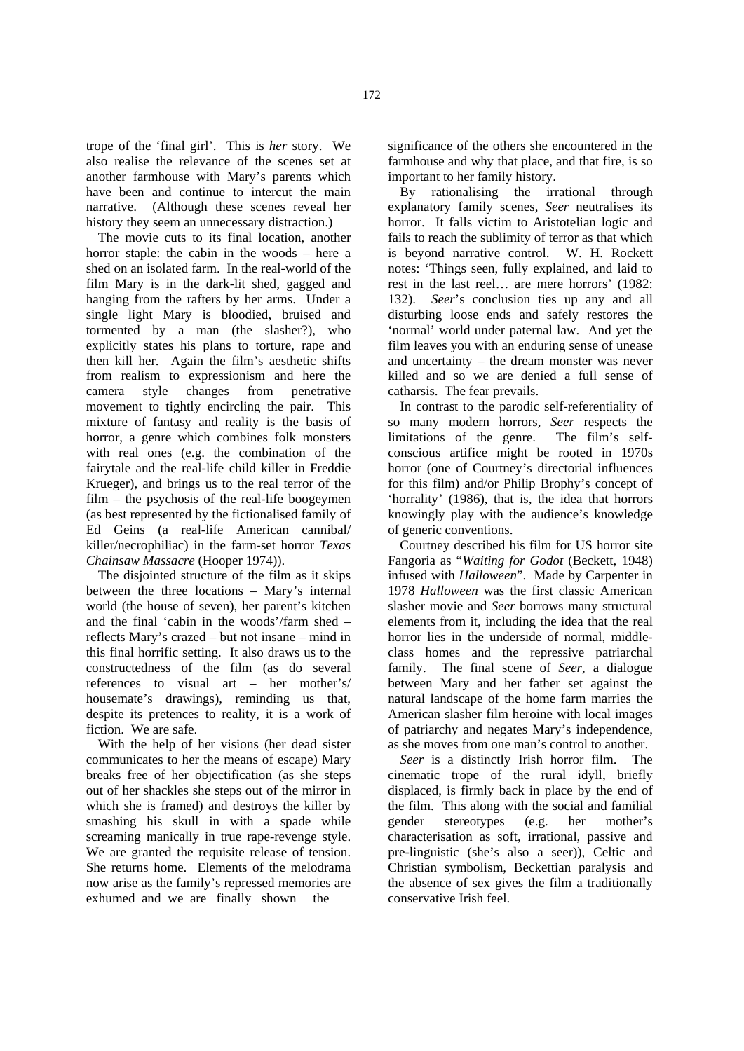trope of the 'final girl'. This is *her* story. We also realise the relevance of the scenes set at another farmhouse with Mary's parents which have been and continue to intercut the main narrative. (Although these scenes reveal her history they seem an unnecessary distraction.)

The movie cuts to its final location, another horror staple: the cabin in the woods – here a shed on an isolated farm. In the real-world of the film Mary is in the dark-lit shed, gagged and hanging from the rafters by her arms. Under a single light Mary is bloodied, bruised and tormented by a man (the slasher?), who explicitly states his plans to torture, rape and then kill her. Again the film's aesthetic shifts from realism to expressionism and here the camera style changes from penetrative movement to tightly encircling the pair. This mixture of fantasy and reality is the basis of horror, a genre which combines folk monsters with real ones (e.g. the combination of the fairytale and the real-life child killer in Freddie Krueger), and brings us to the real terror of the film – the psychosis of the real-life boogeymen (as best represented by the fictionalised family of Ed Geins (a real-life American cannibal/ killer/necrophiliac) in the farm-set horror *Texas Chainsaw Massacre* (Hooper 1974)).

The disjointed structure of the film as it skips between the three locations – Mary's internal world (the house of seven), her parent's kitchen and the final 'cabin in the woods'/farm shed – reflects Mary's crazed – but not insane – mind in this final horrific setting. It also draws us to the constructedness of the film (as do several references to visual art – her mother's/ housemate's drawings), reminding us that, despite its pretences to reality, it is a work of fiction. We are safe.

With the help of her visions (her dead sister communicates to her the means of escape) Mary breaks free of her objectification (as she steps out of her shackles she steps out of the mirror in which she is framed) and destroys the killer by smashing his skull in with a spade while screaming manically in true rape-revenge style. We are granted the requisite release of tension. She returns home. Elements of the melodrama now arise as the family's repressed memories are exhumed and we are finally shown the

significance of the others she encountered in the farmhouse and why that place, and that fire, is so important to her family history.

By rationalising the irrational through explanatory family scenes, *Seer* neutralises its horror. It falls victim to Aristotelian logic and fails to reach the sublimity of terror as that which is beyond narrative control. W. H. Rockett notes: 'Things seen, fully explained, and laid to rest in the last reel… are mere horrors' (1982: 132). *Seer*'s conclusion ties up any and all disturbing loose ends and safely restores the 'normal' world under paternal law. And yet the film leaves you with an enduring sense of unease and uncertainty – the dream monster was never killed and so we are denied a full sense of catharsis. The fear prevails.

In contrast to the parodic self-referentiality of so many modern horrors, *Seer* respects the limitations of the genre. The film's selfconscious artifice might be rooted in 1970s horror (one of Courtney's directorial influences for this film) and/or Philip Brophy's concept of 'horrality' (1986), that is, the idea that horrors knowingly play with the audience's knowledge of generic conventions.

Courtney described his film for US horror site Fangoria as "*Waiting for Godot* (Beckett, 1948) infused with *Halloween*". Made by Carpenter in 1978 *Halloween* was the first classic American slasher movie and *Seer* borrows many structural elements from it, including the idea that the real horror lies in the underside of normal, middleclass homes and the repressive patriarchal family. The final scene of *Seer*, a dialogue between Mary and her father set against the natural landscape of the home farm marries the American slasher film heroine with local images of patriarchy and negates Mary's independence, as she moves from one man's control to another.

*Seer* is a distinctly Irish horror film. The cinematic trope of the rural idyll, briefly displaced, is firmly back in place by the end of the film. This along with the social and familial gender stereotypes (e.g. her mother's characterisation as soft, irrational, passive and pre-linguistic (she's also a seer)), Celtic and Christian symbolism, Beckettian paralysis and the absence of sex gives the film a traditionally conservative Irish feel.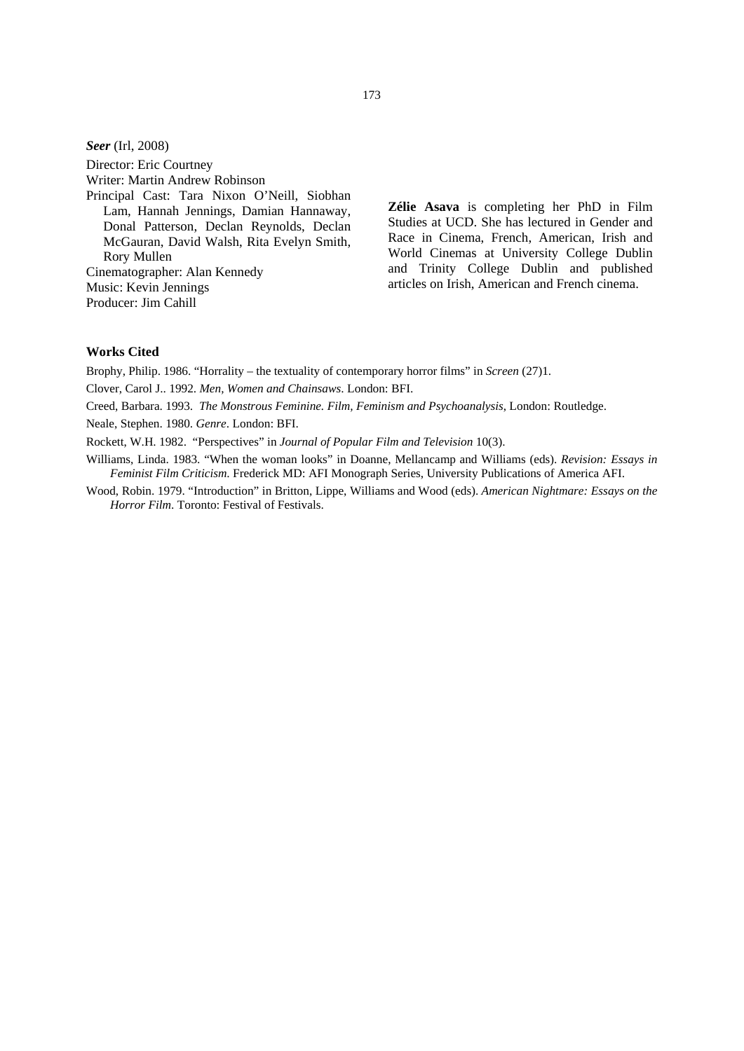*Seer* (Irl, 2008)

Director: Eric Courtney

Writer: Martin Andrew Robinson

Principal Cast: Tara Nixon O'Neill, Siobhan Lam, Hannah Jennings, Damian Hannaway, Donal Patterson, Declan Reynolds, Declan McGauran, David Walsh, Rita Evelyn Smith, Rory Mullen

Cinematographer: Alan Kennedy Music: Kevin Jennings

Producer: Jim Cahill

**Zélie Asava** is completing her PhD in Film Studies at UCD. She has lectured in Gender and Race in Cinema, French, American, Irish and World Cinemas at University College Dublin and Trinity College Dublin and published articles on Irish, American and French cinema.

# **Works Cited**

Brophy, Philip. 1986. "Horrality – the textuality of contemporary horror films" in *Screen* (27)1.

Clover, Carol J.. 1992. *Men, Women and Chainsaws*. London: BFI.

- Creed, Barbara. 1993. *The Monstrous Feminine. Film, Feminism and Psychoanalysis*, London: Routledge.
- Neale, Stephen. 1980. *Genre*. London: BFI.

Rockett, W.H. 1982. "Perspectives" in *Journal of Popular Film and Television* 10(3).

- Williams, Linda. 1983. "When the woman looks" in Doanne, Mellancamp and Williams (eds). *Revision: Essays in Feminist Film Criticism*. Frederick MD: AFI Monograph Series, University Publications of America AFI.
- Wood, Robin. 1979. "Introduction" in Britton, Lippe, Williams and Wood (eds). *American Nightmare: Essays on the Horror Film*. Toronto: Festival of Festivals.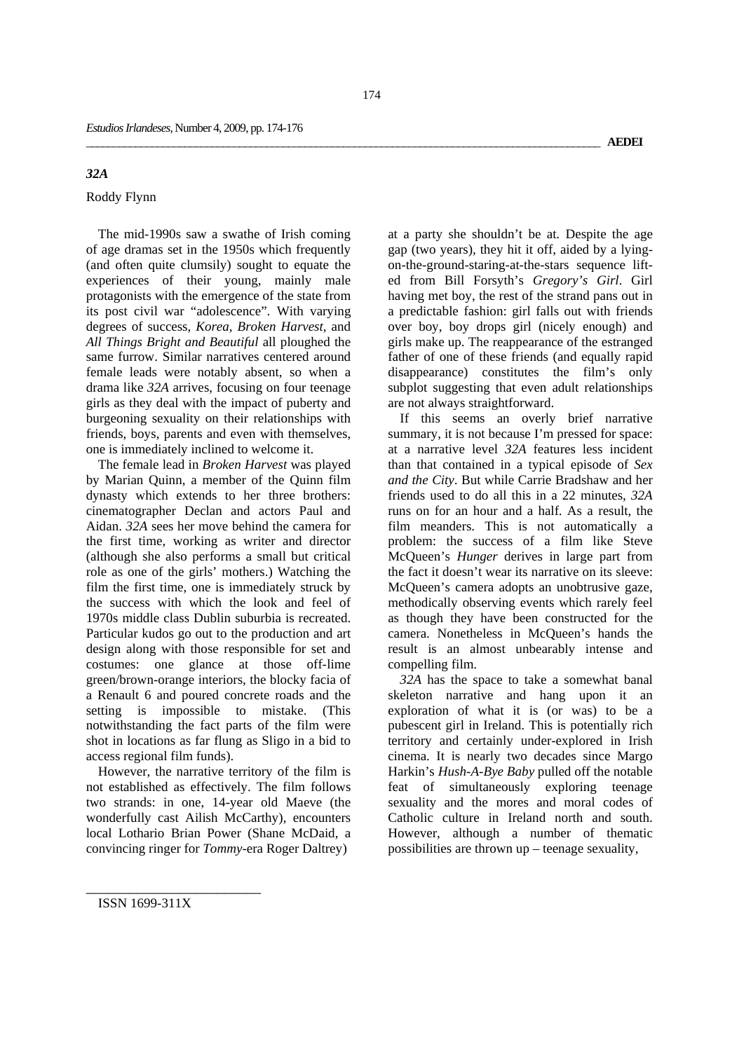# *32A*

# Roddy Flynn

The mid-1990s saw a swathe of Irish coming of age dramas set in the 1950s which frequently (and often quite clumsily) sought to equate the experiences of their young, mainly male protagonists with the emergence of the state from its post civil war "adolescence". With varying degrees of success, *Korea, Broken Harvest*, and *All Things Bright and Beautiful* all ploughed the same furrow. Similar narratives centered around female leads were notably absent, so when a drama like *32A* arrives, focusing on four teenage girls as they deal with the impact of puberty and burgeoning sexuality on their relationships with friends, boys, parents and even with themselves, one is immediately inclined to welcome it.

The female lead in *Broken Harvest* was played by Marian Quinn, a member of the Quinn film dynasty which extends to her three brothers: cinematographer Declan and actors Paul and Aidan. *32A* sees her move behind the camera for the first time, working as writer and director (although she also performs a small but critical role as one of the girls' mothers.) Watching the film the first time, one is immediately struck by the success with which the look and feel of 1970s middle class Dublin suburbia is recreated. Particular kudos go out to the production and art design along with those responsible for set and costumes: one glance at those off-lime green/brown-orange interiors, the blocky facia of a Renault 6 and poured concrete roads and the setting is impossible to mistake. (This notwithstanding the fact parts of the film were shot in locations as far flung as Sligo in a bid to access regional film funds).

However, the narrative territory of the film is not established as effectively. The film follows two strands: in one, 14-year old Maeve (the wonderfully cast Ailish McCarthy), encounters local Lothario Brian Power (Shane McDaid, a convincing ringer for *Tommy*-era Roger Daltrey)

at a party she shouldn't be at. Despite the age gap (two years), they hit it off, aided by a lyingon-the-ground-staring-at-the-stars sequence lifted from Bill Forsyth's *Gregory's Girl*. Girl having met boy, the rest of the strand pans out in a predictable fashion: girl falls out with friends over boy, boy drops girl (nicely enough) and girls make up. The reappearance of the estranged father of one of these friends (and equally rapid disappearance) constitutes the film's only subplot suggesting that even adult relationships are not always straightforward.

If this seems an overly brief narrative summary, it is not because I'm pressed for space: at a narrative level *32A* features less incident than that contained in a typical episode of *Sex and the City*. But while Carrie Bradshaw and her friends used to do all this in a 22 minutes, *32A* runs on for an hour and a half. As a result, the film meanders. This is not automatically a problem: the success of a film like Steve McQueen's *Hunger* derives in large part from the fact it doesn't wear its narrative on its sleeve: McQueen's camera adopts an unobtrusive gaze, methodically observing events which rarely feel as though they have been constructed for the camera. Nonetheless in McQueen's hands the result is an almost unbearably intense and compelling film.

*32A* has the space to take a somewhat banal skeleton narrative and hang upon it an exploration of what it is (or was) to be a pubescent girl in Ireland. This is potentially rich territory and certainly under-explored in Irish cinema. It is nearly two decades since Margo Harkin's *Hush-A-Bye Baby* pulled off the notable feat of simultaneously exploring teenage sexuality and the mores and moral codes of Catholic culture in Ireland north and south. However, although a number of thematic possibilities are thrown up – teenage sexuality,

ISSN 1699-311X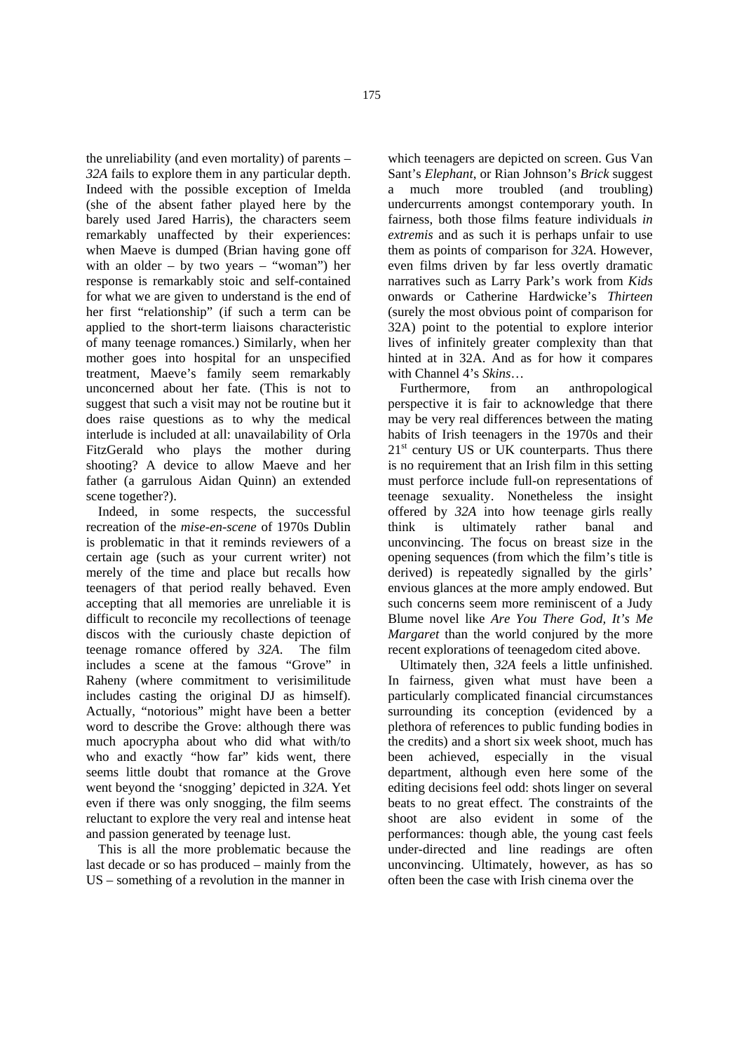the unreliability (and even mortality) of parents – *32A* fails to explore them in any particular depth. Indeed with the possible exception of Imelda (she of the absent father played here by the barely used Jared Harris), the characters seem remarkably unaffected by their experiences: when Maeve is dumped (Brian having gone off with an older – by two years – "woman") her response is remarkably stoic and self-contained for what we are given to understand is the end of her first "relationship" (if such a term can be applied to the short-term liaisons characteristic of many teenage romances.) Similarly, when her mother goes into hospital for an unspecified treatment, Maeve's family seem remarkably unconcerned about her fate. (This is not to suggest that such a visit may not be routine but it does raise questions as to why the medical interlude is included at all: unavailability of Orla FitzGerald who plays the mother during shooting? A device to allow Maeve and her father (a garrulous Aidan Quinn) an extended scene together?).

Indeed, in some respects, the successful recreation of the *mise-en-scene* of 1970s Dublin is problematic in that it reminds reviewers of a certain age (such as your current writer) not merely of the time and place but recalls how teenagers of that period really behaved. Even accepting that all memories are unreliable it is difficult to reconcile my recollections of teenage discos with the curiously chaste depiction of teenage romance offered by *32A*. The film includes a scene at the famous "Grove" in Raheny (where commitment to verisimilitude includes casting the original DJ as himself). Actually, "notorious" might have been a better word to describe the Grove: although there was much apocrypha about who did what with/to who and exactly "how far" kids went, there seems little doubt that romance at the Grove went beyond the 'snogging' depicted in *32A*. Yet even if there was only snogging, the film seems reluctant to explore the very real and intense heat and passion generated by teenage lust.

This is all the more problematic because the last decade or so has produced – mainly from the US – something of a revolution in the manner in

which teenagers are depicted on screen. Gus Van Sant's *Elephant*, or Rian Johnson's *Brick* suggest a much more troubled (and troubling) undercurrents amongst contemporary youth. In fairness, both those films feature individuals *in extremis* and as such it is perhaps unfair to use them as points of comparison for *32A*. However, even films driven by far less overtly dramatic narratives such as Larry Park's work from *Kids* onwards or Catherine Hardwicke's *Thirteen* (surely the most obvious point of comparison for 32A) point to the potential to explore interior lives of infinitely greater complexity than that hinted at in 32A. And as for how it compares with Channel 4's *Skins*…

Furthermore, from an anthropological perspective it is fair to acknowledge that there may be very real differences between the mating habits of Irish teenagers in the 1970s and their  $21<sup>st</sup>$  century US or UK counterparts. Thus there is no requirement that an Irish film in this setting must perforce include full-on representations of teenage sexuality. Nonetheless the insight offered by *32A* into how teenage girls really think is ultimately rather banal and unconvincing. The focus on breast size in the opening sequences (from which the film's title is derived) is repeatedly signalled by the girls' envious glances at the more amply endowed. But such concerns seem more reminiscent of a Judy Blume novel like *Are You There God, It's Me Margaret* than the world conjured by the more recent explorations of teenagedom cited above.

Ultimately then, *32A* feels a little unfinished. In fairness, given what must have been a particularly complicated financial circumstances surrounding its conception (evidenced by a plethora of references to public funding bodies in the credits) and a short six week shoot, much has been achieved, especially in the visual department, although even here some of the editing decisions feel odd: shots linger on several beats to no great effect. The constraints of the shoot are also evident in some of the performances: though able, the young cast feels under-directed and line readings are often unconvincing. Ultimately, however, as has so often been the case with Irish cinema over the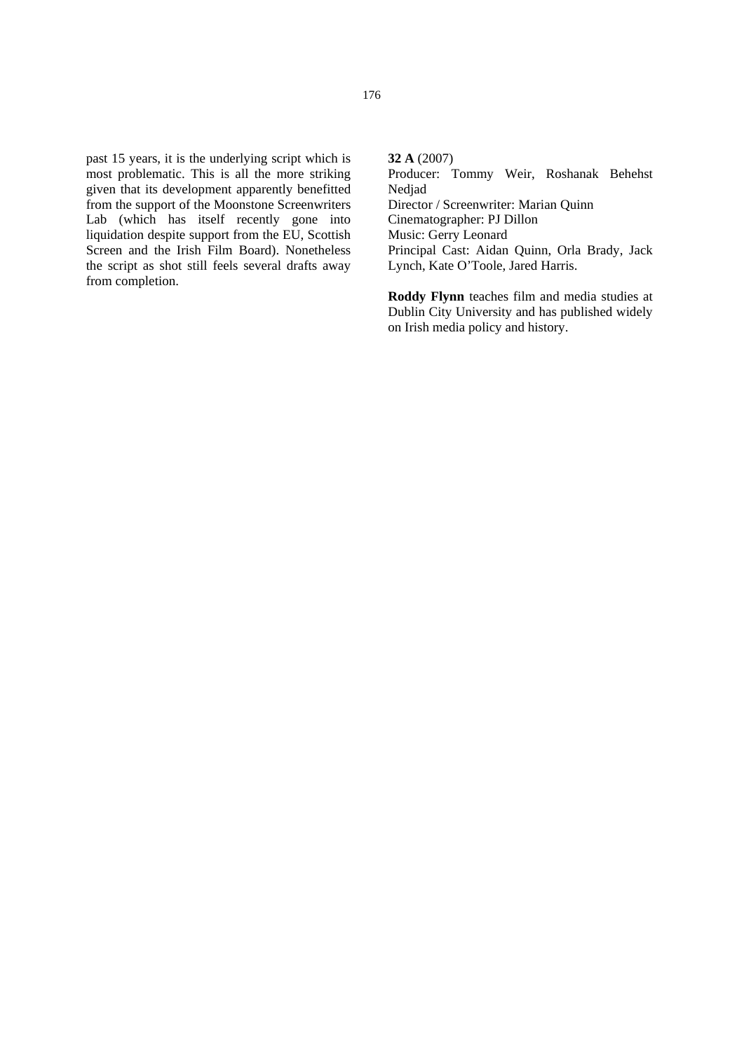past 15 years, it is the underlying script which is most problematic. This is all the more striking given that its development apparently benefitted from the support of the Moonstone Screenwriters Lab (which has itself recently gone into liquidation despite support from the EU, Scottish Screen and the Irish Film Board). Nonetheless the script as shot still feels several drafts away from completion.

**32 A** (2007) Producer: Tommy Weir, Roshanak Behehst Nedjad Director / Screenwriter: Marian Quinn Cinematographer: PJ Dillon Music: Gerry Leonard Principal Cast: Aidan Quinn, Orla Brady, Jack Lynch, Kate O'Toole, Jared Harris.

**Roddy Flynn** teaches film and media studies at Dublin City University and has published widely on Irish media policy and history.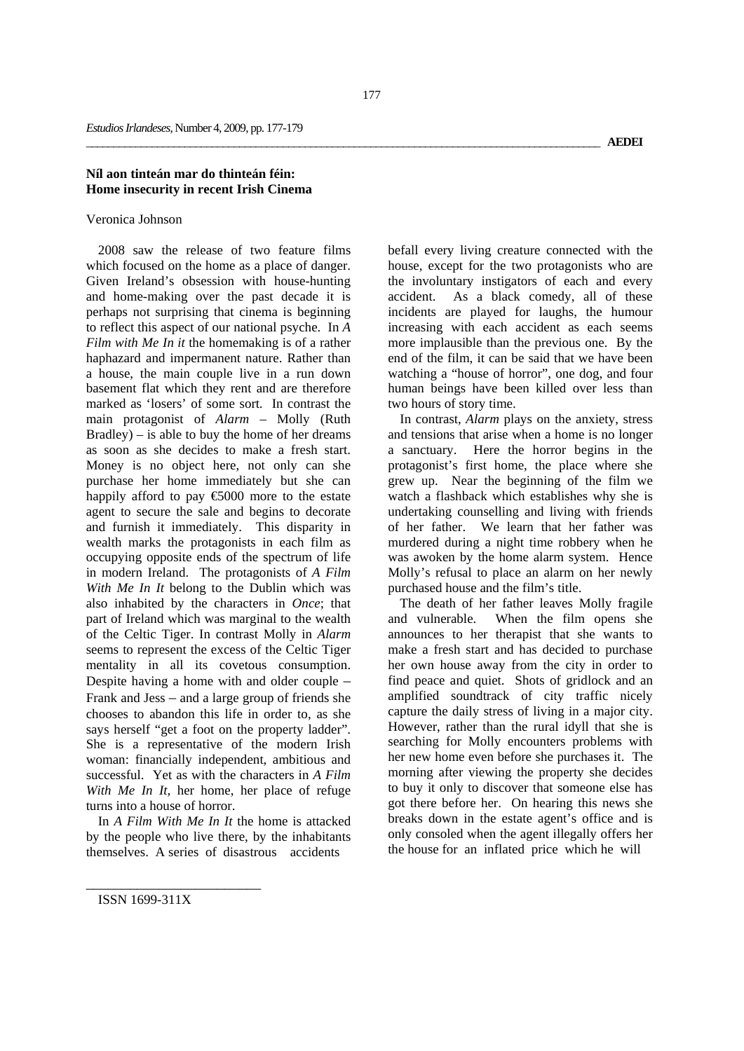# **Níl aon tinteán mar do thinteán féin: Home insecurity in recent Irish Cinema**

### Veronica Johnson

2008 saw the release of two feature films which focused on the home as a place of danger. Given Ireland's obsession with house-hunting and home-making over the past decade it is perhaps not surprising that cinema is beginning to reflect this aspect of our national psyche. In *A Film with Me In it* the homemaking is of a rather haphazard and impermanent nature. Rather than a house, the main couple live in a run down basement flat which they rent and are therefore marked as 'losers' of some sort. In contrast the main protagonist of *Alarm* – Molly (Ruth Bradley) – is able to buy the home of her dreams as soon as she decides to make a fresh start. Money is no object here, not only can she purchase her home immediately but she can happily afford to pay  $\epsilon$ 5000 more to the estate agent to secure the sale and begins to decorate and furnish it immediately. This disparity in wealth marks the protagonists in each film as occupying opposite ends of the spectrum of life in modern Ireland. The protagonists of *A Film With Me In It* belong to the Dublin which was also inhabited by the characters in *Once*; that part of Ireland which was marginal to the wealth of the Celtic Tiger. In contrast Molly in *Alarm* seems to represent the excess of the Celtic Tiger mentality in all its covetous consumption. Despite having a home with and older couple – Frank and Jess – and a large group of friends she chooses to abandon this life in order to, as she says herself "get a foot on the property ladder". She is a representative of the modern Irish woman: financially independent, ambitious and successful. Yet as with the characters in *A Film With Me In It,* her home, her place of refuge turns into a house of horror.

In *A Film With Me In It* the home is attacked by the people who live there, by the inhabitants themselves. A series of disastrous accidents

befall every living creature connected with the house, except for the two protagonists who are the involuntary instigators of each and every accident. As a black comedy, all of these incidents are played for laughs, the humour increasing with each accident as each seems more implausible than the previous one. By the end of the film, it can be said that we have been watching a "house of horror", one dog, and four human beings have been killed over less than two hours of story time.

In contrast, *Alarm* plays on the anxiety, stress and tensions that arise when a home is no longer a sanctuary. Here the horror begins in the protagonist's first home, the place where she grew up. Near the beginning of the film we watch a flashback which establishes why she is undertaking counselling and living with friends of her father. We learn that her father was murdered during a night time robbery when he was awoken by the home alarm system. Hence Molly's refusal to place an alarm on her newly purchased house and the film's title.

The death of her father leaves Molly fragile and vulnerable. When the film opens she announces to her therapist that she wants to make a fresh start and has decided to purchase her own house away from the city in order to find peace and quiet. Shots of gridlock and an amplified soundtrack of city traffic nicely capture the daily stress of living in a major city. However, rather than the rural idyll that she is searching for Molly encounters problems with her new home even before she purchases it. The morning after viewing the property she decides to buy it only to discover that someone else has got there before her. On hearing this news she breaks down in the estate agent's office and is only consoled when the agent illegally offers her the house for an inflated price which he will

ISSN 1699-311X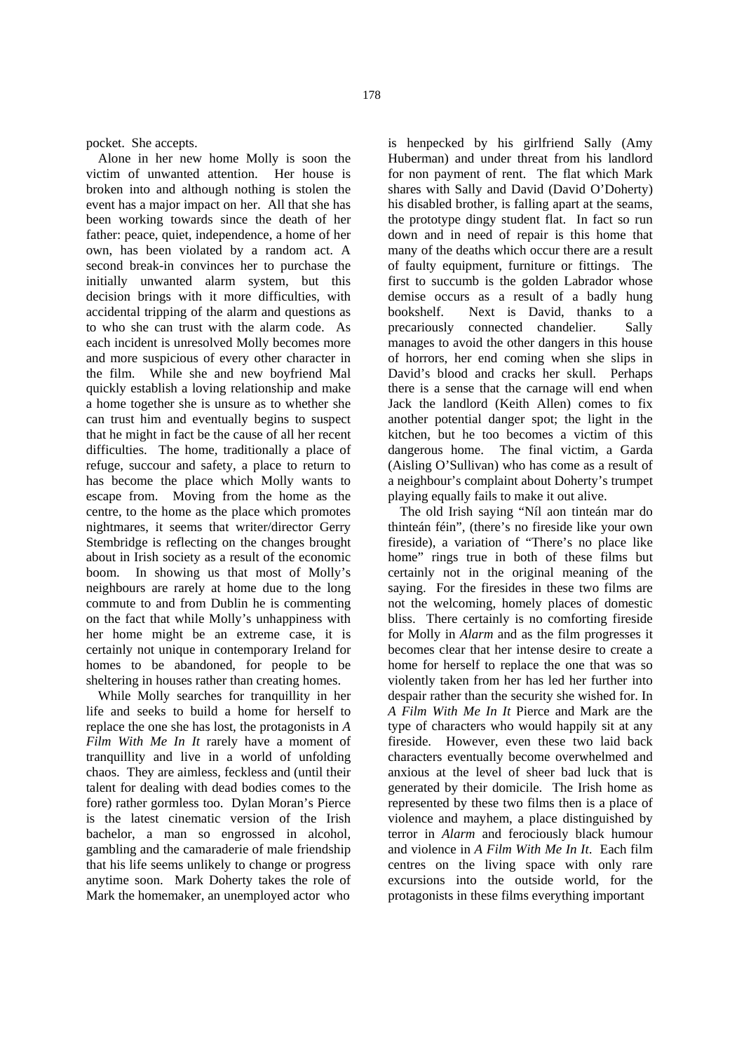pocket. She accepts.

Alone in her new home Molly is soon the victim of unwanted attention. Her house is broken into and although nothing is stolen the event has a major impact on her. All that she has been working towards since the death of her father: peace, quiet, independence, a home of her own, has been violated by a random act. A second break-in convinces her to purchase the initially unwanted alarm system, but this decision brings with it more difficulties, with accidental tripping of the alarm and questions as to who she can trust with the alarm code. As each incident is unresolved Molly becomes more and more suspicious of every other character in the film. While she and new boyfriend Mal quickly establish a loving relationship and make a home together she is unsure as to whether she can trust him and eventually begins to suspect that he might in fact be the cause of all her recent difficulties. The home, traditionally a place of refuge, succour and safety, a place to return to has become the place which Molly wants to escape from. Moving from the home as the centre, to the home as the place which promotes nightmares, it seems that writer/director Gerry Stembridge is reflecting on the changes brought about in Irish society as a result of the economic boom. In showing us that most of Molly's neighbours are rarely at home due to the long commute to and from Dublin he is commenting on the fact that while Molly's unhappiness with her home might be an extreme case, it is certainly not unique in contemporary Ireland for homes to be abandoned, for people to be sheltering in houses rather than creating homes.

While Molly searches for tranquillity in her life and seeks to build a home for herself to replace the one she has lost, the protagonists in *A Film With Me In It* rarely have a moment of tranquillity and live in a world of unfolding chaos. They are aimless, feckless and (until their talent for dealing with dead bodies comes to the fore) rather gormless too. Dylan Moran's Pierce is the latest cinematic version of the Irish bachelor, a man so engrossed in alcohol, gambling and the camaraderie of male friendship that his life seems unlikely to change or progress anytime soon. Mark Doherty takes the role of Mark the homemaker, an unemployed actor who

is henpecked by his girlfriend Sally (Amy Huberman) and under threat from his landlord for non payment of rent. The flat which Mark shares with Sally and David (David O'Doherty) his disabled brother, is falling apart at the seams, the prototype dingy student flat. In fact so run down and in need of repair is this home that many of the deaths which occur there are a result of faulty equipment, furniture or fittings. The first to succumb is the golden Labrador whose demise occurs as a result of a badly hung bookshelf. Next is David, thanks to a precariously connected chandelier. Sally manages to avoid the other dangers in this house of horrors, her end coming when she slips in David's blood and cracks her skull. Perhaps there is a sense that the carnage will end when Jack the landlord (Keith Allen) comes to fix another potential danger spot; the light in the kitchen, but he too becomes a victim of this dangerous home. The final victim, a Garda (Aisling O'Sullivan) who has come as a result of a neighbour's complaint about Doherty's trumpet playing equally fails to make it out alive.

The old Irish saying "Níl aon tinteán mar do thinteán féin", (there's no fireside like your own fireside), a variation of "There's no place like home" rings true in both of these films but certainly not in the original meaning of the saying. For the firesides in these two films are not the welcoming, homely places of domestic bliss. There certainly is no comforting fireside for Molly in *Alarm* and as the film progresses it becomes clear that her intense desire to create a home for herself to replace the one that was so violently taken from her has led her further into despair rather than the security she wished for. In *A Film With Me In It* Pierce and Mark are the type of characters who would happily sit at any fireside. However, even these two laid back characters eventually become overwhelmed and anxious at the level of sheer bad luck that is generated by their domicile. The Irish home as represented by these two films then is a place of violence and mayhem, a place distinguished by terror in *Alarm* and ferociously black humour and violence in *A Film With Me In It*. Each film centres on the living space with only rare excursions into the outside world, for the protagonists in these films everything important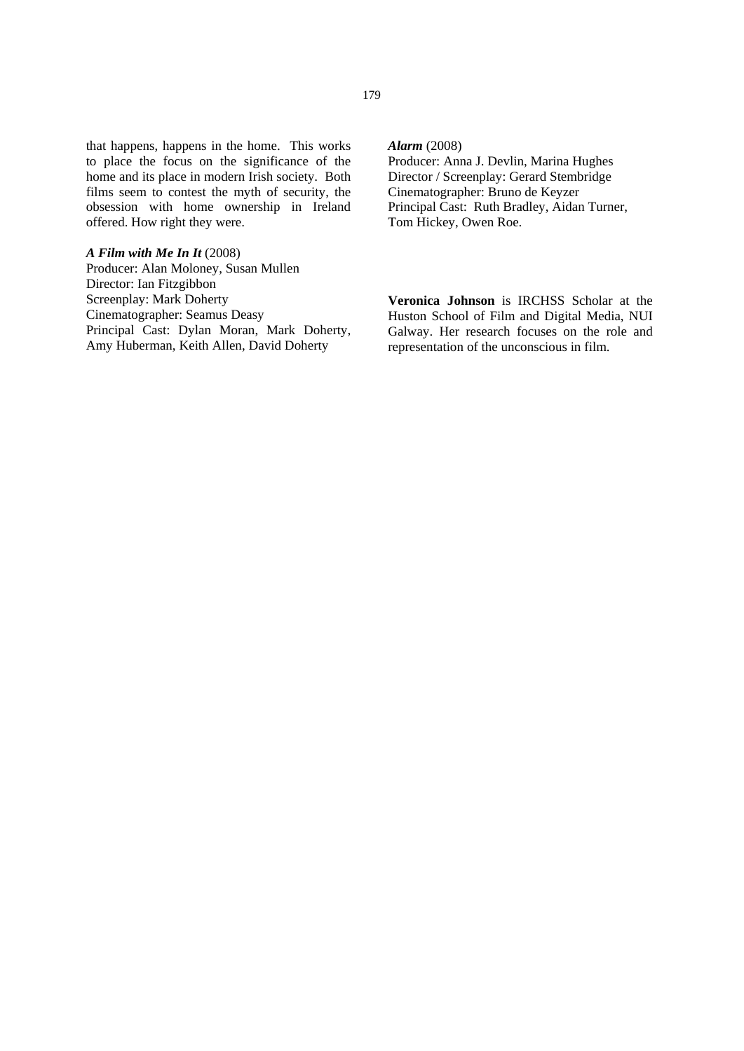that happens, happens in the home. This works to place the focus on the significance of the home and its place in modern Irish society. Both films seem to contest the myth of security, the obsession with home ownership in Ireland offered. How right they were.

### *A Film with Me In It* (2008)

Producer: Alan Moloney, Susan Mullen Director: Ian Fitzgibbon Screenplay: Mark Doherty Cinematographer: Seamus Deasy Principal Cast: Dylan Moran, Mark Doherty, Amy Huberman, Keith Allen, David Doherty

# *Alarm* (2008)

Producer: Anna J. Devlin, Marina Hughes Director / Screenplay: Gerard Stembridge Cinematographer: Bruno de Keyzer Principal Cast: Ruth Bradley, Aidan Turner, Tom Hickey, Owen Roe.

**Veronica Johnson** is IRCHSS Scholar at the Huston School of Film and Digital Media, NUI Galway. Her research focuses on the role and representation of the unconscious in film.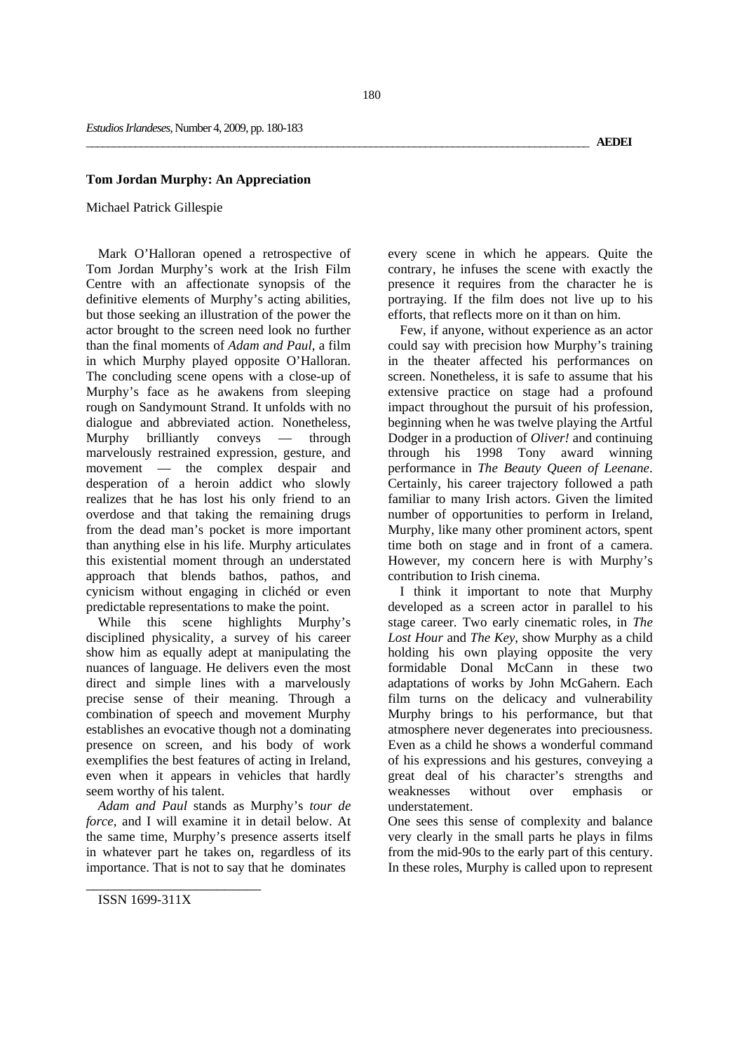### **Tom Jordan Murphy: An Appreciation**

### Michael Patrick Gillespie

Mark O'Halloran opened a retrospective of Tom Jordan Murphy's work at the Irish Film Centre with an affectionate synopsis of the definitive elements of Murphy's acting abilities, but those seeking an illustration of the power the actor brought to the screen need look no further than the final moments of *Adam and Paul*, a film in which Murphy played opposite O'Halloran. The concluding scene opens with a close-up of Murphy's face as he awakens from sleeping rough on Sandymount Strand. It unfolds with no dialogue and abbreviated action. Nonetheless, Murphy brilliantly conveys — through marvelously restrained expression, gesture, and movement — the complex despair and desperation of a heroin addict who slowly realizes that he has lost his only friend to an overdose and that taking the remaining drugs from the dead man's pocket is more important than anything else in his life. Murphy articulates this existential moment through an understated approach that blends bathos, pathos, and cynicism without engaging in clichéd or even predictable representations to make the point.

While this scene highlights Murphy's disciplined physicality, a survey of his career show him as equally adept at manipulating the nuances of language. He delivers even the most direct and simple lines with a marvelously precise sense of their meaning. Through a combination of speech and movement Murphy establishes an evocative though not a dominating presence on screen, and his body of work exemplifies the best features of acting in Ireland, even when it appears in vehicles that hardly seem worthy of his talent.

*Adam and Paul* stands as Murphy's *tour de force*, and I will examine it in detail below. At the same time, Murphy's presence asserts itself in whatever part he takes on, regardless of its importance. That is not to say that he dominates

every scene in which he appears. Quite the contrary, he infuses the scene with exactly the presence it requires from the character he is portraying. If the film does not live up to his efforts, that reflects more on it than on him.

Few, if anyone, without experience as an actor could say with precision how Murphy's training in the theater affected his performances on screen. Nonetheless, it is safe to assume that his extensive practice on stage had a profound impact throughout the pursuit of his profession, beginning when he was twelve playing the Artful Dodger in a production of *Oliver!* and continuing through his 1998 Tony award winning performance in *The Beauty Queen of Leenane*. Certainly, his career trajectory followed a path familiar to many Irish actors. Given the limited number of opportunities to perform in Ireland, Murphy, like many other prominent actors, spent time both on stage and in front of a camera. However, my concern here is with Murphy's contribution to Irish cinema.

I think it important to note that Murphy developed as a screen actor in parallel to his stage career. Two early cinematic roles, in *The Lost Hour* and *The Key*, show Murphy as a child holding his own playing opposite the very formidable Donal McCann in these two adaptations of works by John McGahern. Each film turns on the delicacy and vulnerability Murphy brings to his performance, but that atmosphere never degenerates into preciousness. Even as a child he shows a wonderful command of his expressions and his gestures, conveying a great deal of his character's strengths and weaknesses without over emphasis or understatement.

One sees this sense of complexity and balance very clearly in the small parts he plays in films from the mid-90s to the early part of this century. In these roles, Murphy is called upon to represent

ISSN 1699-311X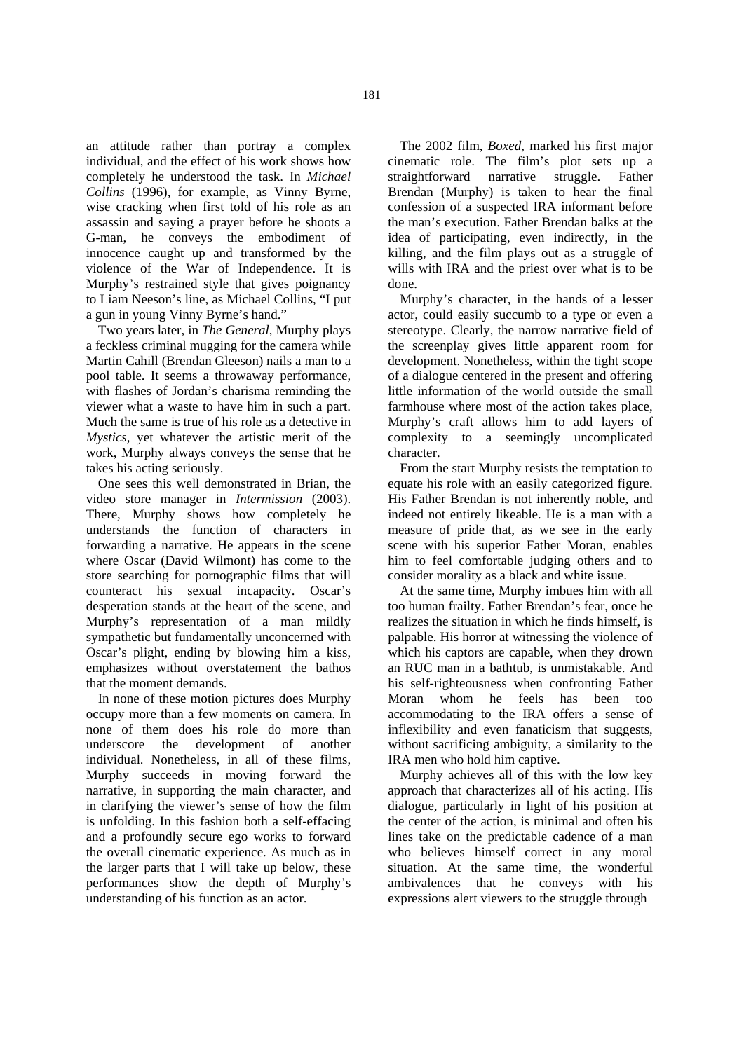an attitude rather than portray a complex individual, and the effect of his work shows how completely he understood the task. In *Michael Collins* (1996)*,* for example, as Vinny Byrne, wise cracking when first told of his role as an assassin and saying a prayer before he shoots a G-man, he conveys the embodiment of innocence caught up and transformed by the violence of the War of Independence. It is Murphy's restrained style that gives poignancy to Liam Neeson's line, as Michael Collins, "I put a gun in young Vinny Byrne's hand."

Two years later, in *The General*, Murphy plays a feckless criminal mugging for the camera while Martin Cahill (Brendan Gleeson) nails a man to a pool table. It seems a throwaway performance, with flashes of Jordan's charisma reminding the viewer what a waste to have him in such a part. Much the same is true of his role as a detective in *Mystics*, yet whatever the artistic merit of the work, Murphy always conveys the sense that he takes his acting seriously.

One sees this well demonstrated in Brian, the video store manager in *Intermission* (2003). There, Murphy shows how completely he understands the function of characters in forwarding a narrative. He appears in the scene where Oscar (David Wilmont) has come to the store searching for pornographic films that will counteract his sexual incapacity. Oscar's desperation stands at the heart of the scene, and Murphy's representation of a man mildly sympathetic but fundamentally unconcerned with Oscar's plight, ending by blowing him a kiss, emphasizes without overstatement the bathos that the moment demands.

In none of these motion pictures does Murphy occupy more than a few moments on camera. In none of them does his role do more than underscore the development of another individual. Nonetheless, in all of these films, Murphy succeeds in moving forward the narrative, in supporting the main character, and in clarifying the viewer's sense of how the film is unfolding. In this fashion both a self-effacing and a profoundly secure ego works to forward the overall cinematic experience. As much as in the larger parts that I will take up below, these performances show the depth of Murphy's understanding of his function as an actor.

The 2002 film, *Boxed*, marked his first major cinematic role. The film's plot sets up a straightforward narrative struggle. Father Brendan (Murphy) is taken to hear the final confession of a suspected IRA informant before the man's execution. Father Brendan balks at the idea of participating, even indirectly, in the killing, and the film plays out as a struggle of wills with IRA and the priest over what is to be done.

Murphy's character, in the hands of a lesser actor, could easily succumb to a type or even a stereotype. Clearly, the narrow narrative field of the screenplay gives little apparent room for development. Nonetheless, within the tight scope of a dialogue centered in the present and offering little information of the world outside the small farmhouse where most of the action takes place, Murphy's craft allows him to add layers of complexity to a seemingly uncomplicated character.

From the start Murphy resists the temptation to equate his role with an easily categorized figure. His Father Brendan is not inherently noble, and indeed not entirely likeable. He is a man with a measure of pride that, as we see in the early scene with his superior Father Moran, enables him to feel comfortable judging others and to consider morality as a black and white issue.

At the same time, Murphy imbues him with all too human frailty. Father Brendan's fear, once he realizes the situation in which he finds himself, is palpable. His horror at witnessing the violence of which his captors are capable, when they drown an RUC man in a bathtub, is unmistakable. And his self-righteousness when confronting Father Moran whom he feels has been too accommodating to the IRA offers a sense of inflexibility and even fanaticism that suggests, without sacrificing ambiguity, a similarity to the IRA men who hold him captive.

Murphy achieves all of this with the low key approach that characterizes all of his acting. His dialogue, particularly in light of his position at the center of the action, is minimal and often his lines take on the predictable cadence of a man who believes himself correct in any moral situation. At the same time, the wonderful ambivalences that he conveys with his expressions alert viewers to the struggle through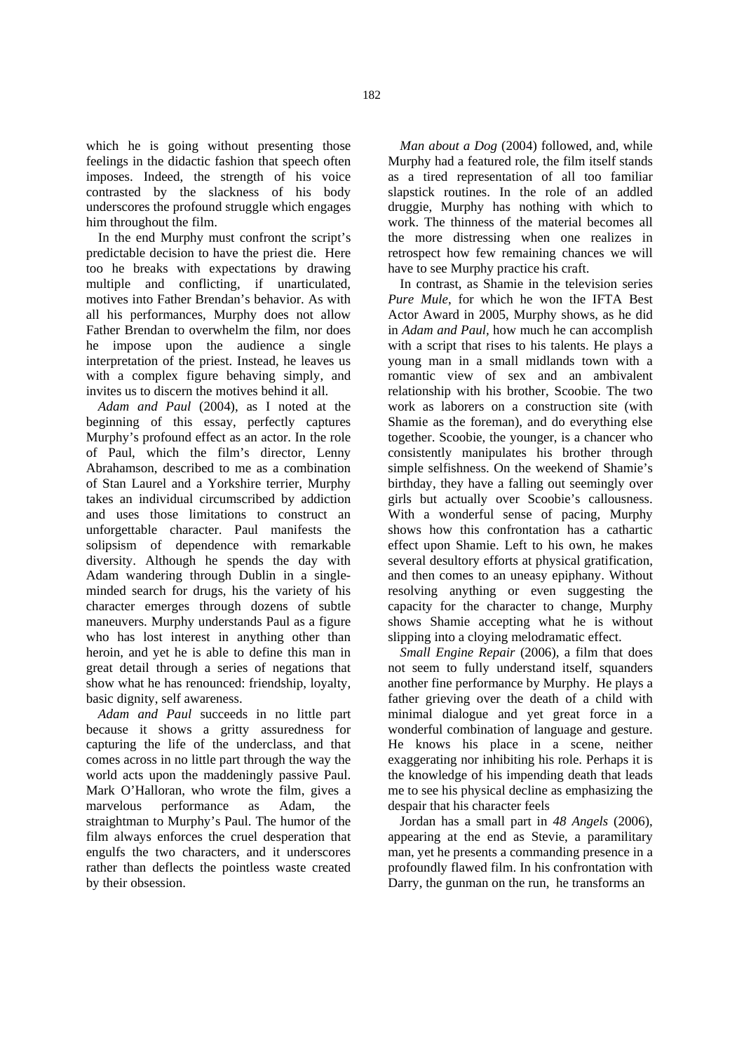which he is going without presenting those feelings in the didactic fashion that speech often imposes. Indeed, the strength of his voice contrasted by the slackness of his body underscores the profound struggle which engages him throughout the film.

In the end Murphy must confront the script's predictable decision to have the priest die. Here too he breaks with expectations by drawing multiple and conflicting, if unarticulated, motives into Father Brendan's behavior. As with all his performances, Murphy does not allow Father Brendan to overwhelm the film, nor does he impose upon the audience a single interpretation of the priest. Instead, he leaves us with a complex figure behaving simply, and invites us to discern the motives behind it all.

*Adam and Paul* (2004), as I noted at the beginning of this essay, perfectly captures Murphy's profound effect as an actor. In the role of Paul, which the film's director, Lenny Abrahamson, described to me as a combination of Stan Laurel and a Yorkshire terrier, Murphy takes an individual circumscribed by addiction and uses those limitations to construct an unforgettable character. Paul manifests the solipsism of dependence with remarkable diversity. Although he spends the day with Adam wandering through Dublin in a singleminded search for drugs, his the variety of his character emerges through dozens of subtle maneuvers. Murphy understands Paul as a figure who has lost interest in anything other than heroin, and yet he is able to define this man in great detail through a series of negations that show what he has renounced: friendship, loyalty, basic dignity, self awareness.

*Adam and Paul* succeeds in no little part because it shows a gritty assuredness for capturing the life of the underclass, and that comes across in no little part through the way the world acts upon the maddeningly passive Paul. Mark O'Halloran, who wrote the film, gives a marvelous performance as Adam, the straightman to Murphy's Paul. The humor of the film always enforces the cruel desperation that engulfs the two characters, and it underscores rather than deflects the pointless waste created by their obsession.

*Man about a Dog* (2004) followed, and, while Murphy had a featured role, the film itself stands as a tired representation of all too familiar slapstick routines. In the role of an addled druggie, Murphy has nothing with which to work. The thinness of the material becomes all the more distressing when one realizes in retrospect how few remaining chances we will have to see Murphy practice his craft.

In contrast, as Shamie in the television series *Pure Mule*, for which he won the IFTA Best Actor Award in 2005, Murphy shows, as he did in *Adam and Paul,* how much he can accomplish with a script that rises to his talents. He plays a young man in a small midlands town with a romantic view of sex and an ambivalent relationship with his brother, Scoobie. The two work as laborers on a construction site (with Shamie as the foreman), and do everything else together. Scoobie, the younger, is a chancer who consistently manipulates his brother through simple selfishness. On the weekend of Shamie's birthday, they have a falling out seemingly over girls but actually over Scoobie's callousness. With a wonderful sense of pacing, Murphy shows how this confrontation has a cathartic effect upon Shamie. Left to his own, he makes several desultory efforts at physical gratification, and then comes to an uneasy epiphany. Without resolving anything or even suggesting the capacity for the character to change, Murphy shows Shamie accepting what he is without slipping into a cloying melodramatic effect.

*Small Engine Repair* (2006), a film that does not seem to fully understand itself, squanders another fine performance by Murphy. He plays a father grieving over the death of a child with minimal dialogue and yet great force in a wonderful combination of language and gesture. He knows his place in a scene, neither exaggerating nor inhibiting his role. Perhaps it is the knowledge of his impending death that leads me to see his physical decline as emphasizing the despair that his character feels

Jordan has a small part in *48 Angels* (2006), appearing at the end as Stevie, a paramilitary man, yet he presents a commanding presence in a profoundly flawed film. In his confrontation with Darry, the gunman on the run, he transforms an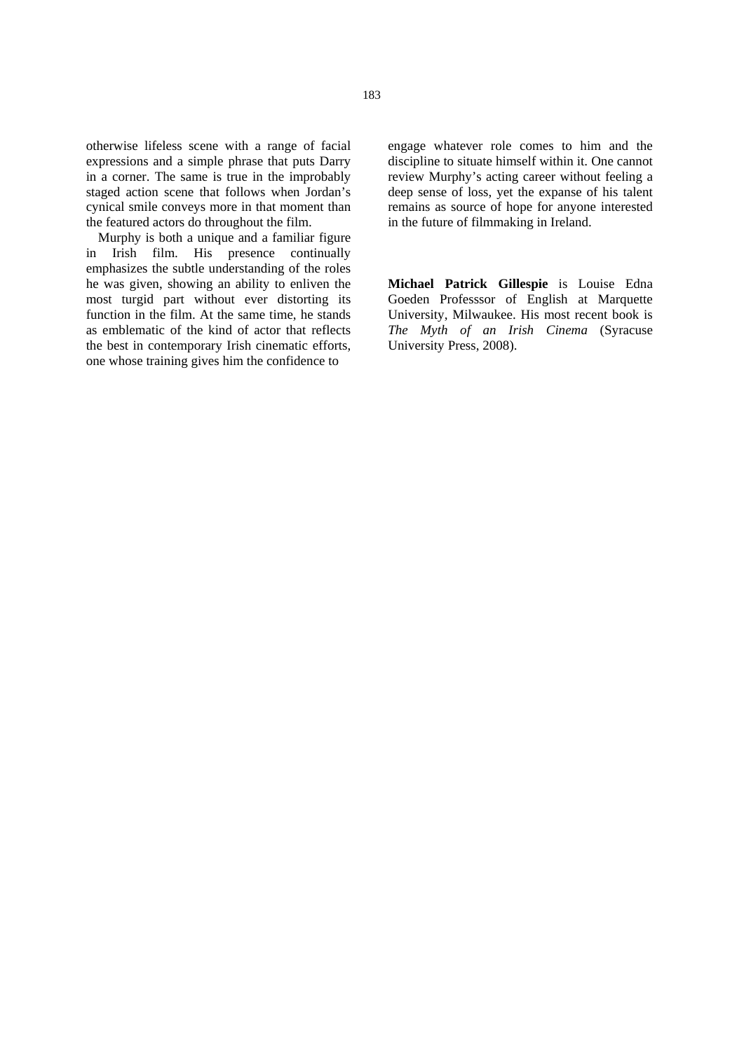otherwise lifeless scene with a range of facial expressions and a simple phrase that puts Darry in a corner. The same is true in the improbably staged action scene that follows when Jordan's cynical smile conveys more in that moment than the featured actors do throughout the film.

Murphy is both a unique and a familiar figure in Irish film. His presence continually emphasizes the subtle understanding of the roles he was given, showing an ability to enliven the most turgid part without ever distorting its function in the film. At the same time, he stands as emblematic of the kind of actor that reflects the best in contemporary Irish cinematic efforts, one whose training gives him the confidence to

engage whatever role comes to him and the discipline to situate himself within it. One cannot review Murphy's acting career without feeling a deep sense of loss, yet the expanse of his talent remains as source of hope for anyone interested in the future of filmmaking in Ireland.

**Michael Patrick Gillespie** is Louise Edna Goeden Professsor of English at Marquette University, Milwaukee. His most recent book is *The Myth of an Irish Cinema* (Syracuse University Press, 2008).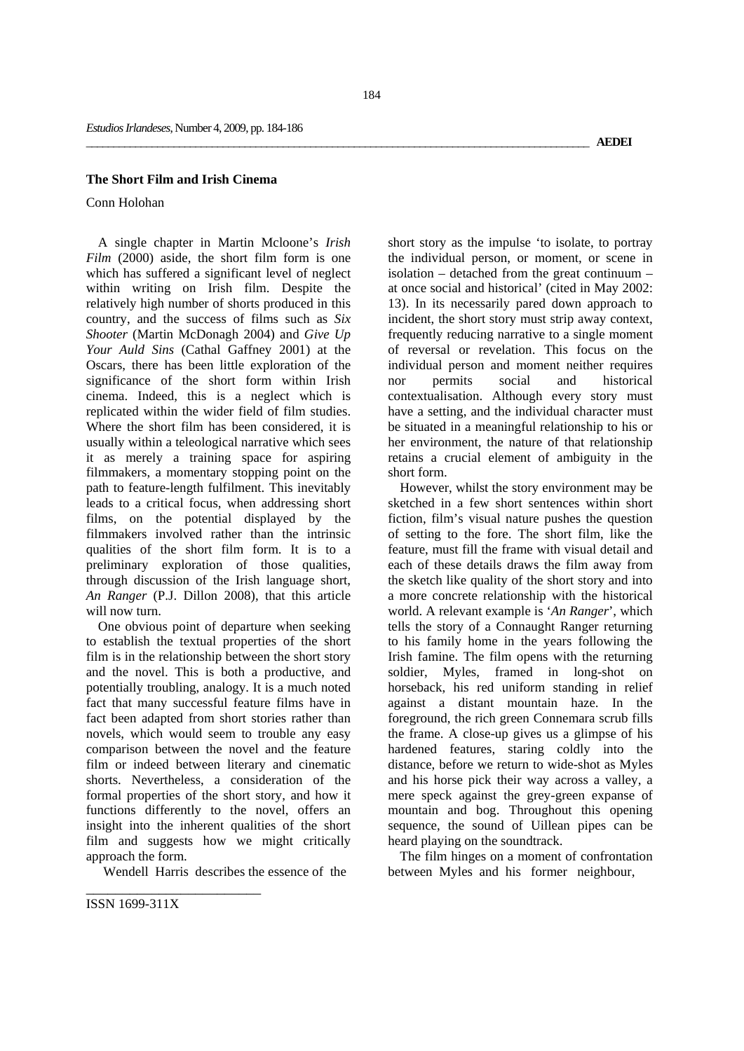### **The Short Film and Irish Cinema**

Conn Holohan

A single chapter in Martin Mcloone's *Irish Film* (2000) aside, the short film form is one which has suffered a significant level of neglect within writing on Irish film. Despite the relatively high number of shorts produced in this country, and the success of films such as *Six Shooter* (Martin McDonagh 2004) and *Give Up Your Auld Sins* (Cathal Gaffney 2001) at the Oscars, there has been little exploration of the significance of the short form within Irish cinema. Indeed, this is a neglect which is replicated within the wider field of film studies. Where the short film has been considered, it is usually within a teleological narrative which sees it as merely a training space for aspiring filmmakers, a momentary stopping point on the path to feature-length fulfilment. This inevitably leads to a critical focus, when addressing short films, on the potential displayed by the filmmakers involved rather than the intrinsic qualities of the short film form. It is to a preliminary exploration of those qualities, through discussion of the Irish language short, *An Ranger* (P.J. Dillon 2008), that this article will now turn.

One obvious point of departure when seeking to establish the textual properties of the short film is in the relationship between the short story and the novel. This is both a productive, and potentially troubling, analogy. It is a much noted fact that many successful feature films have in fact been adapted from short stories rather than novels, which would seem to trouble any easy comparison between the novel and the feature film or indeed between literary and cinematic shorts. Nevertheless, a consideration of the formal properties of the short story, and how it functions differently to the novel, offers an insight into the inherent qualities of the short film and suggests how we might critically approach the form.

Wendell Harris describes the essence of the

short story as the impulse 'to isolate, to portray the individual person, or moment, or scene in isolation – detached from the great continuum – at once social and historical' (cited in May 2002: 13). In its necessarily pared down approach to incident, the short story must strip away context, frequently reducing narrative to a single moment of reversal or revelation. This focus on the individual person and moment neither requires nor permits social and historical contextualisation. Although every story must have a setting, and the individual character must be situated in a meaningful relationship to his or her environment, the nature of that relationship retains a crucial element of ambiguity in the short form.

However, whilst the story environment may be sketched in a few short sentences within short fiction, film's visual nature pushes the question of setting to the fore. The short film, like the feature, must fill the frame with visual detail and each of these details draws the film away from the sketch like quality of the short story and into a more concrete relationship with the historical world. A relevant example is '*An Ranger*', which tells the story of a Connaught Ranger returning to his family home in the years following the Irish famine. The film opens with the returning soldier, Myles, framed in long-shot on horseback, his red uniform standing in relief against a distant mountain haze. In the foreground, the rich green Connemara scrub fills the frame. A close-up gives us a glimpse of his hardened features, staring coldly into the distance, before we return to wide-shot as Myles and his horse pick their way across a valley, a mere speck against the grey-green expanse of mountain and bog. Throughout this opening sequence, the sound of Uillean pipes can be heard playing on the soundtrack.

The film hinges on a moment of confrontation between Myles and his former neighbour,

ISSN 1699-311X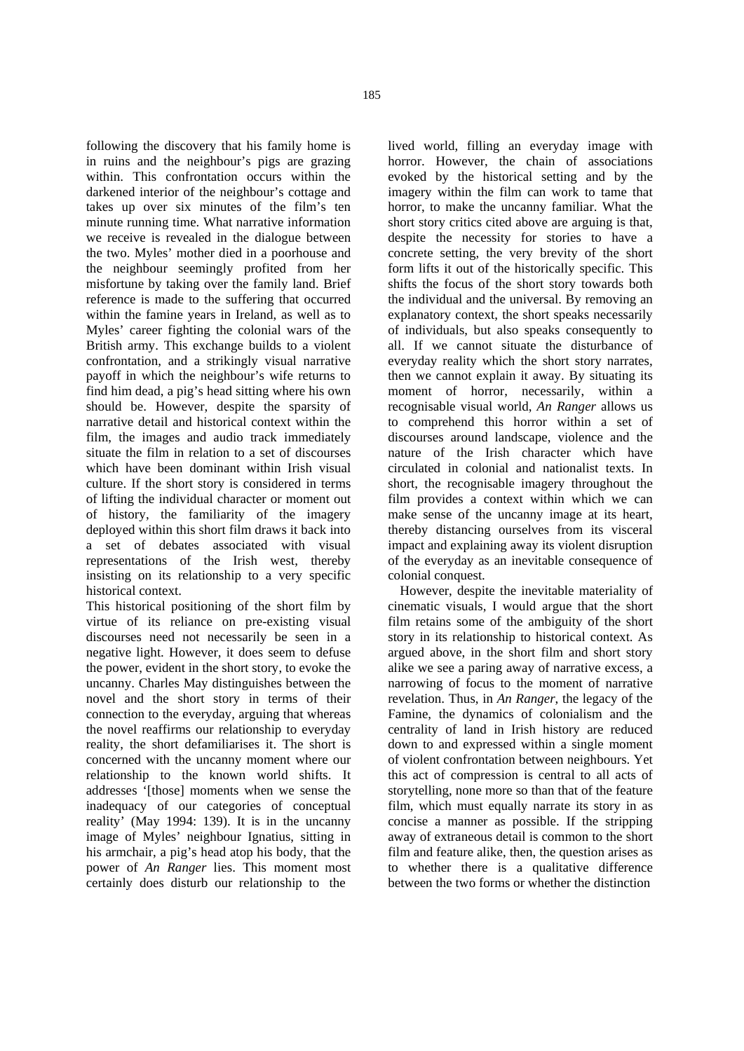following the discovery that his family home is in ruins and the neighbour's pigs are grazing within. This confrontation occurs within the darkened interior of the neighbour's cottage and takes up over six minutes of the film's ten minute running time. What narrative information we receive is revealed in the dialogue between the two. Myles' mother died in a poorhouse and the neighbour seemingly profited from her misfortune by taking over the family land. Brief reference is made to the suffering that occurred within the famine years in Ireland, as well as to Myles' career fighting the colonial wars of the British army. This exchange builds to a violent confrontation, and a strikingly visual narrative payoff in which the neighbour's wife returns to find him dead, a pig's head sitting where his own should be. However, despite the sparsity of narrative detail and historical context within the film, the images and audio track immediately situate the film in relation to a set of discourses which have been dominant within Irish visual culture. If the short story is considered in terms of lifting the individual character or moment out of history, the familiarity of the imagery deployed within this short film draws it back into a set of debates associated with visual representations of the Irish west, thereby insisting on its relationship to a very specific historical context.

This historical positioning of the short film by virtue of its reliance on pre-existing visual discourses need not necessarily be seen in a negative light. However, it does seem to defuse the power, evident in the short story, to evoke the uncanny. Charles May distinguishes between the novel and the short story in terms of their connection to the everyday, arguing that whereas the novel reaffirms our relationship to everyday reality, the short defamiliarises it. The short is concerned with the uncanny moment where our relationship to the known world shifts. It addresses '[those] moments when we sense the inadequacy of our categories of conceptual reality' (May 1994: 139). It is in the uncanny image of Myles' neighbour Ignatius, sitting in his armchair, a pig's head atop his body, that the power of *An Ranger* lies. This moment most certainly does disturb our relationship to the

lived world, filling an everyday image with horror. However, the chain of associations evoked by the historical setting and by the imagery within the film can work to tame that horror, to make the uncanny familiar. What the short story critics cited above are arguing is that, despite the necessity for stories to have a concrete setting, the very brevity of the short form lifts it out of the historically specific. This shifts the focus of the short story towards both the individual and the universal. By removing an explanatory context, the short speaks necessarily of individuals, but also speaks consequently to all. If we cannot situate the disturbance of everyday reality which the short story narrates, then we cannot explain it away. By situating its moment of horror, necessarily, within a recognisable visual world, *An Ranger* allows us to comprehend this horror within a set of discourses around landscape, violence and the nature of the Irish character which have circulated in colonial and nationalist texts. In short, the recognisable imagery throughout the film provides a context within which we can make sense of the uncanny image at its heart, thereby distancing ourselves from its visceral impact and explaining away its violent disruption of the everyday as an inevitable consequence of colonial conquest.

However, despite the inevitable materiality of cinematic visuals, I would argue that the short film retains some of the ambiguity of the short story in its relationship to historical context. As argued above, in the short film and short story alike we see a paring away of narrative excess, a narrowing of focus to the moment of narrative revelation. Thus, in *An Ranger*, the legacy of the Famine, the dynamics of colonialism and the centrality of land in Irish history are reduced down to and expressed within a single moment of violent confrontation between neighbours. Yet this act of compression is central to all acts of storytelling, none more so than that of the feature film, which must equally narrate its story in as concise a manner as possible. If the stripping away of extraneous detail is common to the short film and feature alike, then, the question arises as to whether there is a qualitative difference between the two forms or whether the distinction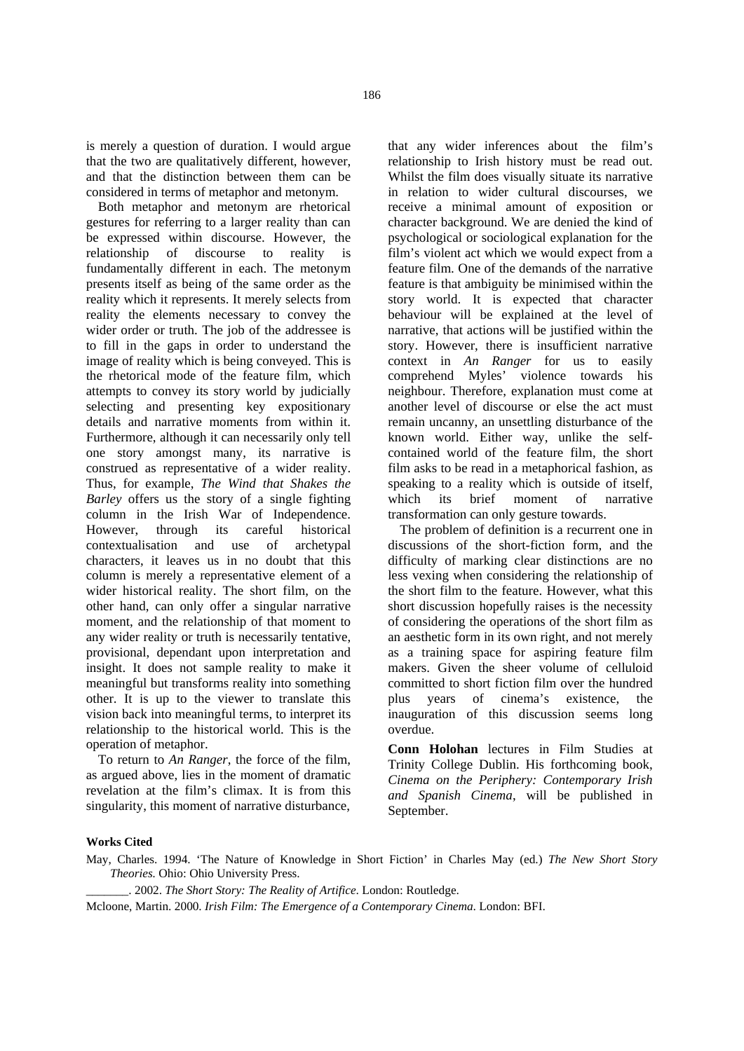is merely a question of duration. I would argue that the two are qualitatively different, however, and that the distinction between them can be considered in terms of metaphor and metonym.

Both metaphor and metonym are rhetorical gestures for referring to a larger reality than can be expressed within discourse. However, the relationship of discourse to reality is fundamentally different in each. The metonym presents itself as being of the same order as the reality which it represents. It merely selects from reality the elements necessary to convey the wider order or truth. The job of the addressee is to fill in the gaps in order to understand the image of reality which is being conveyed. This is the rhetorical mode of the feature film, which attempts to convey its story world by judicially selecting and presenting key expositionary details and narrative moments from within it. Furthermore, although it can necessarily only tell one story amongst many, its narrative is construed as representative of a wider reality. Thus, for example, *The Wind that Shakes the Barley* offers us the story of a single fighting column in the Irish War of Independence. However, through its careful historical contextualisation and use of archetypal characters, it leaves us in no doubt that this column is merely a representative element of a wider historical reality. The short film, on the other hand, can only offer a singular narrative moment, and the relationship of that moment to any wider reality or truth is necessarily tentative, provisional, dependant upon interpretation and insight. It does not sample reality to make it meaningful but transforms reality into something other. It is up to the viewer to translate this vision back into meaningful terms, to interpret its relationship to the historical world. This is the operation of metaphor.

To return to *An Ranger*, the force of the film, as argued above, lies in the moment of dramatic revelation at the film's climax. It is from this singularity, this moment of narrative disturbance, that any wider inferences about the film's relationship to Irish history must be read out. Whilst the film does visually situate its narrative in relation to wider cultural discourses, we receive a minimal amount of exposition or character background. We are denied the kind of psychological or sociological explanation for the film's violent act which we would expect from a feature film. One of the demands of the narrative feature is that ambiguity be minimised within the story world. It is expected that character behaviour will be explained at the level of narrative, that actions will be justified within the story. However, there is insufficient narrative context in *An Ranger* for us to easily comprehend Myles' violence towards his neighbour. Therefore, explanation must come at another level of discourse or else the act must remain uncanny, an unsettling disturbance of the known world. Either way, unlike the selfcontained world of the feature film, the short film asks to be read in a metaphorical fashion, as speaking to a reality which is outside of itself, which its brief moment of narrative transformation can only gesture towards.

The problem of definition is a recurrent one in discussions of the short-fiction form, and the difficulty of marking clear distinctions are no less vexing when considering the relationship of the short film to the feature. However, what this short discussion hopefully raises is the necessity of considering the operations of the short film as an aesthetic form in its own right, and not merely as a training space for aspiring feature film makers. Given the sheer volume of celluloid committed to short fiction film over the hundred plus years of cinema's existence, the inauguration of this discussion seems long overdue.

**Conn Holohan** lectures in Film Studies at Trinity College Dublin. His forthcoming book, *Cinema on the Periphery: Contemporary Irish and Spanish Cinema*, will be published in September.

### **Works Cited**

May, Charles. 1994. 'The Nature of Knowledge in Short Fiction' in Charles May (ed.) *The New Short Story Theories.* Ohio: Ohio University Press.

\_\_\_\_\_\_\_. 2002. *The Short Story: The Reality of Artifice*. London: Routledge.

Mcloone, Martin. 2000. *Irish Film: The Emergence of a Contemporary Cinema*. London: BFI.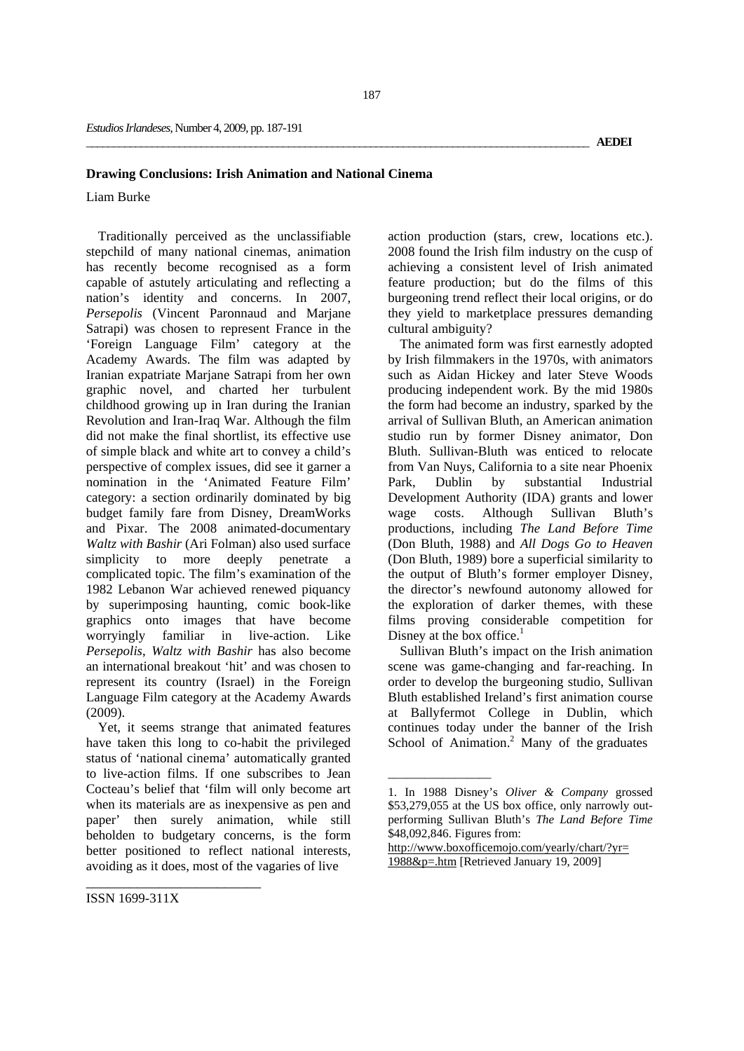# **Drawing Conclusions: Irish Animation and National Cinema**

# Liam Burke

Traditionally perceived as the unclassifiable stepchild of many national cinemas, animation has recently become recognised as a form capable of astutely articulating and reflecting a nation's identity and concerns. In 2007, *Persepolis* (Vincent Paronnaud and Marjane Satrapi) was chosen to represent France in the 'Foreign Language Film' category at the Academy Awards. The film was adapted by Iranian expatriate Marjane Satrapi from her own graphic novel, and charted her turbulent childhood growing up in Iran during the Iranian Revolution and Iran-Iraq War. Although the film did not make the final shortlist, its effective use of simple black and white art to convey a child's perspective of complex issues, did see it garner a nomination in the 'Animated Feature Film' category: a section ordinarily dominated by big budget family fare from Disney, DreamWorks and Pixar. The 2008 animated-documentary *Waltz with Bashir* (Ari Folman) also used surface simplicity to more deeply penetrate a complicated topic. The film's examination of the 1982 Lebanon War achieved renewed piquancy by superimposing haunting, comic book-like graphics onto images that have become worryingly familiar in live-action. Like *Persepolis*, *Waltz with Bashir* has also become an international breakout 'hit' and was chosen to represent its country (Israel) in the Foreign Language Film category at the Academy Awards (2009).

Yet, it seems strange that animated features have taken this long to co-habit the privileged status of 'national cinema' automatically granted to live-action films. If one subscribes to Jean Cocteau's belief that 'film will only become art when its materials are as inexpensive as pen and paper' then surely animation, while still beholden to budgetary concerns, is the form better positioned to reflect national interests, avoiding as it does, most of the vagaries of live

action production (stars, crew, locations etc.). 2008 found the Irish film industry on the cusp of achieving a consistent level of Irish animated feature production; but do the films of this burgeoning trend reflect their local origins, or do they yield to marketplace pressures demanding cultural ambiguity?

The animated form was first earnestly adopted by Irish filmmakers in the 1970s, with animators such as Aidan Hickey and later Steve Woods producing independent work. By the mid 1980s the form had become an industry, sparked by the arrival of Sullivan Bluth, an American animation studio run by former Disney animator, Don Bluth. Sullivan-Bluth was enticed to relocate from Van Nuys, California to a site near Phoenix Park, Dublin by substantial Industrial Development Authority (IDA) grants and lower wage costs. Although Sullivan Bluth's productions, including *The Land Before Time*  (Don Bluth, 1988) and *All Dogs Go to Heaven*  (Don Bluth, 1989) bore a superficial similarity to the output of Bluth's former employer Disney, the director's newfound autonomy allowed for the exploration of darker themes, with these films proving considerable competition for Disney at the box office.<sup>1</sup>

Sullivan Bluth's impact on the Irish animation scene was game-changing and far-reaching. In order to develop the burgeoning studio, Sullivan Bluth established Ireland's first animation course at Ballyfermot College in Dublin, which continues today under the banner of the Irish School of Animation.<sup>2</sup> Many of the graduates

 $\overline{\phantom{a}}$  ,  $\overline{\phantom{a}}$  ,  $\overline{\phantom{a}}$  ,  $\overline{\phantom{a}}$  ,  $\overline{\phantom{a}}$  ,  $\overline{\phantom{a}}$  ,  $\overline{\phantom{a}}$  ,  $\overline{\phantom{a}}$  ,  $\overline{\phantom{a}}$  ,  $\overline{\phantom{a}}$  ,  $\overline{\phantom{a}}$  ,  $\overline{\phantom{a}}$  ,  $\overline{\phantom{a}}$  ,  $\overline{\phantom{a}}$  ,  $\overline{\phantom{a}}$  ,  $\overline{\phantom{a}}$ 

<sup>1.</sup> In 1988 Disney's *Oliver & Company* grossed \$53,279,055 at the US box office, only narrowly outperforming Sullivan Bluth's *The Land Before Time*  \$48,092,846. Figures from:

http://www.boxofficemojo.com/yearly/chart/?yr= 1988&p=.htm [Retrieved January 19, 2009]

ISSN 1699-311X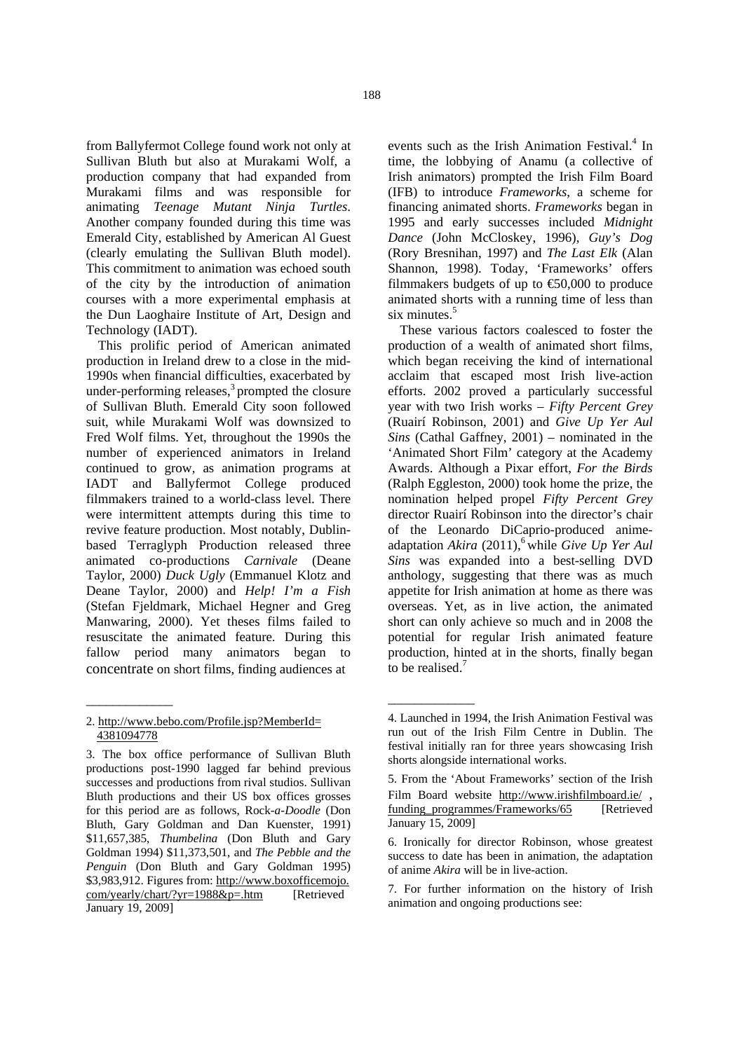from Ballyfermot College found work not only at Sullivan Bluth but also at Murakami Wolf, a production company that had expanded from Murakami films and was responsible for animating *Teenage Mutant Ninja Turtles*. Another company founded during this time was Emerald City, established by American Al Guest (clearly emulating the Sullivan Bluth model). This commitment to animation was echoed south of the city by the introduction of animation courses with a more experimental emphasis at the Dun Laoghaire Institute of Art, Design and Technology (IADT).

This prolific period of American animated production in Ireland drew to a close in the mid-1990s when financial difficulties, exacerbated by under-performing releases, $3$  prompted the closure of Sullivan Bluth. Emerald City soon followed suit, while Murakami Wolf was downsized to Fred Wolf films. Yet, throughout the 1990s the number of experienced animators in Ireland continued to grow, as animation programs at IADT and Ballyfermot College produced filmmakers trained to a world-class level. There were intermittent attempts during this time to revive feature production. Most notably, Dublinbased Terraglyph Production released three animated co-productions *Carnivale* (Deane Taylor, 2000) *Duck Ugly* (Emmanuel Klotz and Deane Taylor, 2000) and *Help! I'm a Fish* (Stefan Fjeldmark, Michael Hegner and Greg Manwaring, 2000). Yet theses films failed to resuscitate the animated feature. During this fallow period many animators began to concentrate on short films, finding audiences at

\_\_\_\_\_\_\_\_\_\_\_\_\_

events such as the Irish Animation Festival.<sup>4</sup> In time, the lobbying of Anamu (a collective of Irish animators) prompted the Irish Film Board (IFB) to introduce *Frameworks*, a scheme for financing animated shorts. *Frameworks* began in 1995 and early successes included *Midnight Dance* (John McCloskey, 1996), *Guy's Dog*  (Rory Bresnihan, 1997) and *The Last Elk* (Alan Shannon, 1998). Today, 'Frameworks' offers filmmakers budgets of up to  $\epsilon$ 50,000 to produce animated shorts with a running time of less than six minutes.<sup>5</sup>

These various factors coalesced to foster the production of a wealth of animated short films, which began receiving the kind of international acclaim that escaped most Irish live-action efforts. 2002 proved a particularly successful year with two Irish works – *Fifty Percent Grey*  (Ruairí Robinson, 2001) and *Give Up Yer Aul Sins* (Cathal Gaffney, 2001) – nominated in the 'Animated Short Film' category at the Academy Awards. Although a Pixar effort, *For the Birds* (Ralph Eggleston, 2000) took home the prize, the nomination helped propel *Fifty Percent Grey*  director Ruairí Robinson into the director's chair of the Leonardo DiCaprio-produced animeadaptation *Akira* (2011),<sup>6</sup> while *Give Up Yer Aul Sins* was expanded into a best-selling DVD anthology, suggesting that there was as much appetite for Irish animation at home as there was overseas. Yet, as in live action, the animated short can only achieve so much and in 2008 the potential for regular Irish animated feature production, hinted at in the shorts, finally began to be realised.<sup>7</sup>

\_\_\_\_\_\_\_\_\_\_\_\_\_

<sup>2.</sup> http://www.bebo.com/Profile.jsp?MemberId= 4381094778

<sup>3.</sup> The box office performance of Sullivan Bluth productions post-1990 lagged far behind previous successes and productions from rival studios. Sullivan Bluth productions and their US box offices grosses for this period are as follows, Rock*-a-Doodle* (Don Bluth, Gary Goldman and Dan Kuenster, 1991) \$11,657,385, *Thumbelina* (Don Bluth and Gary Goldman 1994) \$11,373,501, and *The Pebble and the Penguin* (Don Bluth and Gary Goldman 1995) \$3,983,912. Figures from: http://www.boxofficemojo.com/yearly/chart/?yr=1988&p=.htm [Retrieved] January 19, 2009]

<sup>4.</sup> Launched in 1994, the Irish Animation Festival was run out of the Irish Film Centre in Dublin. The festival initially ran for three years showcasing Irish shorts alongside international works.

<sup>5.</sup> From the 'About Frameworks' section of the Irish Film Board website http://www.irishfilmboard.ie/,<br>funding programmes/Frameworks/65 [Retrieved] January 15, 2009]

<sup>6.</sup> Ironically for director Robinson, whose greatest success to date has been in animation, the adaptation of anime *Akira* will be in live-action.

<sup>7.</sup> For further information on the history of Irish animation and ongoing productions see: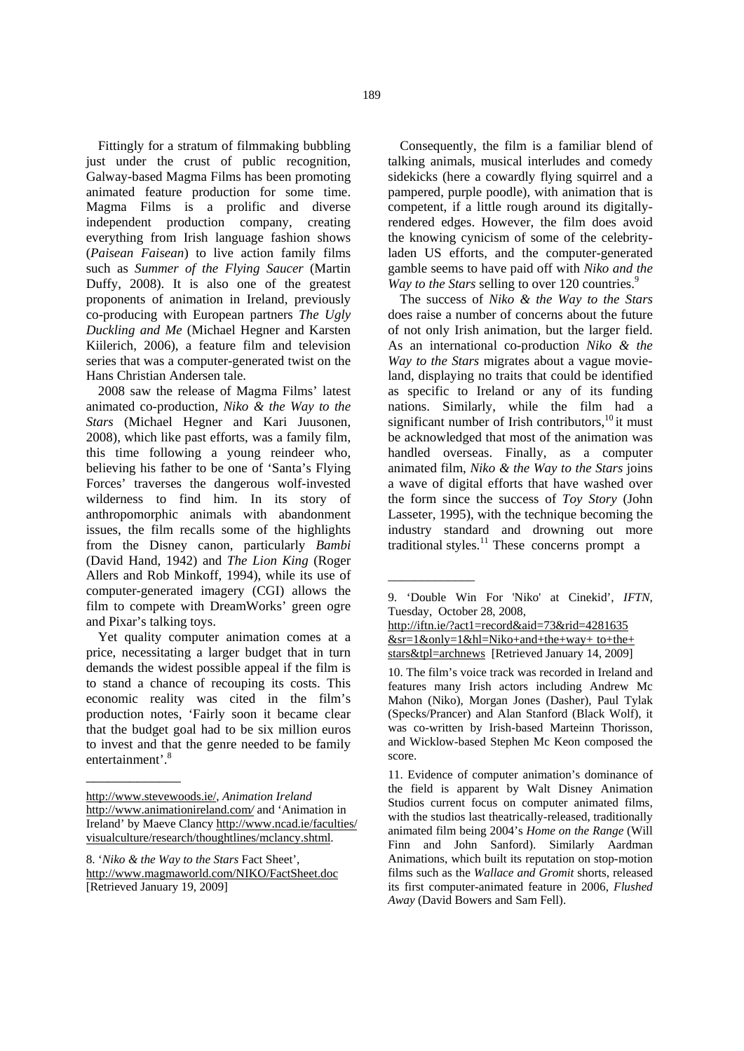Fittingly for a stratum of filmmaking bubbling just under the crust of public recognition, Galway-based Magma Films has been promoting animated feature production for some time. Magma Films is a prolific and diverse independent production company, creating everything from Irish language fashion shows (*Paisean Faisean*) to live action family films such as *Summer of the Flying Saucer* (Martin Duffy, 2008). It is also one of the greatest proponents of animation in Ireland, previously co-producing with European partners *The Ugly Duckling and Me* (Michael Hegner and Karsten Kiilerich, 2006), a feature film and television series that was a computer-generated twist on the Hans Christian Andersen tale.

2008 saw the release of Magma Films' latest animated co-production, *Niko & the Way to the Stars* (Michael Hegner and Kari Juusonen, 2008), which like past efforts, was a family film, this time following a young reindeer who, believing his father to be one of 'Santa's Flying Forces' traverses the dangerous wolf-invested wilderness to find him. In its story of anthropomorphic animals with abandonment issues, the film recalls some of the highlights from the Disney canon, particularly *Bambi*  (David Hand, 1942) and *The Lion King* (Roger Allers and Rob Minkoff, 1994), while its use of computer-generated imagery (CGI) allows the film to compete with DreamWorks' green ogre and Pixar's talking toys.

Yet quality computer animation comes at a price, necessitating a larger budget that in turn demands the widest possible appeal if the film is to stand a chance of recouping its costs. This economic reality was cited in the film's production notes, 'Fairly soon it became clear that the budget goal had to be six million euros to invest and that the genre needed to be family entertainment'.<sup>8</sup>

\_\_\_\_\_\_\_\_\_\_\_\_\_

Consequently, the film is a familiar blend of talking animals, musical interludes and comedy sidekicks (here a cowardly flying squirrel and a pampered, purple poodle), with animation that is competent, if a little rough around its digitallyrendered edges. However, the film does avoid the knowing cynicism of some of the celebrityladen US efforts, and the computer-generated gamble seems to have paid off with *Niko and the Way to the Stars selling to over 120 countries.*<sup>9</sup>

The success of *Niko & the Way to the Stars*  does raise a number of concerns about the future of not only Irish animation, but the larger field. As an international co-production *Niko & the Way to the Stars* migrates about a vague movieland, displaying no traits that could be identified as specific to Ireland or any of its funding nations. Similarly, while the film had a significant number of Irish contributors, $^{10}$  it must be acknowledged that most of the animation was handled overseas. Finally, as a computer animated film, *Niko & the Way to the Stars* joins a wave of digital efforts that have washed over the form since the success of *Toy Story* (John Lasseter, 1995), with the technique becoming the industry standard and drowning out more traditional styles.<sup>11</sup> These concerns prompt a

<sup>9. &#</sup>x27;Double Win For 'Niko' at Cinekid', *IFTN*, Tuesday, October 28, 2008,

| http://iftn.ie/?act1=record&aid=73&rid=4281635                                      |
|-------------------------------------------------------------------------------------|
| $&sr=1&only=1&h=Niko+and+the+way+to+the+$                                           |
| $\frac{\text{stars&tp}}{\text{top} = \text{archnews}}$ [Retrieved January 14, 2009] |

\_\_\_\_\_\_\_\_\_\_\_\_\_

http://www.stevewoods.ie/, *Animation Ireland*  http://www.animationireland.com*/* and 'Animation in Ireland' by Maeve Clancy http://www.ncad.ie/faculties/ visualculture/research/thoughtlines/mclancy.shtml.

<sup>8. &#</sup>x27;*Niko & the Way to the Stars* Fact Sheet', http://www.magmaworld.com/NIKO/FactSheet.doc [Retrieved January 19, 2009]

<sup>10.</sup> The film's voice track was recorded in Ireland and features many Irish actors including Andrew Mc Mahon (Niko), Morgan Jones (Dasher), Paul Tylak (Specks/Prancer) and Alan Stanford (Black Wolf), it was co-written by Irish-based Marteinn Thorisson, and Wicklow-based Stephen Mc Keon composed the score.

<sup>11.</sup> Evidence of computer animation's dominance of the field is apparent by Walt Disney Animation Studios current focus on computer animated films, with the studios last theatrically-released, traditionally animated film being 2004's *Home on the Range* (Will Finn and John Sanford). Similarly Aardman Animations, which built its reputation on stop-motion films such as the *Wallace and Gromit* shorts, released its first computer-animated feature in 2006, *Flushed Away* (David Bowers and Sam Fell).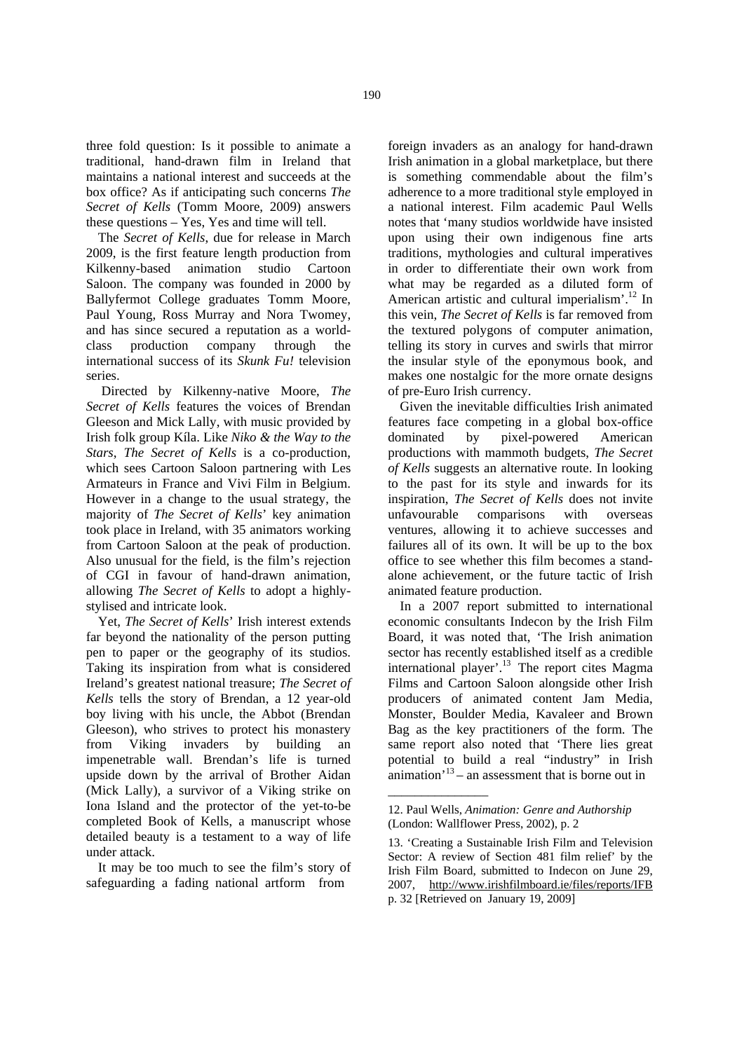three fold question: Is it possible to animate a traditional, hand-drawn film in Ireland that maintains a national interest and succeeds at the box office? As if anticipating such concerns *The Secret of Kells* (Tomm Moore, 2009) answers these questions – Yes, Yes and time will tell.

The *Secret of Kells*, due for release in March 2009, is the first feature length production from Kilkenny-based animation studio Cartoon Saloon. The company was founded in 2000 by Ballyfermot College graduates Tomm Moore, Paul Young, Ross Murray and Nora Twomey, and has since secured a reputation as a worldclass production company through the international success of its *Skunk Fu!* television series.

 Directed by Kilkenny-native Moore, *The Secret of Kells* features the voices of Brendan Gleeson and Mick Lally, with music provided by Irish folk group Kíla. Like *Niko & the Way to the Stars*, *The Secret of Kells* is a co-production, which sees Cartoon Saloon partnering with Les Armateurs in France and Vivi Film in Belgium. However in a change to the usual strategy, the majority of *The Secret of Kells*' key animation took place in Ireland, with 35 animators working from Cartoon Saloon at the peak of production. Also unusual for the field, is the film's rejection of CGI in favour of hand-drawn animation, allowing *The Secret of Kells* to adopt a highlystylised and intricate look.

Yet, *The Secret of Kells*' Irish interest extends far beyond the nationality of the person putting pen to paper or the geography of its studios. Taking its inspiration from what is considered Ireland's greatest national treasure; *The Secret of Kells* tells the story of Brendan, a 12 year-old boy living with his uncle, the Abbot (Brendan Gleeson), who strives to protect his monastery from Viking invaders by building an impenetrable wall. Brendan's life is turned upside down by the arrival of Brother Aidan (Mick Lally), a survivor of a Viking strike on Iona Island and the protector of the yet-to-be completed Book of Kells, a manuscript whose detailed beauty is a testament to a way of life under attack.

It may be too much to see the film's story of safeguarding a fading national artform from

foreign invaders as an analogy for hand-drawn Irish animation in a global marketplace, but there is something commendable about the film's adherence to a more traditional style employed in a national interest. Film academic Paul Wells notes that 'many studios worldwide have insisted upon using their own indigenous fine arts traditions, mythologies and cultural imperatives in order to differentiate their own work from what may be regarded as a diluted form of American artistic and cultural imperialism'.<sup>12</sup> In this vein, *The Secret of Kells* is far removed from the textured polygons of computer animation, telling its story in curves and swirls that mirror the insular style of the eponymous book, and makes one nostalgic for the more ornate designs of pre-Euro Irish currency.

Given the inevitable difficulties Irish animated features face competing in a global box-office dominated by pixel-powered American productions with mammoth budgets, *The Secret of Kells* suggests an alternative route. In looking to the past for its style and inwards for its inspiration, *The Secret of Kells* does not invite unfavourable comparisons with overseas ventures, allowing it to achieve successes and failures all of its own. It will be up to the box office to see whether this film becomes a standalone achievement, or the future tactic of Irish animated feature production.

In a 2007 report submitted to international economic consultants Indecon by the Irish Film Board, it was noted that, 'The Irish animation sector has recently established itself as a credible international player'.<sup>13</sup> The report cites Magma Films and Cartoon Saloon alongside other Irish producers of animated content Jam Media, Monster, Boulder Media, Kavaleer and Brown Bag as the key practitioners of the form. The same report also noted that 'There lies great potential to build a real "industry" in Irish  $\arcsin^{13}$  – an assessment that is borne out in

\_\_\_\_\_\_\_\_\_\_\_\_\_\_\_

<sup>12.</sup> Paul Wells, *Animation: Genre and Authorship* (London: Wallflower Press, 2002), p. 2

<sup>13. &#</sup>x27;Creating a Sustainable Irish Film and Television Sector: A review of Section 481 film relief' by the Irish Film Board, submitted to Indecon on June 29, 2007, http://www.irishfilmboard.ie/files/reports/IFB p. 32 [Retrieved on January 19, 2009]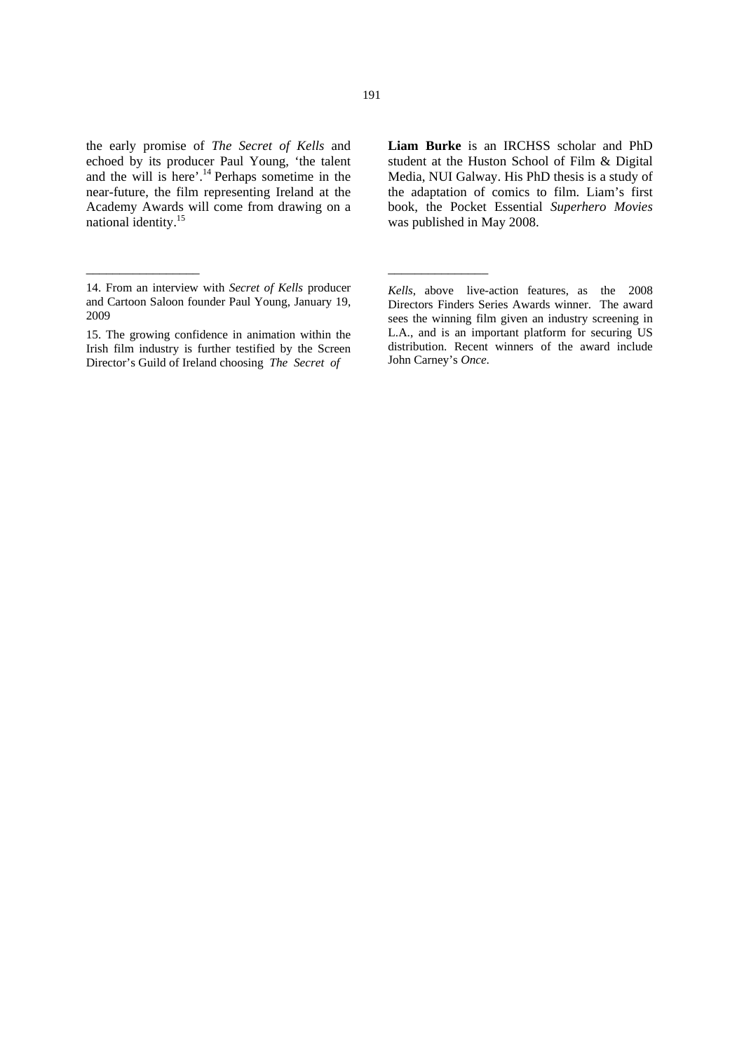the early promise of *The Secret of Kells* and echoed by its producer Paul Young, 'the talent and the will is here'.<sup>14</sup> Perhaps sometime in the near-future, the film representing Ireland at the Academy Awards will come from drawing on a national identity.15

\_\_\_\_\_\_\_\_\_\_\_\_\_\_\_\_\_

**Liam Burke** is an IRCHSS scholar and PhD student at the Huston School of Film & Digital Media, NUI Galway. His PhD thesis is a study of the adaptation of comics to film. Liam's first book, the Pocket Essential *Superhero Movies* was published in May 2008.

\_\_\_\_\_\_\_\_\_\_\_\_\_\_\_

<sup>14.</sup> From an interview with *Secret of Kells* producer and Cartoon Saloon founder Paul Young, January 19, 2009

<sup>15.</sup> The growing confidence in animation within the Irish film industry is further testified by the Screen Director's Guild of Ireland choosing *The Secret of* 

*Kells*, above live-action features, as the 2008 Directors Finders Series Awards winner. The award sees the winning film given an industry screening in L.A., and is an important platform for securing US distribution. Recent winners of the award include John Carney's *Once*.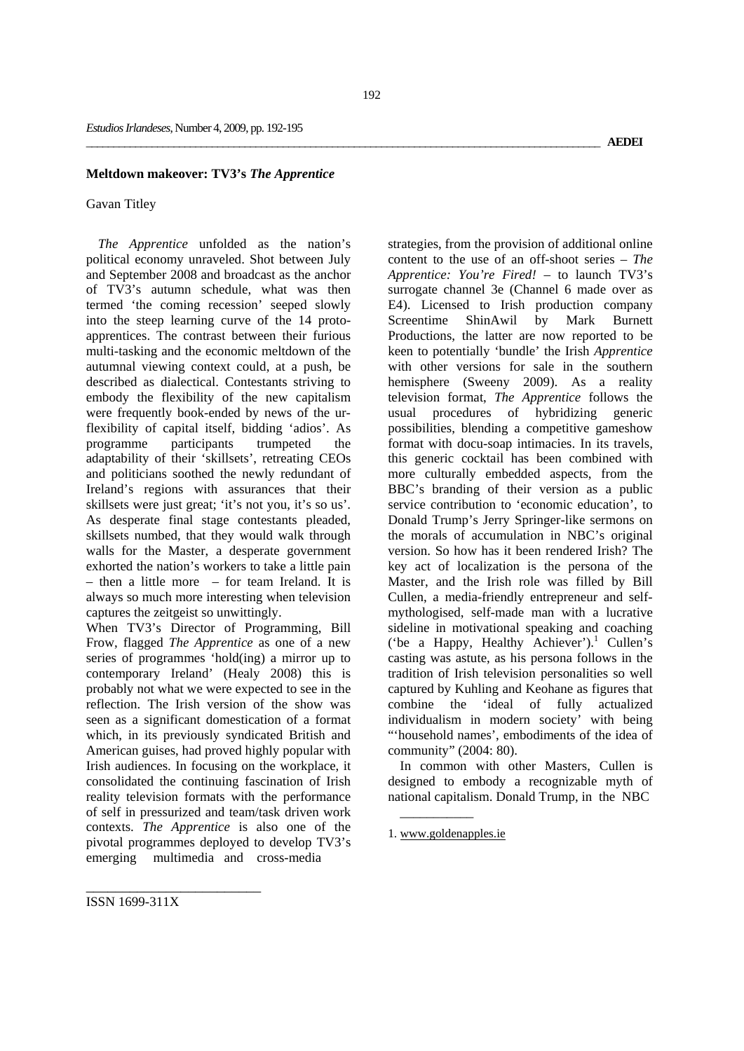## **Meltdown makeover: TV3's** *The Apprentice*

### Gavan Titley

*The Apprentice* unfolded as the nation's political economy unraveled. Shot between July and September 2008 and broadcast as the anchor of TV3's autumn schedule, what was then termed 'the coming recession' seeped slowly into the steep learning curve of the 14 protoapprentices. The contrast between their furious multi-tasking and the economic meltdown of the autumnal viewing context could, at a push, be described as dialectical. Contestants striving to embody the flexibility of the new capitalism were frequently book-ended by news of the urflexibility of capital itself, bidding 'adios'. As programme participants trumpeted the adaptability of their 'skillsets', retreating CEOs and politicians soothed the newly redundant of Ireland's regions with assurances that their skillsets were just great; 'it's not you, it's so us'. As desperate final stage contestants pleaded, skillsets numbed, that they would walk through walls for the Master, a desperate government exhorted the nation's workers to take a little pain – then a little more – for team Ireland. It is always so much more interesting when television captures the zeitgeist so unwittingly.

When TV3's Director of Programming, Bill Frow, flagged *The Apprentice* as one of a new series of programmes 'hold(ing) a mirror up to contemporary Ireland' (Healy 2008) this is probably not what we were expected to see in the reflection. The Irish version of the show was seen as a significant domestication of a format which, in its previously syndicated British and American guises, had proved highly popular with Irish audiences. In focusing on the workplace, it consolidated the continuing fascination of Irish reality television formats with the performance of self in pressurized and team/task driven work contexts. *The Apprentice* is also one of the pivotal programmes deployed to develop TV3's emerging multimedia and cross-media

strategies, from the provision of additional online content to the use of an off-shoot series – *The Apprentice: You're Fired!* – to launch TV3's surrogate channel 3e (Channel 6 made over as E4). Licensed to Irish production company Screentime ShinAwil by Mark Burnett Productions, the latter are now reported to be keen to potentially 'bundle' the Irish *Apprentice* with other versions for sale in the southern hemisphere (Sweeny 2009). As a reality television format, *The Apprentice* follows the usual procedures of hybridizing generic possibilities, blending a competitive gameshow format with docu-soap intimacies. In its travels, this generic cocktail has been combined with more culturally embedded aspects, from the BBC's branding of their version as a public service contribution to 'economic education', to Donald Trump's Jerry Springer-like sermons on the morals of accumulation in NBC's original version. So how has it been rendered Irish? The key act of localization is the persona of the Master, and the Irish role was filled by Bill Cullen, a media-friendly entrepreneur and selfmythologised, self-made man with a lucrative sideline in motivational speaking and coaching ('be a Happy, Healthy Achiever').<sup>1</sup> Cullen's casting was astute, as his persona follows in the tradition of Irish television personalities so well captured by Kuhling and Keohane as figures that combine the 'ideal of fully actualized individualism in modern society' with being "'household names', embodiments of the idea of community" (2004: 80).

In common with other Masters, Cullen is designed to embody a recognizable myth of national capitalism. Donald Trump, in the NBC

\_\_\_\_\_\_\_\_\_\_\_

ISSN 1699-311X

<sup>1.</sup> www.goldenapples.ie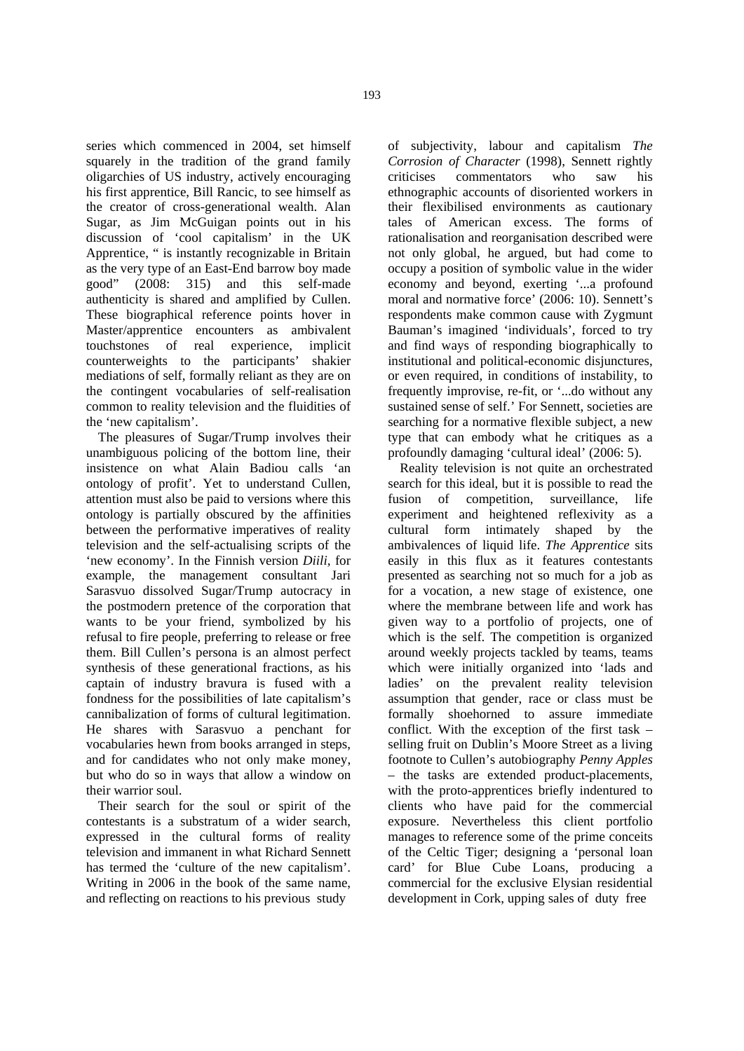series which commenced in 2004, set himself squarely in the tradition of the grand family oligarchies of US industry, actively encouraging his first apprentice, Bill Rancic, to see himself as the creator of cross-generational wealth. Alan Sugar, as Jim McGuigan points out in his discussion of 'cool capitalism' in the UK Apprentice, " is instantly recognizable in Britain as the very type of an East-End barrow boy made good" (2008: 315) and this self-made authenticity is shared and amplified by Cullen. These biographical reference points hover in Master/apprentice encounters as ambivalent touchstones of real experience, implicit counterweights to the participants' shakier mediations of self, formally reliant as they are on the contingent vocabularies of self-realisation common to reality television and the fluidities of the 'new capitalism'.

The pleasures of Sugar/Trump involves their unambiguous policing of the bottom line, their insistence on what Alain Badiou calls 'an ontology of profit'. Yet to understand Cullen, attention must also be paid to versions where this ontology is partially obscured by the affinities between the performative imperatives of reality television and the self-actualising scripts of the 'new economy'. In the Finnish version *Diili,* for example*,* the management consultant Jari Sarasvuo dissolved Sugar/Trump autocracy in the postmodern pretence of the corporation that wants to be your friend, symbolized by his refusal to fire people, preferring to release or free them. Bill Cullen's persona is an almost perfect synthesis of these generational fractions, as his captain of industry bravura is fused with a fondness for the possibilities of late capitalism's cannibalization of forms of cultural legitimation. He shares with Sarasvuo a penchant for vocabularies hewn from books arranged in steps, and for candidates who not only make money, but who do so in ways that allow a window on their warrior soul.

Their search for the soul or spirit of the contestants is a substratum of a wider search, expressed in the cultural forms of reality television and immanent in what Richard Sennett has termed the 'culture of the new capitalism'. Writing in 2006 in the book of the same name, and reflecting on reactions to his previous study

of subjectivity, labour and capitalism *The Corrosion of Character* (1998), Sennett rightly criticises commentators who saw his ethnographic accounts of disoriented workers in their flexibilised environments as cautionary tales of American excess. The forms of rationalisation and reorganisation described were not only global, he argued, but had come to occupy a position of symbolic value in the wider economy and beyond, exerting '...a profound moral and normative force' (2006: 10). Sennett's respondents make common cause with Zygmunt Bauman's imagined 'individuals', forced to try and find ways of responding biographically to institutional and political-economic disjunctures, or even required, in conditions of instability, to frequently improvise, re-fit, or '...do without any sustained sense of self.' For Sennett, societies are searching for a normative flexible subject, a new type that can embody what he critiques as a profoundly damaging 'cultural ideal' (2006: 5).

Reality television is not quite an orchestrated search for this ideal, but it is possible to read the fusion of competition, surveillance, life experiment and heightened reflexivity as a cultural form intimately shaped by the ambivalences of liquid life. *The Apprentice* sits easily in this flux as it features contestants presented as searching not so much for a job as for a vocation, a new stage of existence, one where the membrane between life and work has given way to a portfolio of projects, one of which is the self. The competition is organized around weekly projects tackled by teams, teams which were initially organized into 'lads and ladies' on the prevalent reality television assumption that gender, race or class must be formally shoehorned to assure immediate conflict. With the exception of the first task – selling fruit on Dublin's Moore Street as a living footnote to Cullen's autobiography *Penny Apples* – the tasks are extended product-placements, with the proto-apprentices briefly indentured to clients who have paid for the commercial exposure. Nevertheless this client portfolio manages to reference some of the prime conceits of the Celtic Tiger; designing a 'personal loan card' for Blue Cube Loans, producing a commercial for the exclusive Elysian residential development in Cork, upping sales of duty free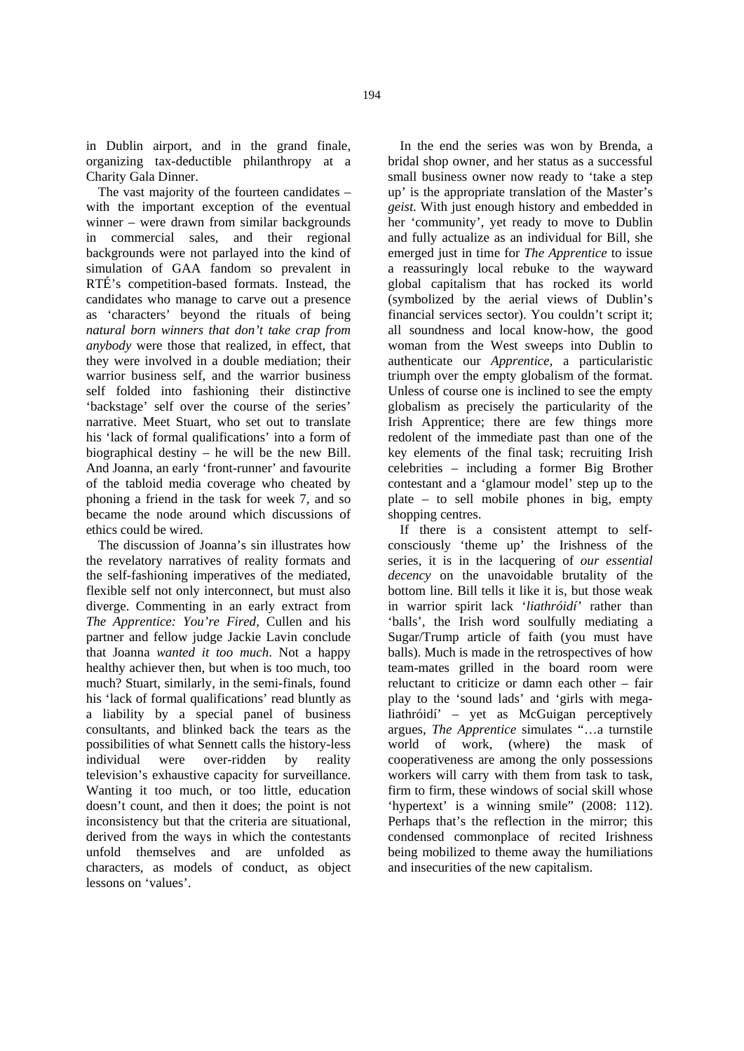in Dublin airport, and in the grand finale, organizing tax-deductible philanthropy at a Charity Gala Dinner.

The vast majority of the fourteen candidates – with the important exception of the eventual winner – were drawn from similar backgrounds in commercial sales, and their regional backgrounds were not parlayed into the kind of simulation of GAA fandom so prevalent in RTÉ's competition-based formats. Instead, the candidates who manage to carve out a presence as 'characters' beyond the rituals of being *natural born winners that don't take crap from anybody* were those that realized, in effect, that they were involved in a double mediation; their warrior business self, and the warrior business self folded into fashioning their distinctive 'backstage' self over the course of the series' narrative. Meet Stuart, who set out to translate his 'lack of formal qualifications' into a form of biographical destiny – he will be the new Bill. And Joanna, an early 'front-runner' and favourite of the tabloid media coverage who cheated by phoning a friend in the task for week 7, and so became the node around which discussions of ethics could be wired.

The discussion of Joanna's sin illustrates how the revelatory narratives of reality formats and the self-fashioning imperatives of the mediated, flexible self not only interconnect, but must also diverge. Commenting in an early extract from *The Apprentice: You're Fired,* Cullen and his partner and fellow judge Jackie Lavin conclude that Joanna *wanted it too much*. Not a happy healthy achiever then, but when is too much, too much? Stuart, similarly, in the semi-finals, found his 'lack of formal qualifications' read bluntly as a liability by a special panel of business consultants, and blinked back the tears as the possibilities of what Sennett calls the history-less individual were over-ridden by reality television's exhaustive capacity for surveillance. Wanting it too much, or too little, education doesn't count, and then it does; the point is not inconsistency but that the criteria are situational, derived from the ways in which the contestants unfold themselves and are unfolded as characters, as models of conduct, as object lessons on 'values'.

In the end the series was won by Brenda, a bridal shop owner, and her status as a successful small business owner now ready to 'take a step up' is the appropriate translation of the Master's *geist*. With just enough history and embedded in her 'community', yet ready to move to Dublin and fully actualize as an individual for Bill, she emerged just in time for *The Apprentice* to issue a reassuringly local rebuke to the wayward global capitalism that has rocked its world (symbolized by the aerial views of Dublin's financial services sector). You couldn't script it; all soundness and local know-how, the good woman from the West sweeps into Dublin to authenticate our *Apprentice,* a particularistic

triumph over the empty globalism of the format. Unless of course one is inclined to see the empty globalism as precisely the particularity of the Irish Apprentice; there are few things more redolent of the immediate past than one of the key elements of the final task; recruiting Irish celebrities – including a former Big Brother contestant and a 'glamour model' step up to the plate – to sell mobile phones in big, empty shopping centres.

If there is a consistent attempt to selfconsciously 'theme up' the Irishness of the series, it is in the lacquering of *our essential decency* on the unavoidable brutality of the bottom line. Bill tells it like it is, but those weak in warrior spirit lack '*liathróidí'* rather than 'balls', the Irish word soulfully mediating a Sugar/Trump article of faith (you must have balls). Much is made in the retrospectives of how team-mates grilled in the board room were reluctant to criticize or damn each other – fair play to the 'sound lads' and 'girls with megaliathróidí' – yet as McGuigan perceptively argues, *The Apprentice* simulates "…a turnstile world of work, (where) the mask of cooperativeness are among the only possessions workers will carry with them from task to task, firm to firm, these windows of social skill whose 'hypertext' is a winning smile" (2008: 112). Perhaps that's the reflection in the mirror; this condensed commonplace of recited Irishness being mobilized to theme away the humiliations and insecurities of the new capitalism.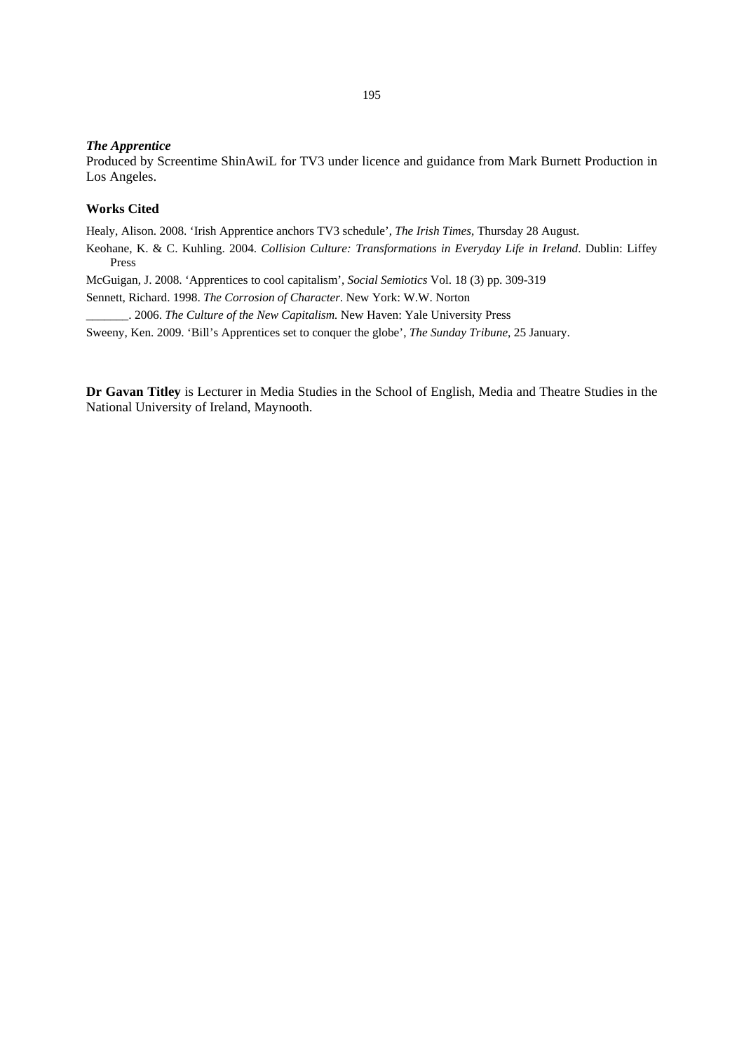### *The Apprentice*

Produced by Screentime ShinAwiL for TV3 under licence and guidance from Mark Burnett Production in Los Angeles.

# **Works Cited**

Healy, Alison. 2008. 'Irish Apprentice anchors TV3 schedule', *The Irish Times*, Thursday 28 August.

Keohane, K. & C. Kuhling. 2004. *Collision Culture: Transformations in Everyday Life in Ireland*. Dublin: Liffey Press

McGuigan, J. 2008. 'Apprentices to cool capitalism', *Social Semiotics* Vol. 18 (3) pp. 309-319

Sennett, Richard. 1998. *The Corrosion of Character*. New York: W.W. Norton

\_\_\_\_\_\_\_. 2006. *The Culture of the New Capitalism.* New Haven: Yale University Press

Sweeny, Ken. 2009. 'Bill's Apprentices set to conquer the globe', *The Sunday Tribune*, 25 January.

**Dr Gavan Titley** is Lecturer in Media Studies in the School of English, Media and Theatre Studies in the National University of Ireland, Maynooth.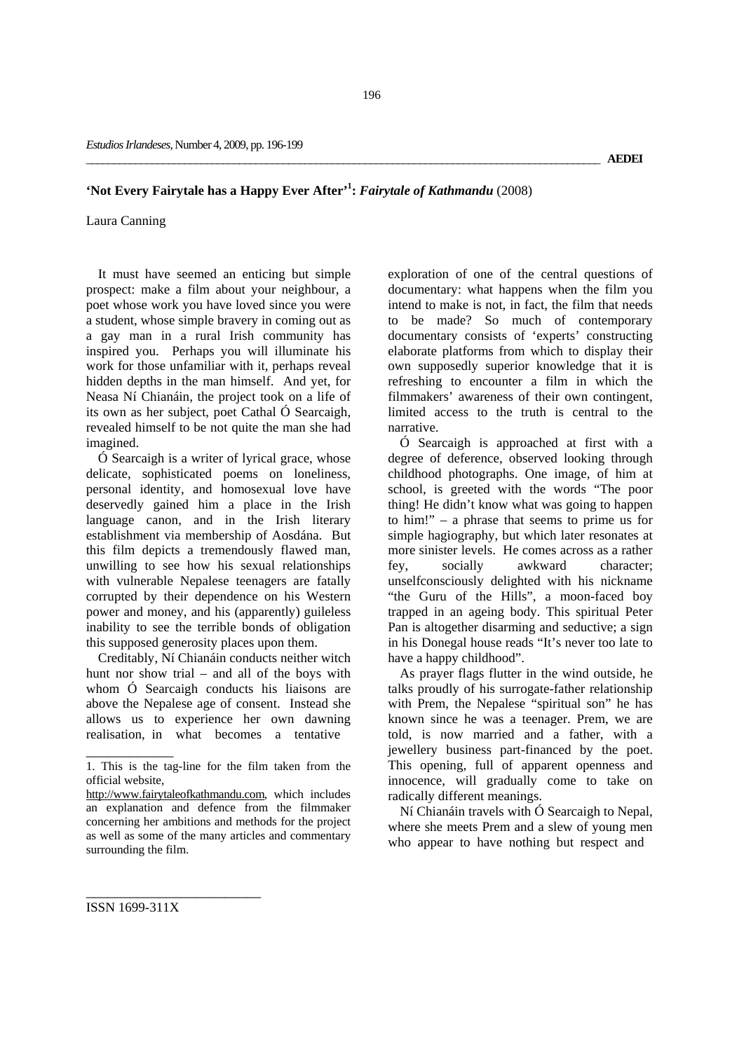# **'Not Every Fairytale has a Happy Ever After'1 :** *Fairytale of Kathmandu* (2008)

Laura Canning

It must have seemed an enticing but simple prospect: make a film about your neighbour, a poet whose work you have loved since you were a student, whose simple bravery in coming out as a gay man in a rural Irish community has inspired you. Perhaps you will illuminate his work for those unfamiliar with it, perhaps reveal hidden depths in the man himself. And yet, for Neasa Ní Chianáin, the project took on a life of its own as her subject, poet Cathal Ó Searcaigh, revealed himself to be not quite the man she had imagined.

Ó Searcaigh is a writer of lyrical grace, whose delicate, sophisticated poems on loneliness, personal identity, and homosexual love have deservedly gained him a place in the Irish language canon, and in the Irish literary establishment via membership of Aosdána. But this film depicts a tremendously flawed man, unwilling to see how his sexual relationships with vulnerable Nepalese teenagers are fatally corrupted by their dependence on his Western power and money, and his (apparently) guileless inability to see the terrible bonds of obligation this supposed generosity places upon them.

Creditably, Ní Chianáin conducts neither witch hunt nor show trial – and all of the boys with whom Ó Searcaigh conducts his liaisons are above the Nepalese age of consent. Instead she allows us to experience her own dawning realisation, in what becomes a tentative

exploration of one of the central questions of documentary: what happens when the film you intend to make is not, in fact, the film that needs to be made? So much of contemporary documentary consists of 'experts' constructing elaborate platforms from which to display their own supposedly superior knowledge that it is refreshing to encounter a film in which the filmmakers' awareness of their own contingent, limited access to the truth is central to the narrative.

Ó Searcaigh is approached at first with a degree of deference, observed looking through childhood photographs. One image, of him at school, is greeted with the words "The poor thing! He didn't know what was going to happen to him!" – a phrase that seems to prime us for simple hagiography, but which later resonates at more sinister levels. He comes across as a rather fey, socially awkward character; unselfconsciously delighted with his nickname "the Guru of the Hills", a moon-faced boy trapped in an ageing body. This spiritual Peter Pan is altogether disarming and seductive; a sign in his Donegal house reads "It's never too late to have a happy childhood".

As prayer flags flutter in the wind outside, he talks proudly of his surrogate-father relationship with Prem, the Nepalese "spiritual son" he has known since he was a teenager. Prem, we are told, is now married and a father, with a jewellery business part-financed by the poet. This opening, full of apparent openness and innocence, will gradually come to take on radically different meanings.

Ní Chianáin travels with Ó Searcaigh to Nepal, where she meets Prem and a slew of young men who appear to have nothing but respect and

ISSN 1699-311X

\_\_\_\_\_\_\_\_\_\_\_\_\_\_\_\_\_\_\_\_\_\_\_\_

\_\_\_\_\_\_\_\_\_\_\_\_

<sup>1.</sup> This is the tag-line for the film taken from the official website,

http://www.fairytaleofkathmandu.com, which includes an explanation and defence from the filmmaker concerning her ambitions and methods for the project as well as some of the many articles and commentary surrounding the film.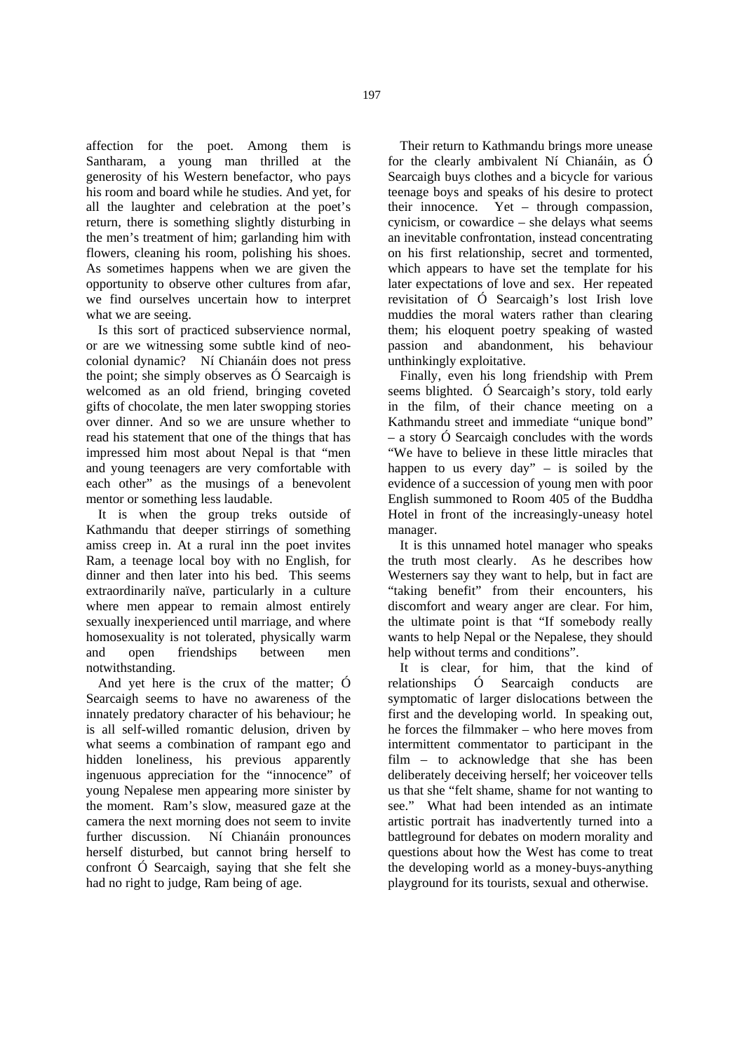affection for the poet. Among them is Santharam, a young man thrilled at the generosity of his Western benefactor, who pays his room and board while he studies. And yet, for all the laughter and celebration at the poet's return, there is something slightly disturbing in the men's treatment of him; garlanding him with flowers, cleaning his room, polishing his shoes. As sometimes happens when we are given the opportunity to observe other cultures from afar, we find ourselves uncertain how to interpret what we are seeing.

Is this sort of practiced subservience normal, or are we witnessing some subtle kind of neocolonial dynamic? Ní Chianáin does not press the point; she simply observes as Ó Searcaigh is welcomed as an old friend, bringing coveted gifts of chocolate, the men later swopping stories over dinner. And so we are unsure whether to read his statement that one of the things that has impressed him most about Nepal is that "men and young teenagers are very comfortable with each other" as the musings of a benevolent mentor or something less laudable.

It is when the group treks outside of Kathmandu that deeper stirrings of something amiss creep in. At a rural inn the poet invites Ram, a teenage local boy with no English, for dinner and then later into his bed. This seems extraordinarily naïve, particularly in a culture where men appear to remain almost entirely sexually inexperienced until marriage, and where homosexuality is not tolerated, physically warm and open friendships between men notwithstanding.

And yet here is the crux of the matter; Ó Searcaigh seems to have no awareness of the innately predatory character of his behaviour; he is all self-willed romantic delusion, driven by what seems a combination of rampant ego and hidden loneliness, his previous apparently ingenuous appreciation for the "innocence" of young Nepalese men appearing more sinister by the moment. Ram's slow, measured gaze at the camera the next morning does not seem to invite further discussion. Ní Chianáin pronounces herself disturbed, but cannot bring herself to confront Ó Searcaigh, saying that she felt she had no right to judge, Ram being of age.

Their return to Kathmandu brings more unease for the clearly ambivalent Ní Chianáin, as Ó Searcaigh buys clothes and a bicycle for various teenage boys and speaks of his desire to protect their innocence. Yet – through compassion, cynicism, or cowardice – she delays what seems an inevitable confrontation, instead concentrating on his first relationship, secret and tormented, which appears to have set the template for his later expectations of love and sex. Her repeated revisitation of Ó Searcaigh's lost Irish love muddies the moral waters rather than clearing them; his eloquent poetry speaking of wasted passion and abandonment, his behaviour unthinkingly exploitative.

Finally, even his long friendship with Prem seems blighted. Ó Searcaigh's story, told early in the film, of their chance meeting on a Kathmandu street and immediate "unique bond" – a story Ó Searcaigh concludes with the words "We have to believe in these little miracles that happen to us every day" – is soiled by the evidence of a succession of young men with poor English summoned to Room 405 of the Buddha Hotel in front of the increasingly-uneasy hotel manager.

It is this unnamed hotel manager who speaks the truth most clearly. As he describes how Westerners say they want to help, but in fact are "taking benefit" from their encounters, his discomfort and weary anger are clear. For him, the ultimate point is that "If somebody really wants to help Nepal or the Nepalese, they should help without terms and conditions".

It is clear, for him, that the kind of relationships Ó Searcaigh conducts are symptomatic of larger dislocations between the first and the developing world. In speaking out, he forces the filmmaker – who here moves from intermittent commentator to participant in the film – to acknowledge that she has been deliberately deceiving herself; her voiceover tells us that she "felt shame, shame for not wanting to see." What had been intended as an intimate artistic portrait has inadvertently turned into a battleground for debates on modern morality and questions about how the West has come to treat the developing world as a money-buys-anything playground for its tourists, sexual and otherwise.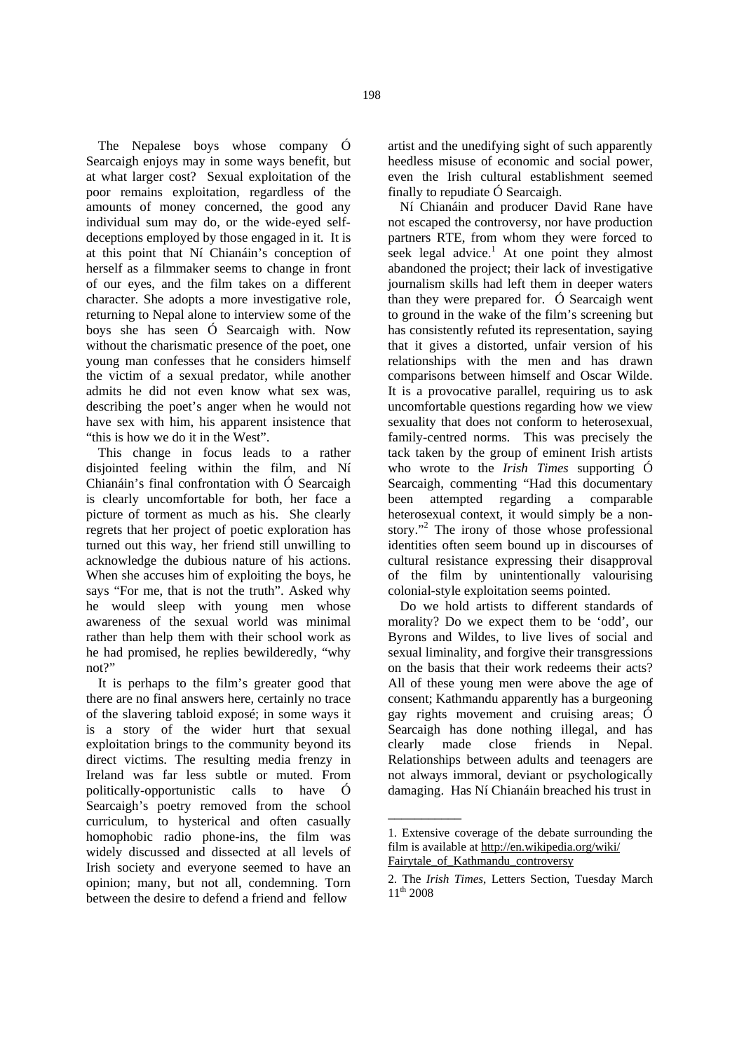The Nepalese boys whose company Ó Searcaigh enjoys may in some ways benefit, but at what larger cost? Sexual exploitation of the poor remains exploitation, regardless of the amounts of money concerned, the good any individual sum may do, or the wide-eyed selfdeceptions employed by those engaged in it. It is at this point that Ní Chianáin's conception of herself as a filmmaker seems to change in front of our eyes, and the film takes on a different character. She adopts a more investigative role, returning to Nepal alone to interview some of the boys she has seen Ó Searcaigh with. Now without the charismatic presence of the poet, one young man confesses that he considers himself the victim of a sexual predator, while another admits he did not even know what sex was, describing the poet's anger when he would not have sex with him, his apparent insistence that

"this is how we do it in the West". This change in focus leads to a rather disjointed feeling within the film, and Ní Chianáin's final confrontation with Ó Searcaigh is clearly uncomfortable for both, her face a picture of torment as much as his. She clearly regrets that her project of poetic exploration has turned out this way, her friend still unwilling to acknowledge the dubious nature of his actions. When she accuses him of exploiting the boys, he says "For me, that is not the truth". Asked why he would sleep with young men whose awareness of the sexual world was minimal rather than help them with their school work as he had promised, he replies bewilderedly, "why not?"

It is perhaps to the film's greater good that there are no final answers here, certainly no trace of the slavering tabloid exposé; in some ways it is a story of the wider hurt that sexual exploitation brings to the community beyond its direct victims. The resulting media frenzy in Ireland was far less subtle or muted. From politically-opportunistic calls to have Ó Searcaigh's poetry removed from the school curriculum, to hysterical and often casually homophobic radio phone-ins, the film was widely discussed and dissected at all levels of Irish society and everyone seemed to have an opinion; many, but not all, condemning. Torn between the desire to defend a friend and fellow

artist and the unedifying sight of such apparently heedless misuse of economic and social power, even the Irish cultural establishment seemed finally to repudiate Ó Searcaigh.

Ní Chianáin and producer David Rane have not escaped the controversy, nor have production partners RTE, from whom they were forced to seek legal advice.<sup>1</sup> At one point they almost abandoned the project; their lack of investigative journalism skills had left them in deeper waters than they were prepared for. Ó Searcaigh went to ground in the wake of the film's screening but has consistently refuted its representation, saying that it gives a distorted, unfair version of his relationships with the men and has drawn comparisons between himself and Oscar Wilde. It is a provocative parallel, requiring us to ask uncomfortable questions regarding how we view sexuality that does not conform to heterosexual, family-centred norms. This was precisely the tack taken by the group of eminent Irish artists who wrote to the *Irish Times* supporting Ó Searcaigh, commenting "Had this documentary been attempted regarding a comparable heterosexual context, it would simply be a nonstory."<sup>2</sup> The irony of those whose professional identities often seem bound up in discourses of cultural resistance expressing their disapproval of the film by unintentionally valourising colonial-style exploitation seems pointed.

Do we hold artists to different standards of morality? Do we expect them to be 'odd', our Byrons and Wildes, to live lives of social and sexual liminality, and forgive their transgressions on the basis that their work redeems their acts? All of these young men were above the age of consent; Kathmandu apparently has a burgeoning gay rights movement and cruising areas; Ó Searcaigh has done nothing illegal, and has clearly made close friends in Nepal. clearly made close friends in Nepal. Relationships between adults and teenagers are not always immoral, deviant or psychologically damaging. Has Ní Chianáin breached his trust in

\_\_\_\_\_\_\_\_\_\_\_

<sup>1.</sup> Extensive coverage of the debate surrounding the film is available at http://en.wikipedia.org/wiki/ Fairytale\_of\_Kathmandu\_controversy

<sup>2.</sup> The *Irish Times*, Letters Section, Tuesday March 11<sup>th</sup> 2008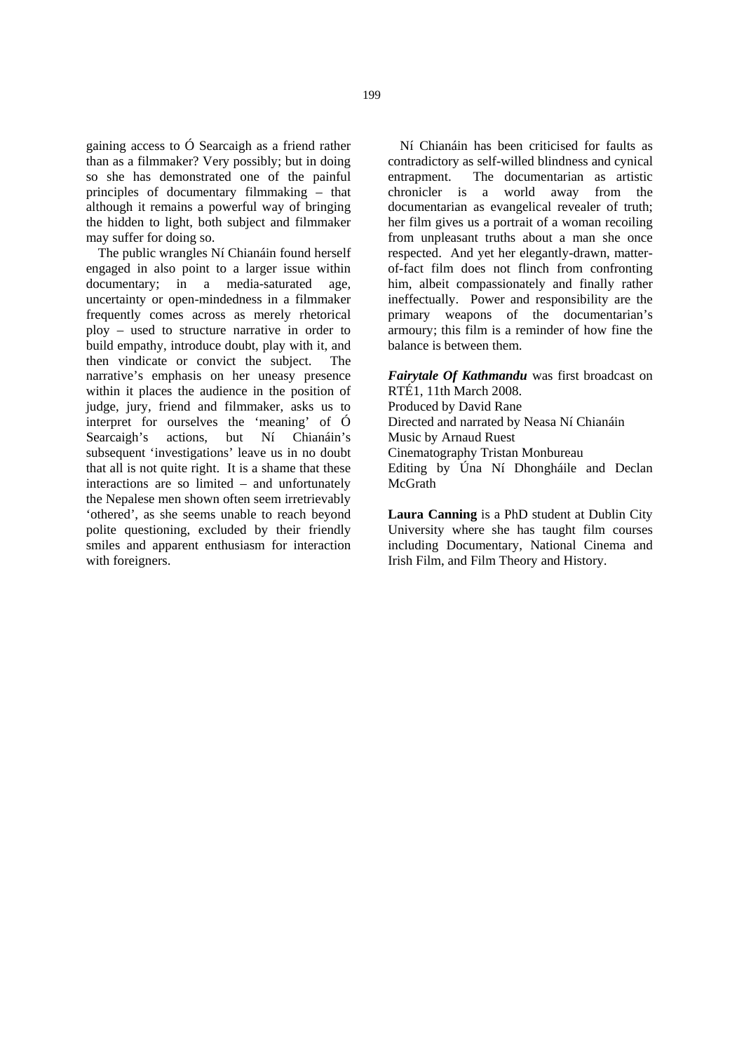gaining access to Ó Searcaigh as a friend rather than as a filmmaker? Very possibly; but in doing so she has demonstrated one of the painful principles of documentary filmmaking – that although it remains a powerful way of bringing the hidden to light, both subject and filmmaker may suffer for doing so.

The public wrangles Ní Chianáin found herself engaged in also point to a larger issue within documentary; in a media-saturated age, uncertainty or open-mindedness in a filmmaker frequently comes across as merely rhetorical ploy – used to structure narrative in order to build empathy, introduce doubt, play with it, and then vindicate or convict the subject. The narrative's emphasis on her uneasy presence within it places the audience in the position of judge, jury, friend and filmmaker, asks us to interpret for ourselves the 'meaning' of Ó Searcaigh's actions, but Ní Chianáin's subsequent 'investigations' leave us in no doubt that all is not quite right. It is a shame that these interactions are so limited – and unfortunately the Nepalese men shown often seem irretrievably 'othered', as she seems unable to reach beyond polite questioning, excluded by their friendly smiles and apparent enthusiasm for interaction with foreigners.

Ní Chianáin has been criticised for faults as contradictory as self-willed blindness and cynical entrapment. The documentarian as artistic chronicler is a world away from the documentarian as evangelical revealer of truth; her film gives us a portrait of a woman recoiling from unpleasant truths about a man she once respected. And yet her elegantly-drawn, matterof-fact film does not flinch from confronting him, albeit compassionately and finally rather ineffectually. Power and responsibility are the primary weapons of the documentarian's armoury; this film is a reminder of how fine the balance is between them.

*Fairytale Of Kathmandu* was first broadcast on RTÉ1, 11th March 2008. Produced by David Rane Directed and narrated by Neasa Ní Chianáin Music by Arnaud Ruest Cinematography Tristan Monbureau Editing by Úna Ní Dhongháile and Declan McGrath

**Laura Canning** is a PhD student at Dublin City University where she has taught film courses including Documentary, National Cinema and Irish Film, and Film Theory and History.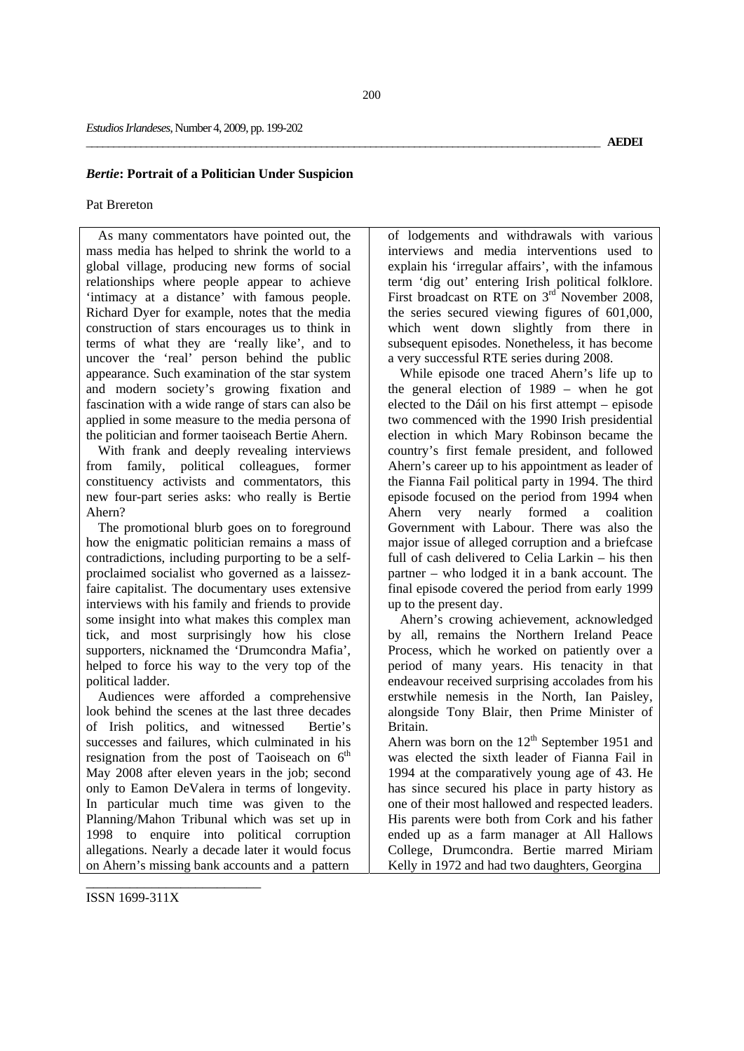### *Bertie***: Portrait of a Politician Under Suspicion**

### Pat Brereton

As many commentators have pointed out, the mass media has helped to shrink the world to a global village, producing new forms of social relationships where people appear to achieve 'intimacy at a distance' with famous people. Richard Dyer for example, notes that the media construction of stars encourages us to think in terms of what they are 'really like', and to uncover the 'real' person behind the public appearance. Such examination of the star system and modern society's growing fixation and fascination with a wide range of stars can also be applied in some measure to the media persona of the politician and former taoiseach Bertie Ahern.

With frank and deeply revealing interviews from family, political colleagues, former constituency activists and commentators, this new four-part series asks: who really is Bertie Ahern?

The promotional blurb goes on to foreground how the enigmatic politician remains a mass of contradictions, including purporting to be a selfproclaimed socialist who governed as a laissezfaire capitalist. The documentary uses extensive interviews with his family and friends to provide some insight into what makes this complex man tick, and most surprisingly how his close supporters, nicknamed the 'Drumcondra Mafia', helped to force his way to the very top of the political ladder.

Audiences were afforded a comprehensive look behind the scenes at the last three decades of Irish politics, and witnessed Bertie's successes and failures, which culminated in his resignation from the post of Taoiseach on  $6<sup>th</sup>$ May 2008 after eleven years in the job; second only to Eamon DeValera in terms of longevity. In particular much time was given to the Planning/Mahon Tribunal which was set up in 1998 to enquire into political corruption allegations. Nearly a decade later it would focus on Ahern's missing bank accounts and a pattern

of lodgements and withdrawals with various interviews and media interventions used to explain his 'irregular affairs', with the infamous term 'dig out' entering Irish political folklore. First broadcast on RTE on 3<sup>rd</sup> November 2008, the series secured viewing figures of 601,000, which went down slightly from there in subsequent episodes. Nonetheless, it has become a very successful RTE series during 2008.

While episode one traced Ahern's life up to the general election of 1989 – when he got elected to the Dáil on his first attempt – episode two commenced with the 1990 Irish presidential election in which Mary Robinson became the country's first female president, and followed Ahern's career up to his appointment as leader of the Fianna Fail political party in 1994. The third episode focused on the period from 1994 when Ahern very nearly formed a coalition Government with Labour. There was also the major issue of alleged corruption and a briefcase full of cash delivered to Celia Larkin – his then partner – who lodged it in a bank account. The final episode covered the period from early 1999 up to the present day.

Ahern's crowing achievement, acknowledged by all, remains the Northern Ireland Peace Process, which he worked on patiently over a period of many years. His tenacity in that endeavour received surprising accolades from his erstwhile nemesis in the North, Ian Paisley, alongside Tony Blair, then Prime Minister of Britain.

Ahern was born on the  $12<sup>th</sup>$  September 1951 and was elected the sixth leader of Fianna Fail in 1994 at the comparatively young age of 43. He has since secured his place in party history as one of their most hallowed and respected leaders. His parents were both from Cork and his father ended up as a farm manager at All Hallows College, Drumcondra. Bertie marred Miriam Kelly in 1972 and had two daughters, Georgina

ISSN 1699-311X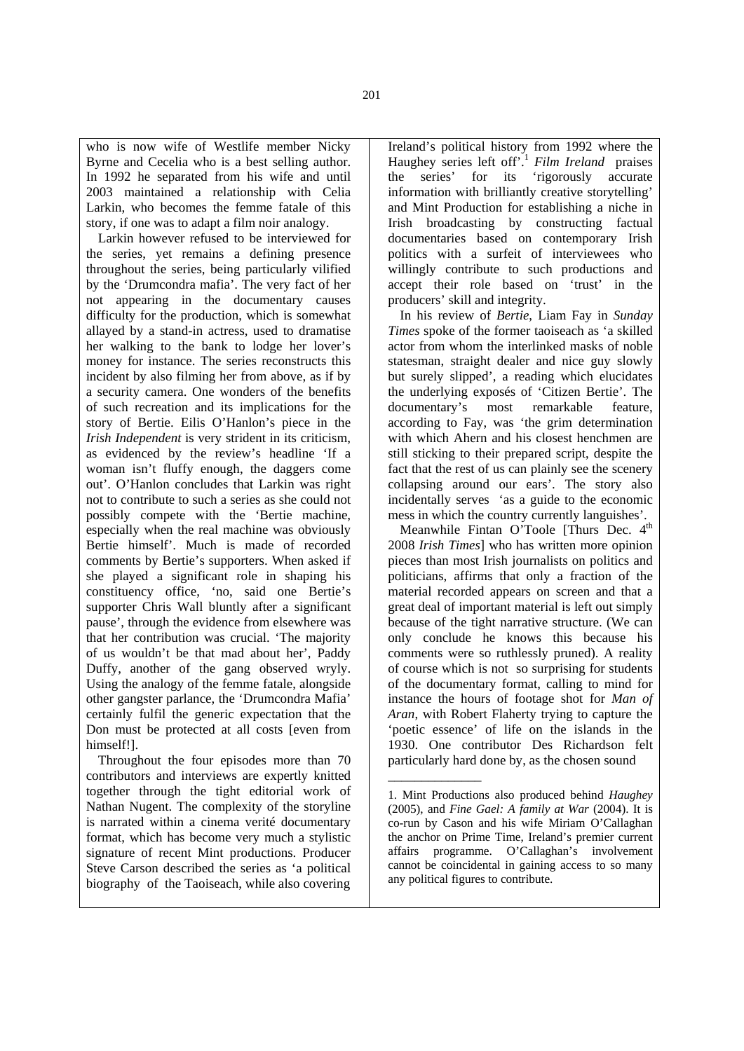who is now wife of Westlife member Nicky Byrne and Cecelia who is a best selling author. In 1992 he separated from his wife and until 2003 maintained a relationship with Celia Larkin, who becomes the femme fatale of this story, if one was to adapt a film noir analogy.

Larkin however refused to be interviewed for the series, yet remains a defining presence throughout the series, being particularly vilified by the 'Drumcondra mafia'. The very fact of her not appearing in the documentary causes difficulty for the production, which is somewhat allayed by a stand-in actress, used to dramatise her walking to the bank to lodge her lover's money for instance. The series reconstructs this incident by also filming her from above, as if by a security camera. One wonders of the benefits of such recreation and its implications for the story of Bertie. Eilis O'Hanlon's piece in the *Irish Independent* is very strident in its criticism, as evidenced by the review's headline 'If a woman isn't fluffy enough, the daggers come out'. O'Hanlon concludes that Larkin was right not to contribute to such a series as she could not possibly compete with the 'Bertie machine, especially when the real machine was obviously Bertie himself'. Much is made of recorded comments by Bertie's supporters. When asked if she played a significant role in shaping his constituency office, 'no, said one Bertie's supporter Chris Wall bluntly after a significant pause', through the evidence from elsewhere was that her contribution was crucial. 'The majority of us wouldn't be that mad about her', Paddy Duffy, another of the gang observed wryly. Using the analogy of the femme fatale, alongside other gangster parlance, the 'Drumcondra Mafia' certainly fulfil the generic expectation that the Don must be protected at all costs [even from himself!].

Throughout the four episodes more than 70 contributors and interviews are expertly knitted together through the tight editorial work of Nathan Nugent. The complexity of the storyline is narrated within a cinema verité documentary format, which has become very much a stylistic signature of recent Mint productions. Producer Steve Carson described the series as 'a political biography of the Taoiseach, while also covering

Ireland's political history from 1992 where the Haughey series left off'.<sup>1</sup> *Film Ireland* praises the series' for its 'rigorously accurate information with brilliantly creative storytelling' and Mint Production for establishing a niche in Irish broadcasting by constructing factual documentaries based on contemporary Irish politics with a surfeit of interviewees who willingly contribute to such productions and accept their role based on 'trust' in the producers' skill and integrity.

In his review of *Bertie*, Liam Fay in *Sunday Times* spoke of the former taoiseach as 'a skilled actor from whom the interlinked masks of noble statesman, straight dealer and nice guy slowly but surely slipped', a reading which elucidates the underlying exposés of 'Citizen Bertie'. The documentary's most remarkable feature, according to Fay, was 'the grim determination with which Ahern and his closest henchmen are still sticking to their prepared script, despite the fact that the rest of us can plainly see the scenery collapsing around our ears'. The story also incidentally serves 'as a guide to the economic mess in which the country currently languishes'.

Meanwhile Fintan O'Toole [Thurs Dec. 4<sup>th</sup> 2008 *Irish Times*] who has written more opinion pieces than most Irish journalists on politics and politicians, affirms that only a fraction of the material recorded appears on screen and that a great deal of important material is left out simply because of the tight narrative structure. (We can only conclude he knows this because his comments were so ruthlessly pruned). A reality of course which is not so surprising for students of the documentary format, calling to mind for instance the hours of footage shot for *Man of Aran*, with Robert Flaherty trying to capture the 'poetic essence' of life on the islands in the 1930. One contributor Des Richardson felt particularly hard done by, as the chosen sound

\_\_\_\_\_\_\_\_\_\_\_\_\_\_

<sup>1.</sup> Mint Productions also produced behind *Haughey*  (2005), and *Fine Gael: A family at War* (2004). It is co-run by Cason and his wife Miriam O'Callaghan the anchor on Prime Time, Ireland's premier current affairs programme. O'Callaghan's involvement cannot be coincidental in gaining access to so many any political figures to contribute.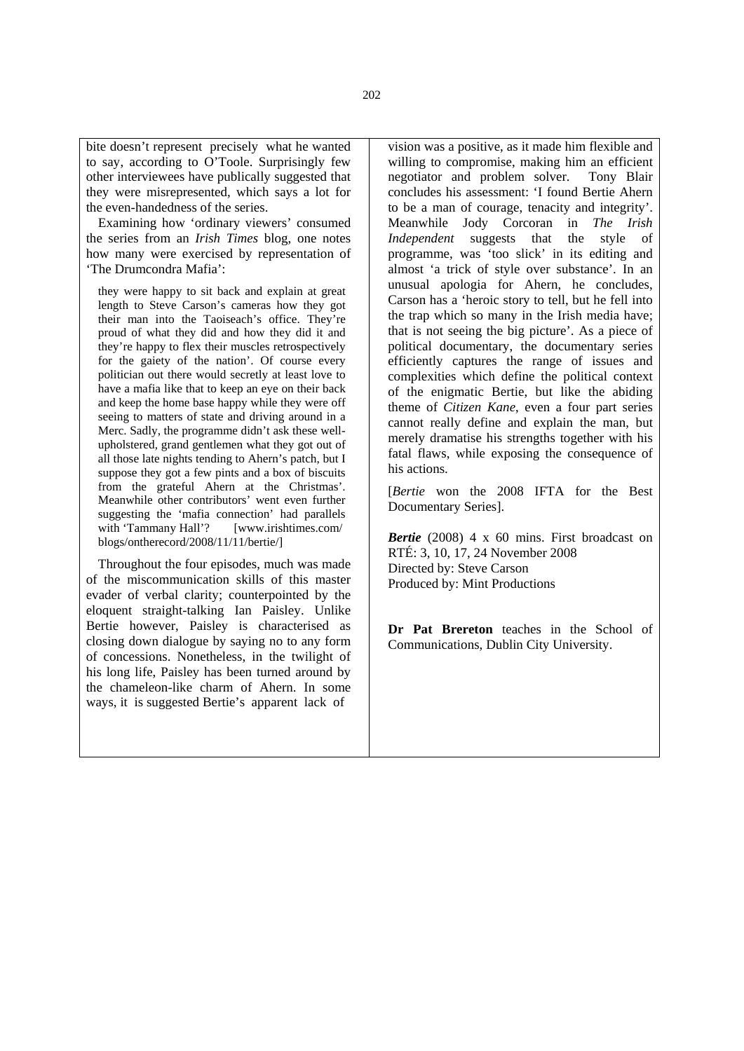bite doesn't represent precisely what he wanted to say, according to O'Toole. Surprisingly few other interviewees have publically suggested that they were misrepresented, which says a lot for the even-handedness of the series.

Examining how 'ordinary viewers' consumed the series from an *Irish Times* blog, one notes how many were exercised by representation of 'The Drumcondra Mafia':

they were happy to sit back and explain at great length to Steve Carson's cameras how they got their man into the Taoiseach's office. They're proud of what they did and how they did it and they're happy to flex their muscles retrospectively for the gaiety of the nation'. Of course every politician out there would secretly at least love to have a mafia like that to keep an eye on their back and keep the home base happy while they were off seeing to matters of state and driving around in a Merc. Sadly, the programme didn't ask these wellupholstered, grand gentlemen what they got out of all those late nights tending to Ahern's patch, but I suppose they got a few pints and a box of biscuits from the grateful Ahern at the Christmas'. Meanwhile other contributors' went even further suggesting the 'mafia connection' had parallels with 'Tammany Hall'? [www.irishtimes.com/ blogs/ontherecord/2008/11/11/bertie/]

Throughout the four episodes, much was made of the miscommunication skills of this master evader of verbal clarity; counterpointed by the eloquent straight-talking Ian Paisley. Unlike Bertie however, Paisley is characterised as closing down dialogue by saying no to any form of concessions. Nonetheless, in the twilight of his long life, Paisley has been turned around by the chameleon-like charm of Ahern. In some ways, it is suggested Bertie's apparent lack of

vision was a positive, as it made him flexible and willing to compromise, making him an efficient<br>negotiator and problem solver. Tony Blair negotiator and problem solver. concludes his assessment: 'I found Bertie Ahern to be a man of courage, tenacity and integrity'. Meanwhile Jody Corcoran in *The Irish Independent* suggests that the style of programme, was 'too slick' in its editing and almost 'a trick of style over substance'. In an unusual apologia for Ahern, he concludes, Carson has a 'heroic story to tell, but he fell into the trap which so many in the Irish media have; that is not seeing the big picture'. As a piece of political documentary, the documentary series efficiently captures the range of issues and complexities which define the political context of the enigmatic Bertie, but like the abiding theme of *Citizen Kane*, even a four part series cannot really define and explain the man, but merely dramatise his strengths together with his fatal flaws, while exposing the consequence of his actions.

[*Bertie* won the 2008 IFTA for the Best Documentary Series].

*Bertie* (2008) 4 x 60 mins. First broadcast on RTÉ: 3, 10, 17, 24 November 2008 Directed by: Steve Carson Produced by: Mint Productions

**Dr Pat Brereton** teaches in the School of Communications, Dublin City University.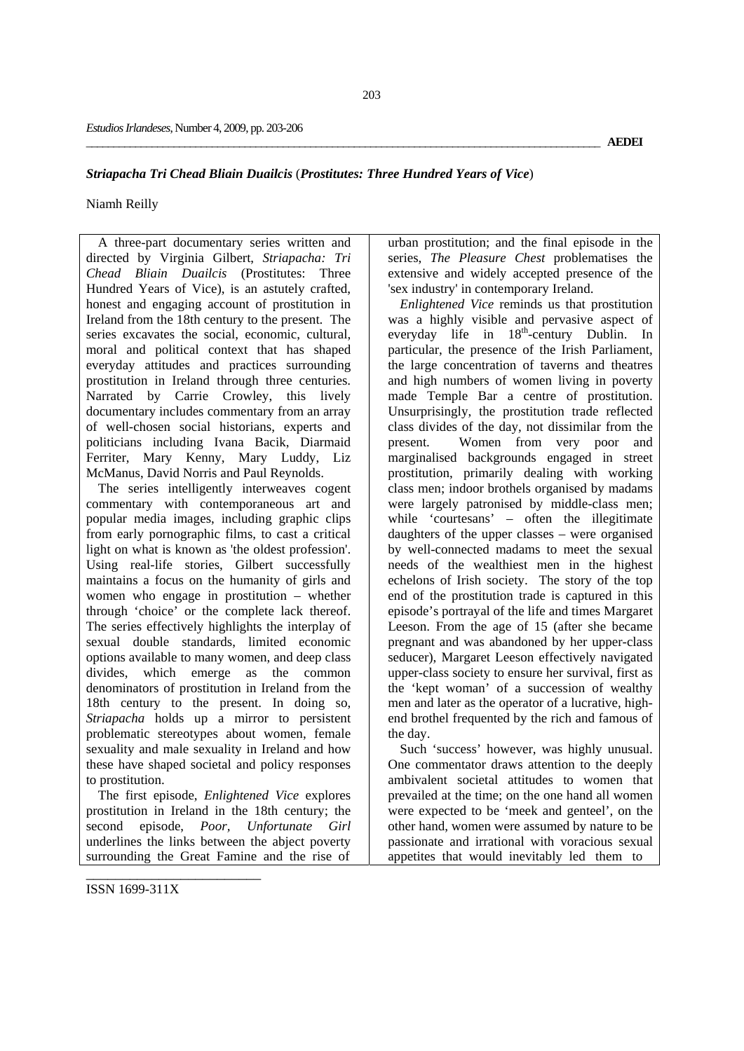# *Striapacha Tri Chead Bliain Duailcis* (*Prostitutes: Three Hundred Years of Vice*)

# Niamh Reilly

A three-part documentary series written and directed by Virginia Gilbert, *Striapacha: Tri Chead Bliain Duailcis* (Prostitutes: Three Hundred Years of Vice), is an astutely crafted, honest and engaging account of prostitution in Ireland from the 18th century to the present. The series excavates the social, economic, cultural, moral and political context that has shaped everyday attitudes and practices surrounding prostitution in Ireland through three centuries. Narrated by Carrie Crowley, this lively documentary includes commentary from an array of well-chosen social historians, experts and politicians including Ivana Bacik, Diarmaid Ferriter, Mary Kenny, Mary Luddy, Liz McManus, David Norris and Paul Reynolds.

The series intelligently interweaves cogent commentary with contemporaneous art and popular media images, including graphic clips from early pornographic films, to cast a critical light on what is known as 'the oldest profession'. Using real-life stories, Gilbert successfully maintains a focus on the humanity of girls and women who engage in prostitution – whether through 'choice' or the complete lack thereof. The series effectively highlights the interplay of sexual double standards, limited economic options available to many women, and deep class divides, which emerge as the common denominators of prostitution in Ireland from the 18th century to the present. In doing so, *Striapacha* holds up a mirror to persistent problematic stereotypes about women, female sexuality and male sexuality in Ireland and how these have shaped societal and policy responses to prostitution.

The first episode, *Enlightened Vice* explores prostitution in Ireland in the 18th century; the second episode, *Poor, Unfortunate Girl* underlines the links between the abject poverty surrounding the Great Famine and the rise of

urban prostitution; and the final episode in the series, *The Pleasure Chest* problematises the extensive and widely accepted presence of the 'sex industry' in contemporary Ireland.

*Enlightened Vice* reminds us that prostitution was a highly visible and pervasive aspect of everyday life in  $18^{th}$ -century Dublin. In particular, the presence of the Irish Parliament, the large concentration of taverns and theatres and high numbers of women living in poverty made Temple Bar a centre of prostitution. Unsurprisingly, the prostitution trade reflected class divides of the day, not dissimilar from the present. Women from very poor and marginalised backgrounds engaged in street prostitution, primarily dealing with working class men; indoor brothels organised by madams were largely patronised by middle-class men; while 'courtesans' – often the illegitimate daughters of the upper classes – were organised by well-connected madams to meet the sexual needs of the wealthiest men in the highest echelons of Irish society. The story of the top end of the prostitution trade is captured in this episode's portrayal of the life and times Margaret Leeson. From the age of 15 (after she became pregnant and was abandoned by her upper-class seducer), Margaret Leeson effectively navigated upper-class society to ensure her survival, first as the 'kept woman' of a succession of wealthy men and later as the operator of a lucrative, highend brothel frequented by the rich and famous of the day.

Such 'success' however, was highly unusual. One commentator draws attention to the deeply ambivalent societal attitudes to women that prevailed at the time; on the one hand all women were expected to be 'meek and genteel', on the other hand, women were assumed by nature to be passionate and irrational with voracious sexual appetites that would inevitably led them to

ISSN 1699-311X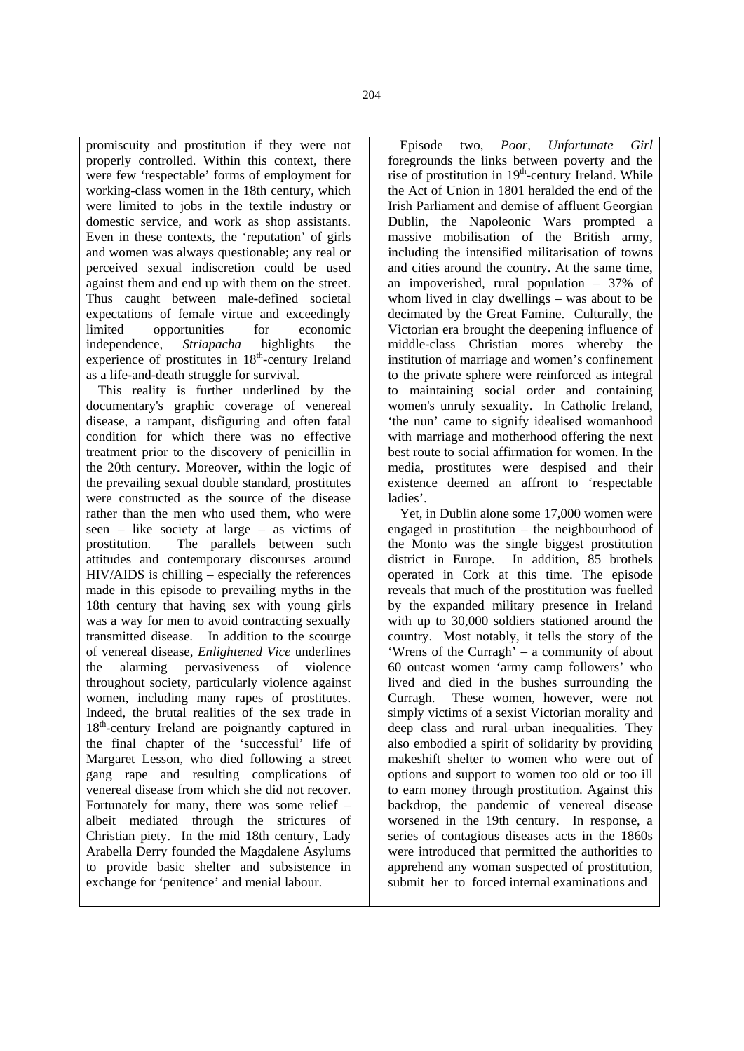promiscuity and prostitution if they were not properly controlled. Within this context, there were few 'respectable' forms of employment for working-class women in the 18th century, which were limited to jobs in the textile industry or domestic service, and work as shop assistants. Even in these contexts, the 'reputation' of girls and women was always questionable; any real or perceived sexual indiscretion could be used against them and end up with them on the street. Thus caught between male-defined societal expectations of female virtue and exceedingly limited opportunities for economic independence, *Striapacha* highlights the experience of prostitutes in 18<sup>th</sup>-century Ireland as a life-and-death struggle for survival.

This reality is further underlined by the documentary's graphic coverage of venereal disease, a rampant, disfiguring and often fatal condition for which there was no effective treatment prior to the discovery of penicillin in the 20th century. Moreover, within the logic of the prevailing sexual double standard, prostitutes were constructed as the source of the disease rather than the men who used them, who were seen – like society at large – as victims of prostitution. The parallels between such attitudes and contemporary discourses around HIV/AIDS is chilling – especially the references made in this episode to prevailing myths in the 18th century that having sex with young girls was a way for men to avoid contracting sexually transmitted disease. In addition to the scourge of venereal disease, *Enlightened Vice* underlines the alarming pervasiveness of violence throughout society, particularly violence against women, including many rapes of prostitutes. Indeed, the brutal realities of the sex trade in 18<sup>th</sup>-century Ireland are poignantly captured in the final chapter of the 'successful' life of Margaret Lesson, who died following a street gang rape and resulting complications of venereal disease from which she did not recover. Fortunately for many, there was some relief – albeit mediated through the strictures of Christian piety. In the mid 18th century, Lady Arabella Derry founded the Magdalene Asylums to provide basic shelter and subsistence in exchange for 'penitence' and menial labour.

Episode two, *Poor, Unfortunate Girl* foregrounds the links between poverty and the rise of prostitution in  $19<sup>th</sup>$ -century Ireland. While the Act of Union in 1801 heralded the end of the Irish Parliament and demise of affluent Georgian Dublin, the Napoleonic Wars prompted a massive mobilisation of the British army, including the intensified militarisation of towns and cities around the country. At the same time, an impoverished, rural population – 37% of whom lived in clay dwellings – was about to be decimated by the Great Famine. Culturally, the Victorian era brought the deepening influence of middle-class Christian mores whereby the institution of marriage and women's confinement to the private sphere were reinforced as integral to maintaining social order and containing women's unruly sexuality. In Catholic Ireland, 'the nun' came to signify idealised womanhood with marriage and motherhood offering the next best route to social affirmation for women. In the media, prostitutes were despised and their existence deemed an affront to 'respectable ladies'.

Yet, in Dublin alone some 17,000 women were engaged in prostitution – the neighbourhood of the Monto was the single biggest prostitution district in Europe. In addition, 85 brothels operated in Cork at this time. The episode reveals that much of the prostitution was fuelled by the expanded military presence in Ireland with up to 30,000 soldiers stationed around the country. Most notably, it tells the story of the 'Wrens of the Curragh' – a community of about 60 outcast women 'army camp followers' who lived and died in the bushes surrounding the Curragh. These women, however, were not simply victims of a sexist Victorian morality and deep class and rural–urban inequalities. They also embodied a spirit of solidarity by providing makeshift shelter to women who were out of options and support to women too old or too ill to earn money through prostitution. Against this backdrop, the pandemic of venereal disease worsened in the 19th century. In response, a series of contagious diseases acts in the 1860s were introduced that permitted the authorities to apprehend any woman suspected of prostitution, submit her to forced internal examinations and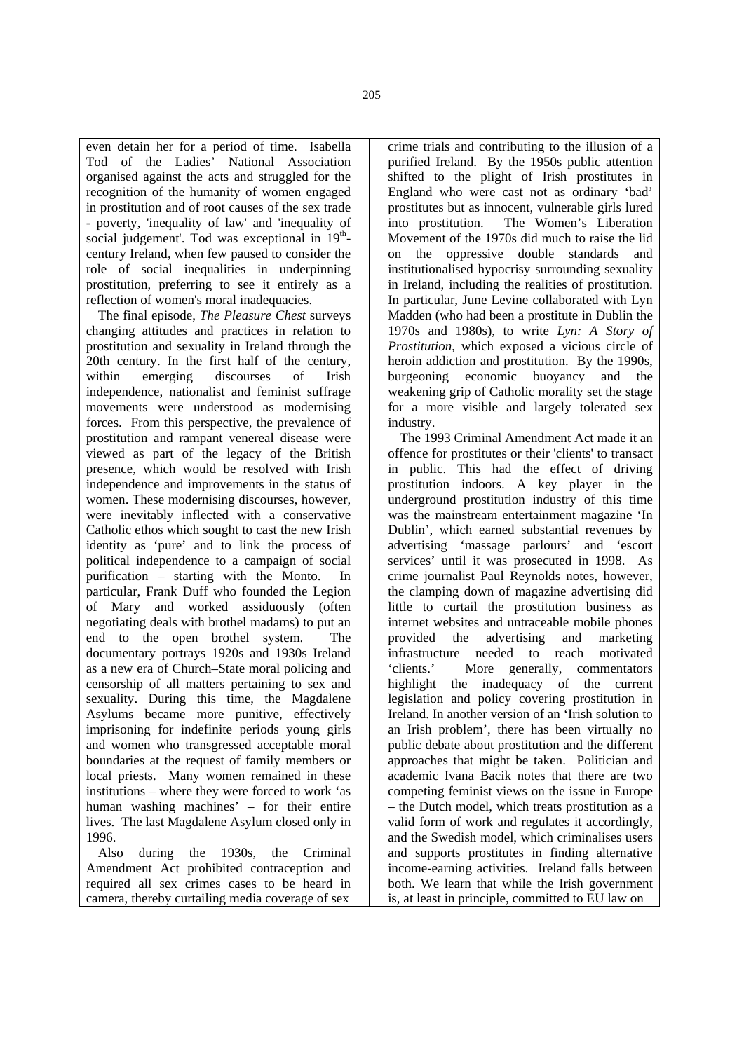even detain her for a period of time. Isabella Tod of the Ladies' National Association organised against the acts and struggled for the recognition of the humanity of women engaged in prostitution and of root causes of the sex trade - poverty, 'inequality of law' and 'inequality of social judgement'. Tod was exceptional in  $19<sup>th</sup>$ century Ireland, when few paused to consider the role of social inequalities in underpinning prostitution, preferring to see it entirely as a reflection of women's moral inadequacies.

The final episode, *The Pleasure Chest* surveys changing attitudes and practices in relation to prostitution and sexuality in Ireland through the 20th century. In the first half of the century, within emerging discourses of Irish independence, nationalist and feminist suffrage movements were understood as modernising forces. From this perspective, the prevalence of prostitution and rampant venereal disease were viewed as part of the legacy of the British presence, which would be resolved with Irish independence and improvements in the status of women. These modernising discourses, however, were inevitably inflected with a conservative Catholic ethos which sought to cast the new Irish identity as 'pure' and to link the process of political independence to a campaign of social purification – starting with the Monto. In particular, Frank Duff who founded the Legion of Mary and worked assiduously (often negotiating deals with brothel madams) to put an end to the open brothel system. The documentary portrays 1920s and 1930s Ireland as a new era of Church–State moral policing and censorship of all matters pertaining to sex and sexuality. During this time, the Magdalene Asylums became more punitive, effectively imprisoning for indefinite periods young girls and women who transgressed acceptable moral boundaries at the request of family members or local priests. Many women remained in these institutions – where they were forced to work 'as human washing machines' – for their entire lives. The last Magdalene Asylum closed only in 1996.

Also during the 1930s, the Criminal Amendment Act prohibited contraception and required all sex crimes cases to be heard in camera, thereby curtailing media coverage of sex

crime trials and contributing to the illusion of a purified Ireland. By the 1950s public attention shifted to the plight of Irish prostitutes in England who were cast not as ordinary 'bad' prostitutes but as innocent, vulnerable girls lured into prostitution. The Women's Liberation Movement of the 1970s did much to raise the lid on the oppressive double standards and institutionalised hypocrisy surrounding sexuality in Ireland, including the realities of prostitution. In particular, June Levine collaborated with Lyn Madden (who had been a prostitute in Dublin the 1970s and 1980s), to write *Lyn: A Story of Prostitution*, which exposed a vicious circle of heroin addiction and prostitution. By the 1990s, burgeoning economic buoyancy and the weakening grip of Catholic morality set the stage for a more visible and largely tolerated sex industry.

The 1993 Criminal Amendment Act made it an offence for prostitutes or their 'clients' to transact in public. This had the effect of driving prostitution indoors. A key player in the underground prostitution industry of this time was the mainstream entertainment magazine 'In Dublin', which earned substantial revenues by advertising 'massage parlours' and 'escort services' until it was prosecuted in 1998. As crime journalist Paul Reynolds notes, however, the clamping down of magazine advertising did little to curtail the prostitution business as internet websites and untraceable mobile phones provided the advertising and marketing infrastructure needed to reach motivated 'clients.' More generally, commentators highlight the inadequacy of the current legislation and policy covering prostitution in Ireland. In another version of an 'Irish solution to an Irish problem', there has been virtually no public debate about prostitution and the different approaches that might be taken. Politician and academic Ivana Bacik notes that there are two competing feminist views on the issue in Europe – the Dutch model, which treats prostitution as a valid form of work and regulates it accordingly, and the Swedish model, which criminalises users and supports prostitutes in finding alternative income-earning activities. Ireland falls between both. We learn that while the Irish government is, at least in principle, committed to EU law on